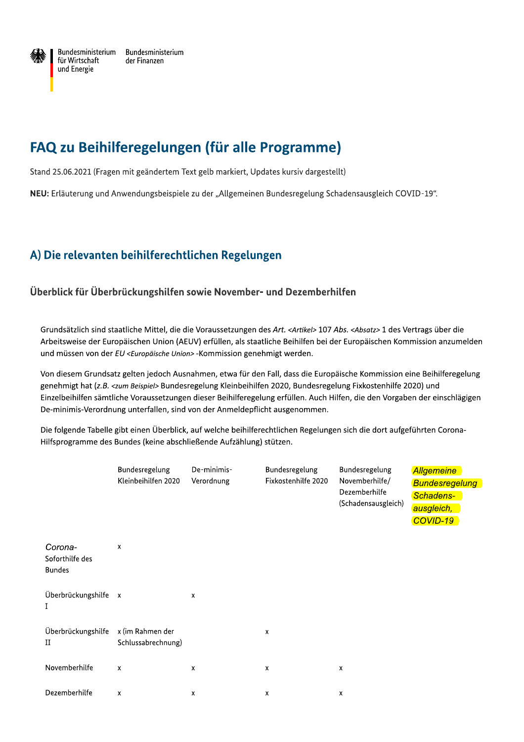

Bundesministerium Bundesministerium für Wirtschaft der Finanzen und Energie

# FAQ zu Beihilferegelungen (für alle Programme)

Stand 25.06.2021 (Fragen mit geändertem Text gelb markiert, Updates kursiv dargestellt)

NEU: Erläuterung und Anwendungsbeispiele zu der "Allgemeinen Bundesregelung Schadensausgleich COVID-19".

# A) Die relevanten beihilferechtlichen Regelungen

#### Überblick für Überbrückungshilfen sowie November- und Dezemberhilfen

Grundsätzlich sind staatliche Mittel, die die Voraussetzungen des Art. <Artikel> 107 Abs. <Absatz> 1 des Vertrags über die Arbeitsweise der Europäischen Union (AEUV) erfüllen, als staatliche Beihilfen bei der Europäischen Kommission anzumelden und müssen von der EU <Europäische Union> -Kommission genehmigt werden.

Von diesem Grundsatz gelten jedoch Ausnahmen, etwa für den Fall, dass die Europäische Kommission eine Beihilferegelung genehmigt hat (z.B. <zum Beispiel> Bundesregelung Kleinbeihilfen 2020, Bundesregelung Fixkostenhilfe 2020) und Einzelbeihilfen sämtliche Voraussetzungen dieser Beihilferegelung erfüllen. Auch Hilfen, die den Vorgaben der einschlägigen De-minimis-Verordnung unterfallen, sind von der Anmeldepflicht ausgenommen.

Die folgende Tabelle gibt einen Überblick, auf welche beihilferechtlichen Regelungen sich die dort aufgeführten Corona-Hilfsprogramme des Bundes (keine abschließende Aufzählung) stützen.

|                                             | Bundesregelung<br>Kleinbeihilfen 2020  | De-minimis-<br>Verordnung | Bundesregelung<br>Fixkostenhilfe 2020 | Bundesregelung<br>Novemberhilfe/<br>Dezemberhilfe<br>(Schadensausgleich) | <b>Allgemeine</b><br><b>Bundesregelung</b><br>Schadens-<br>ausgleich,<br>COVID-19 |
|---------------------------------------------|----------------------------------------|---------------------------|---------------------------------------|--------------------------------------------------------------------------|-----------------------------------------------------------------------------------|
| Corona-<br>Soforthilfe des<br><b>Bundes</b> | X                                      |                           |                                       |                                                                          |                                                                                   |
| Überbrückungshilfe x<br>I                   |                                        | x                         |                                       |                                                                          |                                                                                   |
| Überbrückungshilfe<br>П                     | x (im Rahmen der<br>Schlussabrechnung) |                           | $\pmb{\chi}$                          |                                                                          |                                                                                   |
| Novemberhilfe                               | $\boldsymbol{\mathsf{x}}$              | x                         | $\pmb{\chi}$                          | $\pmb{\mathsf{x}}$                                                       |                                                                                   |
| Dezemberhilfe                               | X                                      | x                         | x                                     | $\pmb{\chi}$                                                             |                                                                                   |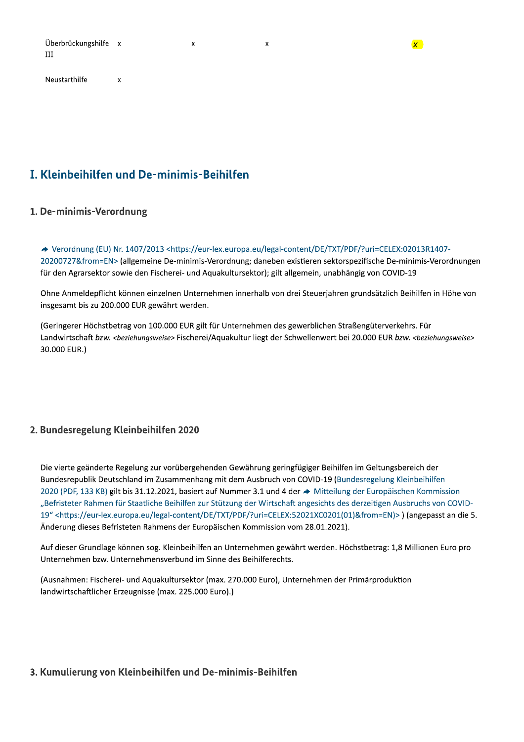| Überbrückungshilfe x |  |
|----------------------|--|
| -III                 |  |

 $\mathbf{x}$ 

Neustarthilfe

# I. Kleinbeihilfen und De-minimis-Beihilfen

#### 1. De-minimis-Verordnung

→ Verordnung (EU) Nr. 1407/2013 <https://eur-lex.europa.eu/legal-content/DE/TXT/PDF/?uri=CELEX:02013R1407-20200727&from=EN> (allgemeine De-minimis-Verordnung; daneben existieren sektorspezifische De-minimis-Verordnungen für den Agrarsektor sowie den Fischerei- und Aquakultursektor); gilt allgemein, unabhängig von COVID-19

 $\mathsf{x}$ 

 $\mathbf{x}$ 

Ohne Anmeldepflicht können einzelnen Unternehmen innerhalb von drei Steuerjahren grundsätzlich Beihilfen in Höhe von insgesamt bis zu 200.000 EUR gewährt werden.

(Geringerer Höchstbetrag von 100.000 EUR gilt für Unternehmen des gewerblichen Straßengüterverkehrs. Für Landwirtschaft bzw. <br/>beziehungsweise>Fischerei/Aquakultur liegt der Schwellenwert bei 20.000 EUR bzw. <br/>beziehungsweise> 30.000 EUR.)

#### 2. Bundesregelung Kleinbeihilfen 2020

Die vierte geänderte Regelung zur vorübergehenden Gewährung geringfügiger Beihilfen im Geltungsbereich der Bundesrepublik Deutschland im Zusammenhang mit dem Ausbruch von COVID-19 (Bundesregelung Kleinbeihilfen 2020 (PDF, 133 KB) gilt bis 31.12.2021, basiert auf Nummer 3.1 und 4 der → Mitteilung der Europäischen Kommission "Befristeter Rahmen für Staatliche Beihilfen zur Stützung der Wirtschaft angesichts des derzeitigen Ausbruchs von COVID-19" <https://eur-lex.europa.eu/legal-content/DE/TXT/PDF/?uri=CELEX:52021XC0201(01)&from=EN)>) (angepasst an die 5. Änderung dieses Befristeten Rahmens der Europäischen Kommission vom 28.01.2021).

Auf dieser Grundlage können sog. Kleinbeihilfen an Unternehmen gewährt werden. Höchstbetrag: 1,8 Millionen Euro pro Unternehmen bzw. Unternehmensverbund im Sinne des Beihilferechts.

(Ausnahmen: Fischerei- und Aquakultursektor (max. 270.000 Euro), Unternehmen der Primärproduktion landwirtschaftlicher Erzeugnisse (max. 225.000 Euro).)

#### 3. Kumulierung von Kleinbeihilfen und De-minimis-Beihilfen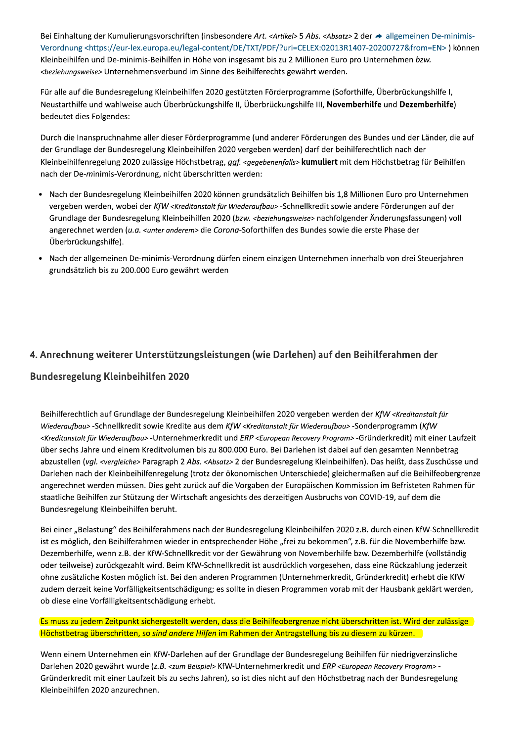Bei Einhaltung der Kumulierungsvorschriften (insbesondere Art. <Artikel> 5 Abs. <Absatz> 2 der → allgemeinen De-minimis-Verordnung <https://eur-lex.europa.eu/legal-content/DE/TXT/PDF/?uri=CELEX:02013R1407-20200727&from=EN>) können Kleinbeihilfen und De-minimis-Beihilfen in Höhe von insgesamt bis zu 2 Millionen Euro pro Unternehmen bzw. <beziehungsweise> Unternehmensverbund im Sinne des Beihilferechts gewährt werden.

Für alle auf die Bundesregelung Kleinbeihilfen 2020 gestützten Förderprogramme (Soforthilfe, Überbrückungshilfe I, Neustarthilfe und wahlweise auch Überbrückungshilfe II, Überbrückungshilfe III, Novemberhilfe und Dezemberhilfe) bedeutet dies Folgendes:

Durch die Inanspruchnahme aller dieser Förderprogramme (und anderer Förderungen des Bundes und der Länder, die auf der Grundlage der Bundesregelung Kleinbeihilfen 2020 vergeben werden) darf der beihilferechtlich nach der Kleinbeihilfenregelung 2020 zulässige Höchstbetrag, ggf. <gegebenenfalls> kumuliert mit dem Höchstbetrag für Beihilfen nach der De-minimis-Verordnung, nicht überschritten werden:

- Nach der Bundesregelung Kleinbeihilfen 2020 können grundsätzlich Beihilfen bis 1,8 Millionen Euro pro Unternehmen vergeben werden, wobei der KfW <Kreditanstalt für Wiederaufbau> -Schnellkredit sowie andere Förderungen auf der Grundlage der Bundesregelung Kleinbeihilfen 2020 (bzw. <brziehungsweise> nachfolgender Änderungsfassungen) voll angerechnet werden (u.a. <unter anderem> die Corona-Soforthilfen des Bundes sowie die erste Phase der Überbrückungshilfe).
- Nach der allgemeinen De-minimis-Verordnung dürfen einem einzigen Unternehmen innerhalb von drei Steuerjahren  $\bullet$ grundsätzlich bis zu 200.000 Euro gewährt werden

#### 4. Anrechnung weiterer Unterstützungsleistungen (wie Darlehen) auf den Beihilferahmen der

#### Bundesregelung Kleinbeihilfen 2020

Beihilferechtlich auf Grundlage der Bundesregelung Kleinbeihilfen 2020 vergeben werden der KfW <Kreditanstalt für Wiederaufbau> -Schnellkredit sowie Kredite aus dem KfW <Kreditanstalt für Wiederaufbau> -Sonderprogramm (KfW <Kreditanstalt für Wiederaufbau> -Unternehmerkredit und ERP <European Recovery Program> -Gründerkredit) mit einer Laufzeit über sechs Jahre und einem Kreditvolumen bis zu 800.000 Euro. Bei Darlehen ist dabei auf den gesamten Nennbetrag abzustellen (vgl. <vergleiche> Paragraph 2 Abs. <Absatz> 2 der Bundesregelung Kleinbeihilfen). Das heißt, dass Zuschüsse und Darlehen nach der Kleinbeihilfenregelung (trotz der ökonomischen Unterschiede) gleichermaßen auf die Beihilfeobergrenze angerechnet werden müssen. Dies geht zurück auf die Vorgaben der Europäischen Kommission im Befristeten Rahmen für staatliche Beihilfen zur Stützung der Wirtschaft angesichts des derzeitigen Ausbruchs von COVID-19, auf dem die Bundesregelung Kleinbeihilfen beruht.

Bei einer "Belastung" des Beihilferahmens nach der Bundesregelung Kleinbeihilfen 2020 z.B. durch einen KfW-Schnellkredit ist es möglich, den Beihilferahmen wieder in entsprechender Höhe "frei zu bekommen", z.B. für die Novemberhilfe bzw. Dezemberhilfe, wenn z.B. der KfW-Schnellkredit vor der Gewährung von Novemberhilfe bzw. Dezemberhilfe (vollständig oder teilweise) zurückgezahlt wird. Beim KfW-Schnellkredit ist ausdrücklich vorgesehen, dass eine Rückzahlung jederzeit ohne zusätzliche Kosten möglich ist. Bei den anderen Programmen (Unternehmerkredit, Gründerkredit) erhebt die KfW zudem derzeit keine Vorfälligkeitsentschädigung; es sollte in diesen Programmen vorab mit der Hausbank geklärt werden, ob diese eine Vorfälligkeitsentschädigung erhebt.

#### Es muss zu jedem Zeitpunkt sichergestellt werden, dass die Beihilfeobergrenze nicht überschritten ist. Wird der zulässige Höchstbetrag überschritten, so sind andere Hilfen im Rahmen der Antragstellung bis zu diesem zu kürzen.

Wenn einem Unternehmen ein KfW-Darlehen auf der Grundlage der Bundesregelung Beihilfen für niedrigverzinsliche Darlehen 2020 gewährt wurde (z.B. <zum Beispiel> KfW-Unternehmerkredit und ERP <European Recovery Program> -Gründerkredit mit einer Laufzeit bis zu sechs Jahren), so ist dies nicht auf den Höchstbetrag nach der Bundesregelung Kleinbeihilfen 2020 anzurechnen.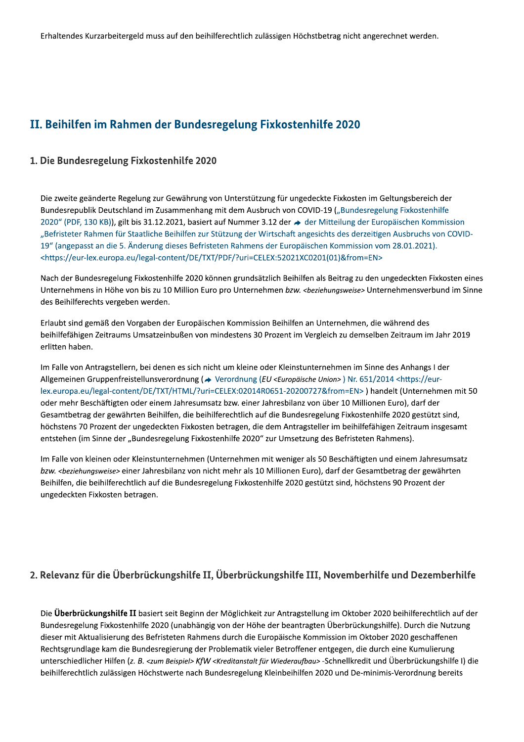# II. Beihilfen im Rahmen der Bundesregelung Fixkostenhilfe 2020

#### 1. Die Bundesregelung Fixkostenhilfe 2020

Die zweite geänderte Regelung zur Gewährung von Unterstützung für ungedeckte Fixkosten im Geltungsbereich der Bundesrepublik Deutschland im Zusammenhang mit dem Ausbruch von COVID-19 ("Bundesregelung Fixkostenhilfe 2020" (PDF, 130 KB)), gilt bis 31.12.2021, basiert auf Nummer 3.12 der → der Mitteilung der Europäischen Kommission "Befristeter Rahmen für Staatliche Beihilfen zur Stützung der Wirtschaft angesichts des derzeitigen Ausbruchs von COVID-19" (angepasst an die 5. Änderung dieses Befristeten Rahmens der Europäischen Kommission vom 28.01.2021). <https://eur-lex.europa.eu/legal-content/DE/TXT/PDF/?uri=CELEX:52021XC0201(01)&from=EN>

Nach der Bundesregelung Fixkostenhilfe 2020 können grundsätzlich Beihilfen als Beitrag zu den ungedeckten Fixkosten eines Unternehmens in Höhe von bis zu 10 Million Euro pro Unternehmen bzw. <br/>beziehungsweise> Unternehmensverbund im Sinne des Beihilferechts vergeben werden.

Erlaubt sind gemäß den Vorgaben der Europäischen Kommission Beihilfen an Unternehmen, die während des beihilfefähigen Zeitraums Umsatzeinbußen von mindestens 30 Prozent im Vergleich zu demselben Zeitraum im Jahr 2019 erlitten haben.

Im Falle von Antragstellern, bei denen es sich nicht um kleine oder Kleinstunternehmen im Sinne des Anhangs I der Allgemeinen Gruppenfreistellunsverordnung (→ Verordnung (EU <Europäische Union>) Nr. 651/2014 <https://eurlex.europa.eu/legal-content/DE/TXT/HTML/?uri=CELEX:02014R0651-20200727&from=EN>) handelt (Unternehmen mit 50 oder mehr Beschäftigten oder einem Jahresumsatz bzw. einer Jahresbilanz von über 10 Millionen Euro), darf der Gesamtbetrag der gewährten Beihilfen, die beihilferechtlich auf die Bundesregelung Fixkostenhilfe 2020 gestützt sind, höchstens 70 Prozent der ungedeckten Fixkosten betragen, die dem Antragsteller im beihilfefähigen Zeitraum insgesamt entstehen (im Sinne der "Bundesregelung Fixkostenhilfe 2020" zur Umsetzung des Befristeten Rahmens).

Im Falle von kleinen oder Kleinstunternehmen (Unternehmen mit weniger als 50 Beschäftigten und einem Jahresumsatz bzw. <beziehungsweise> einer Jahresbilanz von nicht mehr als 10 Millionen Euro), darf der Gesamtbetrag der gewährten Beihilfen, die beihilferechtlich auf die Bundesregelung Fixkostenhilfe 2020 gestützt sind, höchstens 90 Prozent der ungedeckten Fixkosten betragen.

#### 2. Relevanz für die Überbrückungshilfe II, Überbrückungshilfe III, Novemberhilfe und Dezemberhilfe

Die Überbrückungshilfe II basiert seit Beginn der Möglichkeit zur Antragstellung im Oktober 2020 beihilferechtlich auf der Bundesregelung Fixkostenhilfe 2020 (unabhängig von der Höhe der beantragten Überbrückungshilfe). Durch die Nutzung dieser mit Aktualisierung des Befristeten Rahmens durch die Europäische Kommission im Oktober 2020 geschaffenen Rechtsgrundlage kam die Bundesregierung der Problematik vieler Betroffener entgegen, die durch eine Kumulierung unterschiedlicher Hilfen (z. B. <zum Beispiel> KfW <Kreditanstalt für Wiederaufbau> -Schnellkredit und Überbrückungshilfe I) die beihilferechtlich zulässigen Höchstwerte nach Bundesregelung Kleinbeihilfen 2020 und De-minimis-Verordnung bereits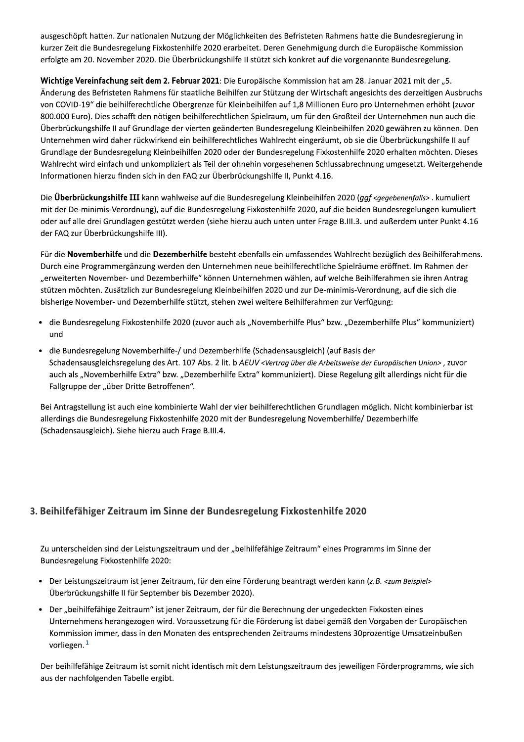ausgeschöpft hatten. Zur nationalen Nutzung der Möglichkeiten des Befristeten Rahmens hatte die Bundesregierung in kurzer Zeit die Bundesregelung Fixkostenhilfe 2020 erarbeitet. Deren Genehmigung durch die Europäische Kommission erfolgte am 20. November 2020. Die Überbrückungshilfe II stützt sich konkret auf die vorgenannte Bundesregelung.

Wichtige Vereinfachung seit dem 2. Februar 2021: Die Europäische Kommission hat am 28. Januar 2021 mit der "5. Änderung des Befristeten Rahmens für staatliche Beihilfen zur Stützung der Wirtschaft angesichts des derzeitigen Ausbruchs von COVID-19" die beihilferechtliche Obergrenze für Kleinbeihilfen auf 1,8 Millionen Euro pro Unternehmen erhöht (zuvor 800.000 Euro). Dies schafft den nötigen beihilferechtlichen Spielraum, um für den Großteil der Unternehmen nun auch die Überbrückungshilfe II auf Grundlage der vierten geänderten Bundesregelung Kleinbeihilfen 2020 gewähren zu können. Den Unternehmen wird daher rückwirkend ein beihilferechtliches Wahlrecht eingeräumt, ob sie die Überbrückungshilfe II auf Grundlage der Bundesregelung Kleinbeihilfen 2020 oder der Bundesregelung Fixkostenhilfe 2020 erhalten möchten. Dieses Wahlrecht wird einfach und unkompliziert als Teil der ohnehin vorgesehenen Schlussabrechnung umgesetzt. Weitergehende Informationen hierzu finden sich in den FAQ zur Überbrückungshilfe II, Punkt 4.16.

Die Überbrückungshilfe III kann wahlweise auf die Bundesregelung Kleinbeihilfen 2020 (ggf <gegebenenfalls>. kumuliert mit der De-minimis-Verordnung), auf die Bundesregelung Fixkostenhilfe 2020, auf die beiden Bundesregelungen kumuliert oder auf alle drei Grundlagen gestützt werden (siehe hierzu auch unten unter Frage B.III.3. und außerdem unter Punkt 4.16 der FAQ zur Überbrückungshilfe III).

Für die Novemberhilfe und die Dezemberhilfe besteht ebenfalls ein umfassendes Wahlrecht bezüglich des Beihilferahmens. Durch eine Programmergänzung werden den Unternehmen neue beihilferechtliche Spielräume eröffnet. Im Rahmen der "erweiterten November- und Dezemberhilfe" können Unternehmen wählen, auf welche Beihilferahmen sie ihren Antrag stützen möchten. Zusätzlich zur Bundesregelung Kleinbeihilfen 2020 und zur De-minimis-Verordnung, auf die sich die bisherige November- und Dezemberhilfe stützt, stehen zwei weitere Beihilferahmen zur Verfügung:

- · die Bundesregelung Fixkostenhilfe 2020 (zuvor auch als "Novemberhilfe Plus" bzw. "Dezemberhilfe Plus" kommuniziert) und
- die Bundesregelung Novemberhilfe-/ und Dezemberhilfe (Schadensausgleich) (auf Basis der  $\bullet$ Schadensausgleichsregelung des Art. 107 Abs. 2 lit. b AEUV <Vertrag über die Arbeitsweise der Europäischen Union>, zuvor auch als "Novemberhilfe Extra" bzw. "Dezemberhilfe Extra" kommuniziert). Diese Regelung gilt allerdings nicht für die Fallgruppe der "über Dritte Betroffenen".

Bei Antragstellung ist auch eine kombinierte Wahl der vier beihilferechtlichen Grundlagen möglich. Nicht kombinierbar ist allerdings die Bundesregelung Fixkostenhilfe 2020 mit der Bundesregelung Novemberhilfe/ Dezemberhilfe (Schadensausgleich). Siehe hierzu auch Frage B.III.4.

#### 3. Beihilfefähiger Zeitraum im Sinne der Bundesregelung Fixkostenhilfe 2020

Zu unterscheiden sind der Leistungszeitraum und der "beihilfefähige Zeitraum" eines Programms im Sinne der Bundesregelung Fixkostenhilfe 2020:

- Der Leistungszeitraum ist jener Zeitraum, für den eine Förderung beantragt werden kann (z.B. <zum Beispiel> Überbrückungshilfe II für September bis Dezember 2020).
- · Der "beihilfefähige Zeitraum" ist jener Zeitraum, der für die Berechnung der ungedeckten Fixkosten eines Unternehmens herangezogen wird. Voraussetzung für die Förderung ist dabei gemäß den Vorgaben der Europäischen Kommission immer, dass in den Monaten des entsprechenden Zeitraums mindestens 30prozentige Umsatzeinbußen vorliegen. $1$

Der beihilfefähige Zeitraum ist somit nicht identisch mit dem Leistungszeitraum des jeweiligen Förderprogramms, wie sich aus der nachfolgenden Tabelle ergibt.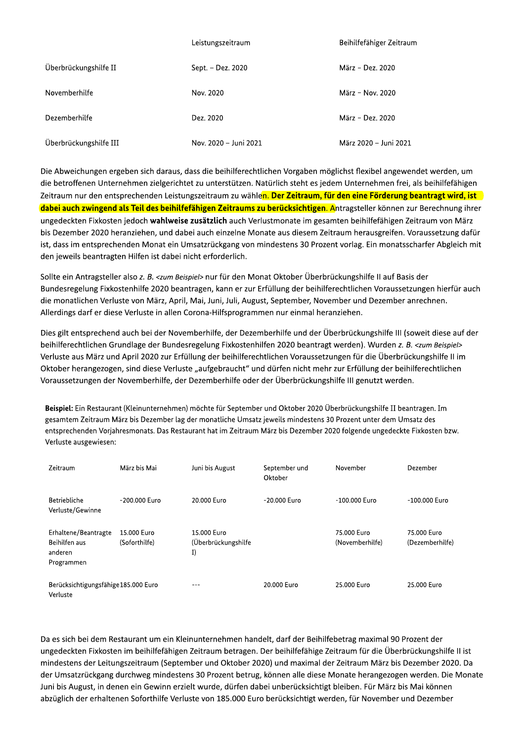|                        | Leistungszeitraum     | Beihilfefähiger Zeitraum |
|------------------------|-----------------------|--------------------------|
| Überbrückungshilfe II  | Sept. - Dez. 2020     | März - Dez. 2020         |
| Novemberhilfe          | Nov. 2020             | März - Nov. 2020         |
| Dezemberhilfe          | Dez. 2020             | März - Dez. 2020         |
| Überbrückungshilfe III | Nov. 2020 - Juni 2021 | März 2020 - Juni 2021    |

Now multiplier and the anti-magnitude of the Most 2020<br>
Derrethenlille<br>
Derrethenlille<br>
Derrethenlille<br>
Derrethenlille<br>
Derrethenlille<br>
Derrethenligen ergeben sich daraus, dass die belinflerechtlichen Vorgaben möglichst f

n Restaurant (Kleinunternehmen) mochte für September und Oktober 2020 Überbrückungshilfe II beanträgen. Im In gesamtem Zeitraum Marz bis Dezember lag der monatliche Umsatz jeweils mindestens 30 Prozent unter dem Umsatz des entsprechenden Vorjahresmonats. Das Restaurant hat im Zeitraum Marz bis Dezember 2020 folgende ungedeckte Fixkosten bzw. Verluste ausgewiesen:

| Zeitraum                                                       | März bis Mai                 | Juni bis August                          | September und<br>Oktober | November                       | Dezember                       |
|----------------------------------------------------------------|------------------------------|------------------------------------------|--------------------------|--------------------------------|--------------------------------|
| <b>Betriebliche</b><br>Verluste/Gewinne                        | -200.000 Euro                | 20.000 Euro                              | -20.000 Euro             | -100.000 Euro                  | $-100.000$ Euro                |
| Erhaltene/Beantragte<br>Beihilfen aus<br>anderen<br>Programmen | 15,000 Euro<br>(Soforthilfe) | 15.000 Euro<br>(Überbrückungshilfe<br>I) |                          | 75.000 Euro<br>(Novemberhilfe) | 75,000 Euro<br>(Dezemberhilfe) |
| Berücksichtigungsfähige 185.000 Euro<br>Verluste               |                              |                                          | 20.000 Euro              | 25.000 Euro                    | 25.000 Euro                    |

Programmen<br>
Programmen<br>
Da es sich bei dem Restaurant um ein Kleinunternehmen handelt, darf der Beihilfebetrag maximal 90 Prozent der<br>
Ungedeckten Fixkosten im beihilfefähigen Zeitraum betragen. Der beihilfefähige Zeitraum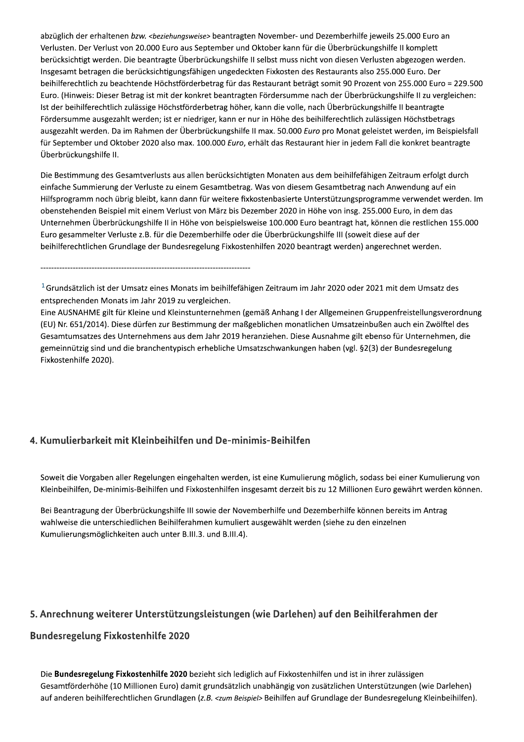abzüglich der erhaltenen bzw. <beziehungsweise> beantragten November- und Dezemberhilfe jeweils 25.000 Euro an Verlusten. Der Verlust von 20.000 Euro aus September und Oktober kann für die Überbrückungshilfe II komplett berücksichtigt werden. Die beantragte Überbrückungshilfe II selbst muss nicht von diesen Verlusten abgezogen werden. Insgesamt betragen die berücksichtigungsfähigen ungedeckten Fixkosten des Restaurants also 255.000 Euro. Der beihilferechtlich zu beachtende Höchstförderbetrag für das Restaurant beträgt somit 90 Prozent von 255.000 Euro = 229.500 Euro. (Hinweis: Dieser Betrag ist mit der konkret beantragten Fördersumme nach der Überbrückungshilfe II zu vergleichen: Ist der beihilferechtlich zulässige Höchstförderbetrag höher, kann die volle, nach Überbrückungshilfe II beantragte Fördersumme ausgezahlt werden; ist er niedriger, kann er nur in Höhe des beihilferechtlich zulässigen Höchstbetrags ausgezahlt werden. Da im Rahmen der Überbrückungshilfe II max. 50.000 Euro pro Monat geleistet werden, im Beispielsfall für September und Oktober 2020 also max. 100.000 Euro, erhält das Restaurant hier in jedem Fall die konkret beantragte Überbrückungshilfe II.

Die Bestimmung des Gesamtverlusts aus allen berücksichtigten Monaten aus dem beihilfefähigen Zeitraum erfolgt durch einfache Summierung der Verluste zu einem Gesamtbetrag. Was von diesem Gesamtbetrag nach Anwendung auf ein Hilfsprogramm noch übrig bleibt, kann dann für weitere fixkostenbasierte Unterstützungsprogramme verwendet werden. Im obenstehenden Beispiel mit einem Verlust von März bis Dezember 2020 in Höhe von insg. 255.000 Euro, in dem das Unternehmen Überbrückungshilfe II in Höhe von beispielsweise 100.000 Euro beantragt hat, können die restlichen 155.000 Euro gesammelter Verluste z.B. für die Dezemberhilfe oder die Überbrückungshilfe III (soweit diese auf der beihilferechtlichen Grundlage der Bundesregelung Fixkostenhilfen 2020 beantragt werden) angerechnet werden.

<sup>1</sup> Grundsätzlich ist der Umsatz eines Monats im beihilfefähigen Zeitraum im Jahr 2020 oder 2021 mit dem Umsatz des entsprechenden Monats im Jahr 2019 zu vergleichen.

Eine AUSNAHME gilt für Kleine und Kleinstunternehmen (gemäß Anhang I der Allgemeinen Gruppenfreistellungsverordnung (EU) Nr. 651/2014). Diese dürfen zur Bestimmung der maßgeblichen monatlichen Umsatzeinbußen auch ein Zwölftel des Gesamtumsatzes des Unternehmens aus dem Jahr 2019 heranziehen. Diese Ausnahme gilt ebenso für Unternehmen, die gemeinnützig sind und die branchentypisch erhebliche Umsatzschwankungen haben (vgl. §2(3) der Bundesregelung Fixkostenhilfe 2020).

#### 4. Kumulierbarkeit mit Kleinbeihilfen und De-minimis-Beihilfen

Soweit die Vorgaben aller Regelungen eingehalten werden, ist eine Kumulierung möglich, sodass bei einer Kumulierung von Kleinbeihilfen, De-minimis-Beihilfen und Fixkostenhilfen insgesamt derzeit bis zu 12 Millionen Euro gewährt werden können.

Bei Beantragung der Überbrückungshilfe III sowie der Novemberhilfe und Dezemberhilfe können bereits im Antrag wahlweise die unterschiedlichen Beihilferahmen kumuliert ausgewählt werden (siehe zu den einzelnen Kumulierungsmöglichkeiten auch unter B.III.3. und B.III.4).

#### 5. Anrechnung weiterer Unterstützungsleistungen (wie Darlehen) auf den Beihilferahmen der

#### **Bundesregelung Fixkostenhilfe 2020**

Die Bundesregelung Fixkostenhilfe 2020 bezieht sich lediglich auf Fixkostenhilfen und ist in ihrer zulässigen Gesamtförderhöhe (10 Millionen Euro) damit grundsätzlich unabhängig von zusätzlichen Unterstützungen (wie Darlehen) auf anderen beihilferechtlichen Grundlagen (z.B. <zum Beispiel> Beihilfen auf Grundlage der Bundesregelung Kleinbeihilfen).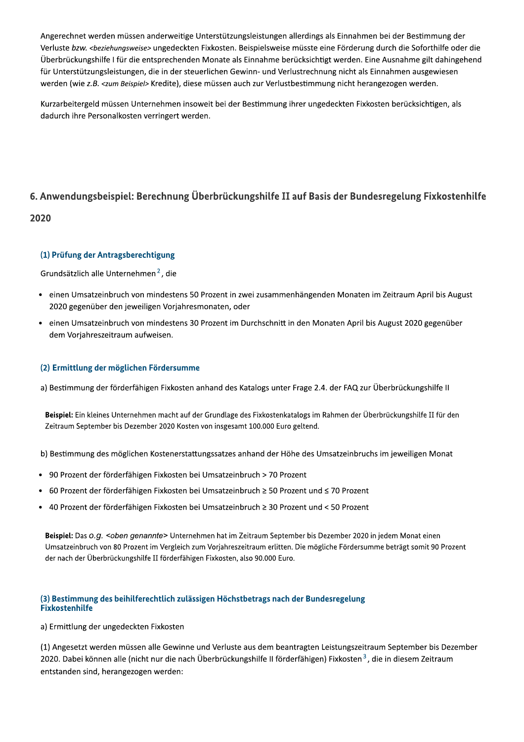Angerechnet werden müssen anderweitige Unterstützungsleistungen allerdings als Einnahmen bei der Bestimmung der Verluste bzw. <beziehungsweise> ungedeckten Fixkosten. Beispielsweise müsste eine Förderung durch die Soforthilfe oder die Überbrückungshilfe I für die entsprechenden Monate als Einnahme berücksichtigt werden. Eine Ausnahme gilt dahingehend für Unterstützungsleistungen, die in der steuerlichen Gewinn- und Verlustrechnung nicht als Einnahmen ausgewiesen werden (wie z.B. <zum Beispiel> Kredite), diese müssen auch zur Verlustbestimmung nicht herangezogen werden.

Kurzarbeitergeld müssen Unternehmen insoweit bei der Bestimmung ihrer ungedeckten Fixkosten berücksichtigen, als dadurch ihre Personalkosten verringert werden.

### 6. Anwendungsbeispiel: Berechnung Überbrückungshilfe II auf Basis der Bundesregelung Fixkostenhilfe

#### 2020

#### (1) Prüfung der Antragsberechtigung

Grundsätzlich alle Unternehmen<sup>2</sup>, die

- einen Umsatzeinbruch von mindestens 50 Prozent in zwei zusammenhängenden Monaten im Zeitraum April bis August  $\bullet$ 2020 gegenüber den jeweiligen Vorjahresmonaten, oder
- einen Umsatzeinbruch von mindestens 30 Prozent im Durchschnitt in den Monaten April bis August 2020 gegenüber dem Vorjahreszeitraum aufweisen.

#### (2) Ermittlung der möglichen Fördersumme

a) Bestimmung der förderfähigen Fixkosten anhand des Katalogs unter Frage 2.4. der FAQ zur Überbrückungshilfe II

Beispiel: Ein kleines Unternehmen macht auf der Grundlage des Fixkostenkatalogs im Rahmen der Überbrückungshilfe II für den Zeitraum September bis Dezember 2020 Kosten von insgesamt 100.000 Euro geltend.

b) Bestimmung des möglichen Kostenerstattungssatzes anhand der Höhe des Umsatzeinbruchs im jeweiligen Monat

- 90 Prozent der förderfähigen Fixkosten bei Umsatzeinbruch > 70 Prozent
- 60 Prozent der förderfähigen Fixkosten bei Umsatzeinbruch ≥ 50 Prozent und ≤ 70 Prozent
- 40 Prozent der förderfähigen Fixkosten bei Umsatzeinbruch ≥ 30 Prozent und < 50 Prozent

Beispiel: Das o.g. <oben genannte> Unternehmen hat im Zeitraum September bis Dezember 2020 in jedem Monat einen Umsatzeinbruch von 80 Prozent im Vergleich zum Vorjahreszeitraum erlitten. Die mögliche Fördersumme beträgt somit 90 Prozent der nach der Überbrückungshilfe II förderfähigen Fixkosten, also 90.000 Euro.

#### (3) Bestimmung des beihilferechtlich zulässigen Höchstbetrags nach der Bundesregelung **Fixkostenhilfe**

a) Ermittlung der ungedeckten Fixkosten

(1) Angesetzt werden müssen alle Gewinne und Verluste aus dem beantragten Leistungszeitraum September bis Dezember 2020. Dabei können alle (nicht nur die nach Überbrückungshilfe II förderfähigen) Fixkosten<sup>3</sup>, die in diesem Zeitraum entstanden sind, herangezogen werden: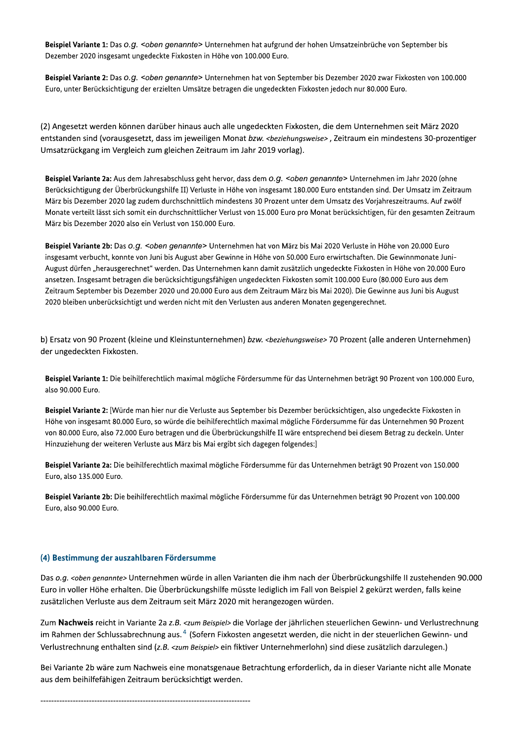Beispiel Variante 1: Das O.G. <oben genannte> Unternehmen hat aufgrund der hohen Umsatzeinbrüche von September bis Dezember 2020 insgesamt ungedeckte Fixkosten in Höhe von 100.000 Euro.

Beispiel Variante 2: Das O.g. <oben genannte> Unternehmen hat von September bis Dezember 2020 zwar Fixkosten von 100.000 Euro, unter Berücksichtigung der erzielten Umsätze betragen die ungedeckten Fixkosten jedoch nur 80.000 Euro.

(2) Angesetzt werden können darüber hinaus auch alle ungedeckten Fixkosten, die dem Unternehmen seit März 2020 entstanden sind (vorausgesetzt, dass im jeweiligen Monat bzw. <beziehungsweise>, Zeitraum ein mindestens 30-prozentiger Umsatzrückgang im Vergleich zum gleichen Zeitraum im Jahr 2019 vorlag).

Beispiel Variante 2a: Aus dem Jahresabschluss geht hervor, dass dem O.g. <oben genannte> Unternehmen im Jahr 2020 (ohne Berücksichtigung der Überbrückungshilfe II) Verluste in Höhe von insgesamt 180.000 Euro entstanden sind. Der Umsatz im Zeitraum März bis Dezember 2020 lag zudem durchschnittlich mindestens 30 Prozent unter dem Umsatz des Vorjahreszeitraums. Auf zwölf Monate verteilt lässt sich somit ein durchschnittlicher Verlust von 15.000 Euro pro Monat berücksichtigen, für den gesamten Zeitraum März bis Dezember 2020 also ein Verlust von 150.000 Euro.

Beispiel Variante 2b: Das O.G. < oben genannte> Unternehmen hat von März bis Mai 2020 Verluste in Höhe von 20.000 Euro insgesamt verbucht, konnte von Juni bis August aber Gewinne in Höhe von 50.000 Euro erwirtschaften. Die Gewinnmonate Juni-August dürfen "herausgerechnet" werden. Das Unternehmen kann damit zusätzlich ungedeckte Fixkosten in Höhe von 20.000 Euro ansetzen. Insgesamt betragen die berücksichtigungsfähigen ungedeckten Fixkosten somit 100.000 Euro (80.000 Euro aus dem Zeitraum September bis Dezember 2020 und 20.000 Euro aus dem Zeitraum März bis Mai 2020). Die Gewinne aus Juni bis August 2020 bleiben unberücksichtigt und werden nicht mit den Verlusten aus anderen Monaten gegengerechnet.

b) Ersatz von 90 Prozent (kleine und Kleinstunternehmen) bzw. <beziehungsweise> 70 Prozent (alle anderen Unternehmen) der ungedeckten Fixkosten.

Beispiel Variante 1: Die beihilferechtlich maximal mögliche Fördersumme für das Unternehmen beträgt 90 Prozent von 100.000 Euro, also 90.000 Euro.

Beispiel Variante 2: [Würde man hier nur die Verluste aus September bis Dezember berücksichtigen, also ungedeckte Fixkosten in Höhe von insgesamt 80.000 Euro, so würde die beihilferechtlich maximal mögliche Fördersumme für das Unternehmen 90 Prozent von 80.000 Euro, also 72.000 Euro betragen und die Überbrückungshilfe II wäre entsprechend bei diesem Betrag zu deckeln. Unter Hinzuziehung der weiteren Verluste aus März bis Mai ergibt sich dagegen folgendes:]

Beispiel Variante 2a: Die beihilferechtlich maximal mögliche Fördersumme für das Unternehmen beträgt 90 Prozent von 150.000 Euro, also 135.000 Euro.

Beispiel Variante 2b: Die beihilferechtlich maximal mögliche Fördersumme für das Unternehmen beträgt 90 Prozent von 100.000 Euro, also 90.000 Euro.

#### (4) Bestimmung der auszahlbaren Fördersumme

Das o.g. <oben genannte> Unternehmen würde in allen Varianten die ihm nach der Überbrückungshilfe II zustehenden 90.000 Euro in voller Höhe erhalten. Die Überbrückungshilfe müsste lediglich im Fall von Beispiel 2 gekürzt werden, falls keine zusätzlichen Verluste aus dem Zeitraum seit März 2020 mit herangezogen würden.

Zum Nachweis reicht in Variante 2a z.B. <zum Beispiel> die Vorlage der jährlichen steuerlichen Gewinn- und Verlustrechnung im Rahmen der Schlussabrechnung aus.<sup>4</sup> (Sofern Fixkosten angesetzt werden, die nicht in der steuerlichen Gewinn- und Verlustrechnung enthalten sind (z.B. <zum Beispiel> ein fiktiver Unternehmerlohn) sind diese zusätzlich darzulegen.)

Bei Variante 2b wäre zum Nachweis eine monatsgenaue Betrachtung erforderlich, da in dieser Variante nicht alle Monate aus dem beihilfefähigen Zeitraum berücksichtigt werden.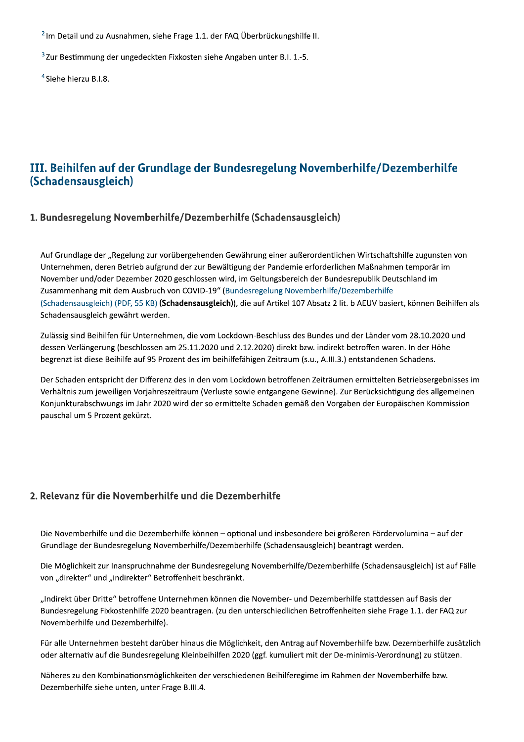<sup>2</sup> Im Detail und zu Ausnahmen, siehe Frage 1.1. der FAQ Überbrückungshilfe II.

<sup>3</sup> Zur Bestimmung der ungedeckten Fixkosten siehe Angaben unter B.I. 1.-5.

<sup>4</sup> Siehe hierzu B.I.8.

# III. Beihilfen auf der Grundlage der Bundesregelung Novemberhilfe/Dezemberhilfe (Schadensausgleich)

#### 1. Bundesregelung Novemberhilfe/Dezemberhilfe (Schadensausgleich)

Auf Grundlage der "Regelung zur vorübergehenden Gewährung einer außerordentlichen Wirtschaftshilfe zugunsten von Unternehmen, deren Betrieb aufgrund der zur Bewältigung der Pandemie erforderlichen Maßnahmen temporär im November und/oder Dezember 2020 geschlossen wird, im Geltungsbereich der Bundesrepublik Deutschland im Zusammenhang mit dem Ausbruch von COVID-19" (Bundesregelung Novemberhilfe/Dezemberhilfe (Schadensausgleich) (PDF, 55 KB) (Schadensausgleich)), die auf Artikel 107 Absatz 2 lit. b AEUV basiert, können Beihilfen als Schadensausgleich gewährt werden.

Zulässig sind Beihilfen für Unternehmen, die vom Lockdown-Beschluss des Bundes und der Länder vom 28.10.2020 und dessen Verlängerung (beschlossen am 25.11.2020 und 2.12.2020) direkt bzw. indirekt betroffen waren. In der Höhe begrenzt ist diese Beihilfe auf 95 Prozent des im beihilfefähigen Zeitraum (s.u., A.III.3.) entstandenen Schadens.

Der Schaden entspricht der Differenz des in den vom Lockdown betroffenen Zeiträumen ermittelten Betriebsergebnisses im Verhältnis zum jeweiligen Vorjahreszeitraum (Verluste sowie entgangene Gewinne). Zur Berücksichtigung des allgemeinen Konjunkturabschwungs im Jahr 2020 wird der so ermittelte Schaden gemäß den Vorgaben der Europäischen Kommission pauschal um 5 Prozent gekürzt.

#### 2. Relevanz für die Novemberhilfe und die Dezemberhilfe

Die Novemberhilfe und die Dezemberhilfe können - optional und insbesondere bei größeren Fördervolumina - auf der Grundlage der Bundesregelung Novemberhilfe/Dezemberhilfe (Schadensausgleich) beantragt werden.

Die Möglichkeit zur Inanspruchnahme der Bundesregelung Novemberhilfe/Dezemberhilfe (Schadensausgleich) ist auf Fälle von "direkter" und "indirekter" Betroffenheit beschränkt.

"Indirekt über Dritte" betroffene Unternehmen können die November- und Dezemberhilfe stattdessen auf Basis der Bundesregelung Fixkostenhilfe 2020 beantragen. (zu den unterschiedlichen Betroffenheiten siehe Frage 1.1. der FAQ zur Novemberhilfe und Dezemberhilfe).

Für alle Unternehmen besteht darüber hinaus die Möglichkeit, den Antrag auf Novemberhilfe bzw. Dezemberhilfe zusätzlich oder alternativ auf die Bundesregelung Kleinbeihilfen 2020 (ggf. kumuliert mit der De-minimis-Verordnung) zu stützen.

Näheres zu den Kombinationsmöglichkeiten der verschiedenen Beihilferegime im Rahmen der Novemberhilfe bzw. Dezemberhilfe siehe unten, unter Frage B.III.4.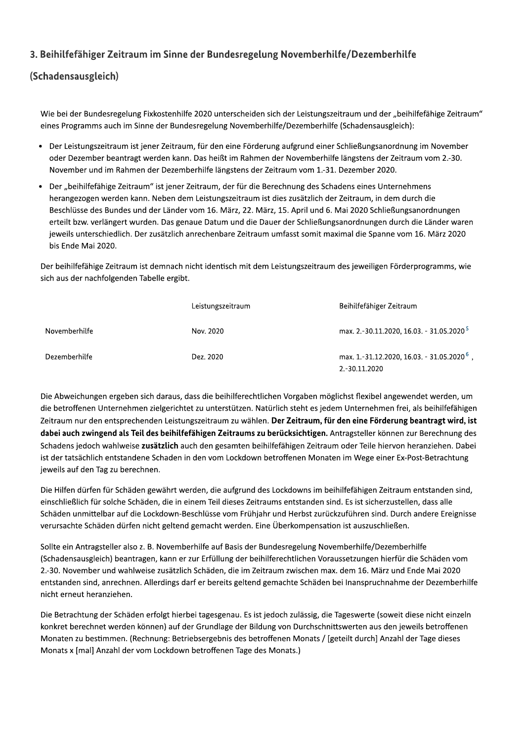### 3. Beihilfefähiger Zeitraum im Sinne der Bundesregelung Novemberhilfe/Dezemberhilfe

### (Schadensausgleich)

Wie bei der Bundesregelung Fixkostenhilfe 2020 unterscheiden sich der Leistungszeitraum und der "beihilfefähige Zeitraum" eines Programms auch im Sinne der Bundesregelung Novemberhilfe/Dezemberhilfe (Schadensausgleich):

- Der Leistungszeitraum ist jener Zeitraum, für den eine Förderung aufgrund einer Schließungsanordnung im November oder Dezember beantragt werden kann. Das heißt im Rahmen der Novemberhilfe längstens der Zeitraum vom 2.-30. November und im Rahmen der Dezemberhilfe längstens der Zeitraum vom 1.-31. Dezember 2020.
- Der "beihilfefähige Zeitraum" ist jener Zeitraum, der für die Berechnung des Schadens eines Unternehmens herangezogen werden kann. Neben dem Leistungszeitraum ist dies zusätzlich der Zeitraum, in dem durch die Beschlüsse des Bundes und der Länder vom 16. März, 22. März, 15. April und 6. Mai 2020 Schließungsanordnungen erteilt bzw. verlängert wurden. Das genaue Datum und die Dauer der Schließungsanordnungen durch die Länder waren jeweils unterschiedlich. Der zusätzlich anrechenbare Zeitraum umfasst somit maximal die Spanne vom 16. März 2020 bis Ende Mai 2020.

Der beihilfefähige Zeitraum ist demnach nicht identisch mit dem Leistungszeitraum des jeweiligen Förderprogramms, wie sich aus der nachfolgenden Tabelle ergibt.

|               | Leistungszeitraum | Beihilfefähiger Zeitraum                                                |
|---------------|-------------------|-------------------------------------------------------------------------|
| Novemberhilfe | Nov. 2020         | max. 2.-30.11.2020, 16.03. - 31.05.2020 <sup>5</sup>                    |
| Dezemberhilfe | Dez. 2020         | max. 1.-31.12.2020, 16.03. - 31.05.2020 <sup>6</sup> ,<br>2.-30.11.2020 |

Die Abweichungen ergeben sich daraus, dass die beihilferechtlichen Vorgaben möglichst flexibel angewendet werden, um die betroffenen Unternehmen zielgerichtet zu unterstützen. Natürlich steht es jedem Unternehmen frei, als beihilfefähigen Zeitraum nur den entsprechenden Leistungszeitraum zu wählen. Der Zeitraum, für den eine Förderung beantragt wird, ist dabei auch zwingend als Teil des beihilfefähigen Zeitraums zu berücksichtigen. Antragsteller können zur Berechnung des Schadens jedoch wahlweise zusätzlich auch den gesamten beihilfefähigen Zeitraum oder Teile hiervon heranziehen. Dabei ist der tatsächlich entstandene Schaden in den vom Lockdown betroffenen Monaten im Wege einer Ex-Post-Betrachtung jeweils auf den Tag zu berechnen.

Die Hilfen dürfen für Schäden gewährt werden, die aufgrund des Lockdowns im beihilfefähigen Zeitraum entstanden sind, einschließlich für solche Schäden, die in einem Teil dieses Zeitraums entstanden sind. Es ist sicherzustellen, dass alle Schäden unmittelbar auf die Lockdown-Beschlüsse vom Frühjahr und Herbst zurückzuführen sind. Durch andere Ereignisse verursachte Schäden dürfen nicht geltend gemacht werden. Eine Überkompensation ist auszuschließen.

Sollte ein Antragsteller also z. B. Novemberhilfe auf Basis der Bundesregelung Novemberhilfe/Dezemberhilfe (Schadensausgleich) beantragen, kann er zur Erfüllung der beihilferechtlichen Voraussetzungen hierfür die Schäden vom 2.-30. November und wahlweise zusätzlich Schäden, die im Zeitraum zwischen max. dem 16. März und Ende Mai 2020 entstanden sind, anrechnen. Allerdings darf er bereits geltend gemachte Schäden bei Inanspruchnahme der Dezemberhilfe nicht erneut heranziehen.

Die Betrachtung der Schäden erfolgt hierbei tagesgenau. Es ist jedoch zulässig, die Tageswerte (soweit diese nicht einzeln konkret berechnet werden können) auf der Grundlage der Bildung von Durchschnittswerten aus den jeweils betroffenen Monaten zu bestimmen. (Rechnung: Betriebsergebnis des betroffenen Monats / [geteilt durch] Anzahl der Tage dieses Monats x [mal] Anzahl der vom Lockdown betroffenen Tage des Monats.)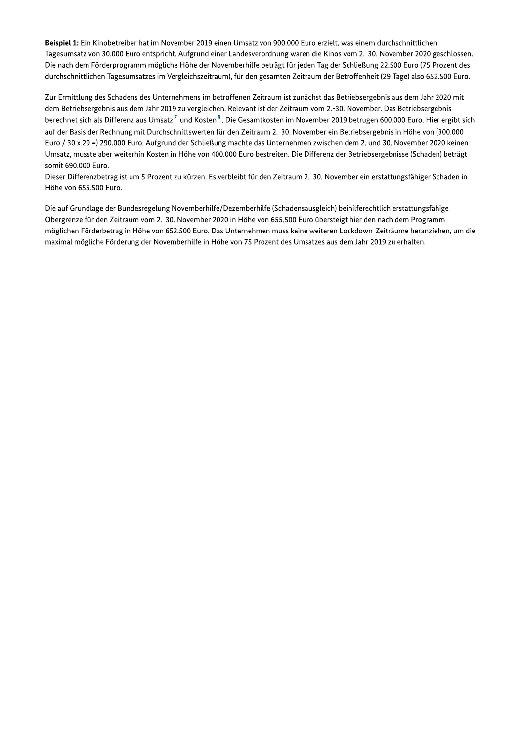Beispiel 1: Ein Kinobetreiber hat im November 2019 einen Umsatz von 900.000 Euro erzielt, was einem durchschnittlichen Tagesumsatz von 30.000 Euro entspricht. Aufgrund einer Landesverordnung waren die Kinos vom 2.-30. November 2020 geschlossen. Die nach dem Förderprogramm mögliche Höhe der Novemberhilfe beträgt für jeden Tag der Schließung 22.500 Euro (75 Prozent des durchschnittlichen Tagesumsatzes im Vergleichszeitraum), für den gesamten Zeitraum der Betroffenheit (29 Tage) also 652.500 Euro.

Zur Ermittlung des Schadens des Unternehmens im betroffenen Zeitraum ist zunächst das Betriebsergebnis aus dem Jahr 2020 mit dem Betriebsergebnis aus dem Jahr 2019 zu vergleichen. Relevant ist der Zeitraum vom 2.-30. November. Das Betriebsergebnis berechnet sich als Differenz aus Umsatz<sup>7</sup> und Kosten<sup>8</sup>. Die Gesamtkosten im November 2019 betrugen 600.000 Euro. Hier ergibt sich auf der Basis der Rechnung mit Durchschnittswerten für den Zeitraum 2.-30. November ein Betriebsergebnis in Höhe von (300.000 Euro / 30 x 29 =) 290.000 Euro. Aufgrund der Schließung machte das Unternehmen zwischen dem 2. und 30. November 2020 keinen Umsatz, musste aber weiterhin Kosten in Höhe von 400.000 Euro bestreiten. Die Differenz der Betriebsergebnisse (Schaden) beträgt somit 690.000 Euro.

Dieser Differenzbetrag ist um 5 Prozent zu kürzen. Es verbleibt für den Zeitraum 2.-30. November ein erstattungsfähiger Schaden in Höhe von 655.500 Euro.

Die auf Grundlage der Bundesregelung Novemberhilfe/Dezemberhilfe (Schadensausgleich) beihilferechtlich erstattungsfähige Obergrenze für den Zeitraum vom 2.-30. November 2020 in Höhe von 655.500 Euro übersteigt hier den nach dem Programm möglichen Förderbetrag in Höhe von 652.500 Euro. Das Unternehmen muss keine weiteren Lockdown-Zeiträume heranziehen, um die maximal mögliche Förderung der Novemberhilfe in Höhe von 75 Prozent des Umsatzes aus dem Jahr 2019 zu erhalten.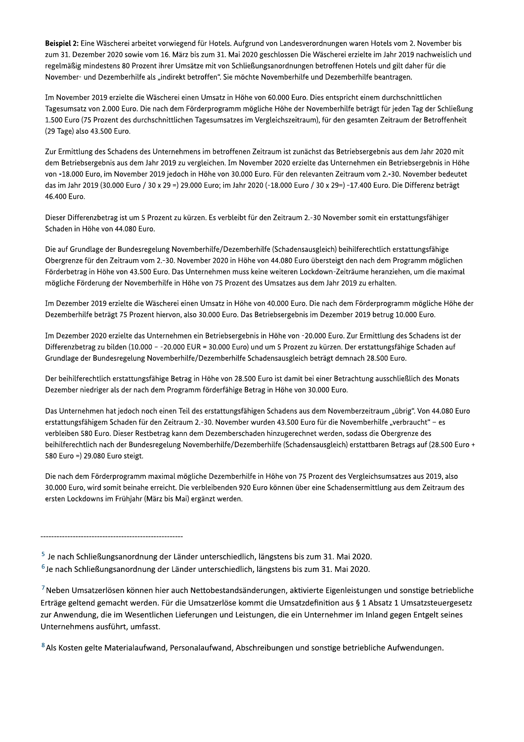Beispiel 2: Eine Wäscherei arbeitet vorwiegend für Hotels. Aufgrund von Landesverordnungen waren Hotels vom 2. November bis zum 31. Dezember 2020 sowie vom 16. März bis zum 31. Mai 2020 geschlossen Die Wäscherei erzielte im Jahr 2019 nachweislich und regelmäßig mindestens 80 Prozent ihrer Umsätze mit von Schließungsanordnungen betroffenen Hotels und gilt daher für die November- und Dezemberhilfe als "indirekt betroffen". Sie möchte Novemberhilfe und Dezemberhilfe beantragen.

Im November 2019 erzielte die Wäscherei einen Umsatz in Höhe von 60.000 Euro. Dies entspricht einem durchschnittlichen Tagesumsatz von 2.000 Euro. Die nach dem Förderprogramm mögliche Höhe der Novemberhilfe beträgt für jeden Tag der Schließung 1.500 Euro (75 Prozent des durchschnittlichen Tagesumsatzes im Vergleichszeitraum), für den gesamten Zeitraum der Betroffenheit (29 Tage) also 43.500 Euro.

Zur Ermittlung des Schadens des Unternehmens im betroffenen Zeitraum ist zunächst das Betriebsergebnis aus dem Jahr 2020 mit dem Betriebsergebnis aus dem Jahr 2019 zu vergleichen. Im November 2020 erzielte das Unternehmen ein Betriebsergebnis in Höhe von -18.000 Euro, im November 2019 jedoch in Höhe von 30.000 Euro. Für den relevanten Zeitraum vom 2.-30. November bedeutet das im Jahr 2019 (30.000 Euro / 30 x 29 =) 29.000 Euro; im Jahr 2020 (-18.000 Euro / 30 x 29=) -17.400 Euro. Die Differenz beträgt 46.400 Euro.

Dieser Differenzbetrag ist um 5 Prozent zu kürzen. Es verbleibt für den Zeitraum 2.-30 November somit ein erstattungsfähiger Schaden in Höhe von 44.080 Euro.

Die auf Grundlage der Bundesregelung Novemberhilfe/Dezemberhilfe (Schadensausgleich) beihilferechtlich erstattungsfähige Obergrenze für den Zeitraum vom 2.-30. November 2020 in Höhe von 44.080 Euro übersteigt den nach dem Programm möglichen Förderbetrag in Höhe von 43.500 Euro. Das Unternehmen muss keine weiteren Lockdown-Zeiträume heranziehen, um die maximal mögliche Förderung der Novemberhilfe in Höhe von 75 Prozent des Umsatzes aus dem Jahr 2019 zu erhalten.

Im Dezember 2019 erzielte die Wäscherei einen Umsatz in Höhe von 40.000 Euro. Die nach dem Förderprogramm mögliche Höhe der Dezemberhilfe beträgt 75 Prozent hiervon, also 30.000 Euro. Das Betriebsergebnis im Dezember 2019 betrug 10.000 Euro.

Im Dezember 2020 erzielte das Unternehmen ein Betriebsergebnis in Höhe von -20.000 Euro. Zur Ermittlung des Schadens ist der Differenzbetrag zu bilden (10.000 - -20.000 EUR = 30.000 Euro) und um 5 Prozent zu kürzen. Der erstattungsfähige Schaden auf Grundlage der Bundesregelung Novemberhilfe/Dezemberhilfe Schadensausgleich beträgt demnach 28.500 Euro.

Der beihilferechtlich erstattungsfähige Betrag in Höhe von 28.500 Euro ist damit bei einer Betrachtung ausschließlich des Monats Dezember niedriger als der nach dem Programm förderfähige Betrag in Höhe von 30.000 Euro.

Das Unternehmen hat jedoch noch einen Teil des erstattungsfähigen Schadens aus dem Novemberzeitraum "übrig". Von 44.080 Euro erstattungsfähigem Schaden für den Zeitraum 2.-30. November wurden 43.500 Euro für die Novemberhilfe "verbraucht" - es verbleiben 580 Euro. Dieser Restbetrag kann dem Dezemberschaden hinzugerechnet werden, sodass die Obergrenze des beihilferechtlich nach der Bundesregelung Novemberhilfe/Dezemberhilfe (Schadensausgleich) erstattbaren Betrags auf (28.500 Euro + 580 Euro =) 29.080 Euro steigt.

Die nach dem Förderprogramm maximal mögliche Dezemberhilfe in Höhe von 75 Prozent des Vergleichsumsatzes aus 2019, also 30.000 Euro, wird somit beinahe erreicht. Die verbleibenden 920 Euro können über eine Schadensermittlung aus dem Zeitraum des ersten Lockdowns im Frühjahr (März bis Mai) ergänzt werden.

<sup>8</sup> Als Kosten gelte Materialaufwand, Personalaufwand, Abschreibungen und sonstige betriebliche Aufwendungen.

 $<sup>5</sup>$  Je nach Schließungsanordnung der Länder unterschiedlich, längstens bis zum 31. Mai 2020.</sup> <sup>6</sup> Je nach Schließungsanordnung der Länder unterschiedlich, längstens bis zum 31. Mai 2020.

<sup>7</sup> Neben Umsatzerlösen können hier auch Nettobestandsänderungen, aktivierte Eigenleistungen und sonstige betriebliche Erträge geltend gemacht werden. Für die Umsatzerlöse kommt die Umsatzdefinition aus § 1 Absatz 1 Umsatzsteuergesetz zur Anwendung, die im Wesentlichen Lieferungen und Leistungen, die ein Unternehmer im Inland gegen Entgelt seines Unternehmens ausführt, umfasst.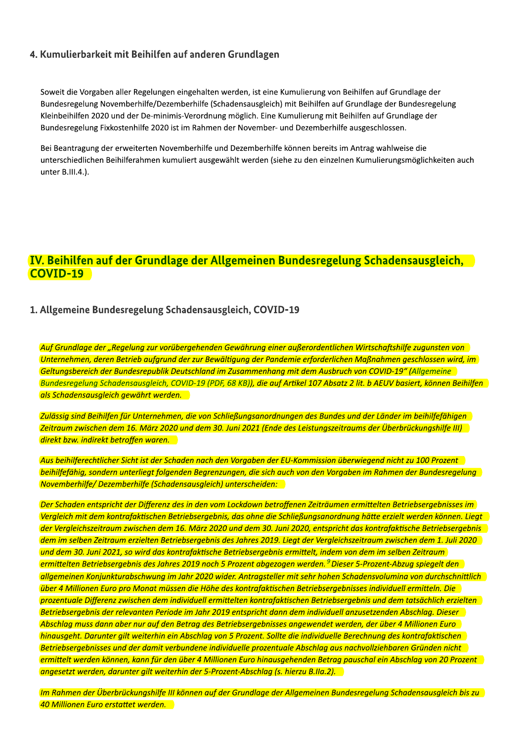#### 4. Kumulierbarkeit mit Beihilfen auf anderen Grundlagen

Soweit die Vorgaben aller Regelungen eingehalten werden, ist eine Kumulierung von Beihilfen auf Grundlage der Bundesregelung Novemberhilfe/Dezemberhilfe (Schadensausgleich) mit Beihilfen auf Grundlage der Bundesregelung Kleinbeihilfen 2020 und der De-minimis-Verordnung möglich. Eine Kumulierung mit Beihilfen auf Grundlage der Bundesregelung Fixkostenhilfe 2020 ist im Rahmen der November- und Dezemberhilfe ausgeschlossen.

Bei Beantragung der erweiterten Novemberhilfe und Dezemberhilfe können bereits im Antrag wahlweise die unterschiedlichen Beihilferahmen kumuliert ausgewählt werden (siehe zu den einzelnen Kumulierungsmöglichkeiten auch unter B.III.4.).

# **IV. Beihilfen auf der Grundlage der Allgemeinen Bundesregelung Schadensausgleich, COVID-19**

#### 1. Allgemeine Bundesregelung Schadensausgleich, COVID-19

Auf Grundlage der "Regelung zur vorübergehenden Gewährung einer außerordentlichen Wirtschaftshilfe zugunsten von Unternehmen, deren Betrieb aufgrund der zur Bewältigung der Pandemie erforderlichen Maßnahmen geschlossen wird, im Geltungsbereich der Bundesrepublik Deutschland im Zusammenhang mit dem Ausbruch von COVID-19" (Allgemeine Bundesregelung Schadensausgleich, COVID-19 (PDF, 68 KB)), die auf Artikel 107 Absatz 2 lit. b AEUV basiert, können Beihilfen als Schadensausgleich gewährt werden.

Zulässig sind Beihilfen für Unternehmen, die von Schließungsanordnungen des Bundes und der Länder im beihilfefähigen Zeitraum zwischen dem 16. März 2020 und dem 30. Juni 2021 (Ende des Leistungszeitraums der Überbrückungshilfe III) direkt bzw. indirekt betroffen waren.

Aus beihilferechtlicher Sicht ist der Schaden nach den Vorgaben der EU-Kommission überwiegend nicht zu 100 Prozent beihilfefähig, sondern unterliegt folgenden Begrenzungen, die sich auch von den Vorgaben im Rahmen der Bundesregelung Novemberhilfe/Dezemberhilfe (Schadensausgleich) unterscheiden:

Der Schaden entspricht der Differenz des in den vom Lockdown betroffenen Zeiträumen ermittelten Betriebsergebnisses im Vergleich mit dem kontrafaktischen Betriebsergebnis, das ohne die Schließungsanordnung hätte erzielt werden können. Liegt der Vergleichszeitraum zwischen dem 16. März 2020 und dem 30. Juni 2020, entspricht das kontrafaktische Betriebsergebnis dem im selben Zeitraum erzielten Betriebsergebnis des Jahres 2019. Liegt der Vergleichszeitraum zwischen dem 1. Juli 2020 und dem 30. Juni 2021, so wird das kontrafaktische Betriebsergebnis ermittelt, indem von dem im selben Zeitraum ermittelten Betriebsergebnis des Jahres 2019 noch 5 Prozent abgezogen werden. <sup>9</sup> Dieser 5-Prozent-Abzug spiegelt den allgemeinen Konjunkturabschwung im Jahr 2020 wider. Antragsteller mit sehr hohen Schadensvoluming von durchschnittlich über 4 Millionen Euro pro Monat müssen die Höhe des kontrafaktischen Betriebsergebnisses individuell ermitteln. Die prozentuale Differenz zwischen dem individuell ermittelten kontrafaktischen Betriebsergebnis und dem tatsächlich erzielten Betriebsergebnis der relevanten Periode im Jahr 2019 entspricht dann dem individuell anzusetzenden Abschlag. Dieser Abschlag muss dann aber nur auf den Betrag des Betriebsergebnisses angewendet werden, der über 4 Millionen Euro hinausgeht. Darunter gilt weiterhin ein Abschlag von 5 Prozent. Sollte die individuelle Berechnung des kontrafaktischen Betriebsergebnisses und der damit verbundene individuelle prozentuale Abschlag aus nachvollziehbaren Gründen nicht ermittelt werden können, kann für den über 4 Millionen Euro hinausgehenden Betrag pauschal ein Abschlag von 20 Prozent angesetzt werden, darunter gilt weiterhin der 5-Prozent-Abschlag (s. hierzu B.IIa.2).

Im Rahmen der Überbrückungshilfe III können auf der Grundlage der Allgemeinen Bundesregelung Schadensausgleich bis zu 40 Millionen Euro erstattet werden.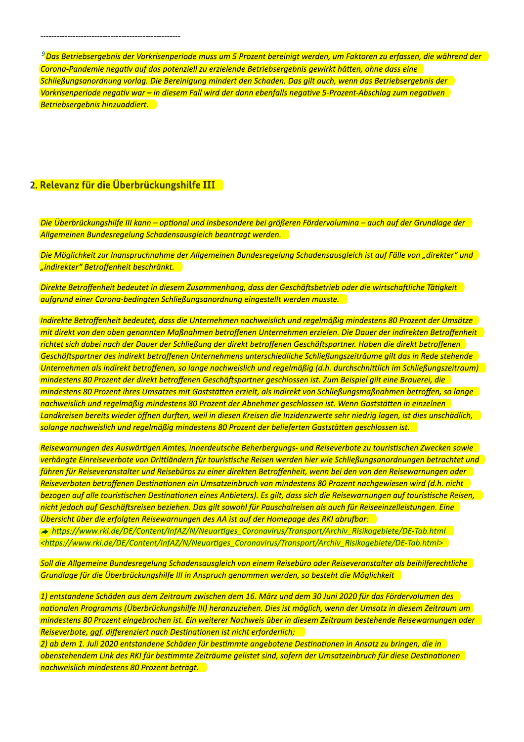<sup>9</sup> Das Betriebsergebnis der Vorkrisenperiode muss um 5 Prozent bereinigt werden, um Faktoren zu erfassen, die während der Corona-Pandemie negativ auf das potenziell zu erzielende Betriebsergebnis gewirkt hätten, ohne dass eine Schließungsanordnung vorlag. Die Bereinigung mindert den Schaden. Das gilt auch, wenn das Betriebsergebnis der Vorkrisenperiode negativ war – in diesem Fall wird der dann ebenfalls negative 5-Prozent-Abschlag zum negativen Betriebsergebnis hinzuaddiert.

#### 2. Relevanz für die Überbrückungshilfe III

Die Überbrückungshilfe III kann – optional und insbesondere bei größeren Fördervolumina – auch auf der Grundlage der Allgemeinen Bundesregelung Schadensausgleich beantragt werden.

Die Möglichkeit zur Inanspruchnahme der Allgemeinen Bundesregelung Schadensausgleich ist auf Fälle von "direkter" und nindirekter" Betroffenheit beschränkt.

Direkte Betroffenheit bedeutet in diesem Zusammenhang, dass der Geschäftsbetrieb oder die wirtschaftliche Tätigkeit aufgrund einer Corong-bedingten Schließungsanordnung eingestellt werden musste.

Indirekte Betroffenheit bedeutet, dass die Unternehmen nachweislich und regelmäßig mindestens 80 Prozent der Umsätze mit direkt von den oben genannten Maßnahmen betroffenen Unternehmen erzielen. Die Dauer der indirekten Betroffenheit richtet sich dabei nach der Dauer der Schließung der direkt betroffenen Geschäftspartner. Haben die direkt betroffenen Geschäftspartner des indirekt betroffenen Unternehmens unterschiedliche Schließungszeiträume gilt das in Rede stehende Unternehmen als indirekt betroffenen, so lange nachweislich und regelmäßig (d.h. durchschnittlich im Schließungszeitraum) mindestens 80 Prozent der direkt betroffenen Geschäftspartner geschlossen ist. Zum Beispiel gilt eine Brauerei, die mindestens 80 Prozent ihres Umsatzes mit Gaststätten erzielt, als indirekt von Schließungsmaßnahmen betroffen, so lange nachweislich und regelmäßig mindestens 80 Prozent der Abnehmer geschlossen ist. Wenn Gaststätten in einzelnen Landkreisen bereits wieder öffnen durften, weil in diesen Kreisen die Inzidenzwerte sehr niedrig lagen, ist dies unschädlich, solange nachweislich und regelmäßig mindestens 80 Prozent der belieferten Gaststätten geschlossen ist.

Reisewarnungen des Auswärtigen Amtes, innerdeutsche Beherbergungs- und Reiseverbote zu touristischen Zwecken sowie verhängte Einreiseverbote von Drittländern für touristische Reisen werden hier wie Schließungsanordnungen betrachtet und führen für Reiseveranstalter und Reisebüros zu einer direkten Betroffenheit, wenn bei den von den Reisewarnungen oder Reiseverboten betroffenen Destinationen ein Umsatzeinbruch von mindestens 80 Prozent nachgewiesen wird (d.h. nicht bezogen auf alle touristischen Destinationen eines Anbieters). Es gilt, dass sich die Reisewarnungen auf touristische Reisen, nicht jedoch auf Geschäftsreisen beziehen. Das gilt sowohl für Pauschalreisen als auch für Reiseeinzelleistungen. Eine Übersicht über die erfolgten Reisewarnungen des AA ist auf der Homepage des RKI abrufbar:

→ https://www.rki.de/DE/Content/InfAZ/N/Neuartiges Coronavirus/Transport/Archiv Risikogebiete/DE-Tab.html <https://www.rki.de/DE/Content/InfAZ/N/Neuartiges\_Coronavirus/Transport/Archiv\_Risikogebiete/DE-Tab.html>

Soll die Allgemeine Bundesregelung Schadensausgleich von einem Reisebüro oder Reiseveranstalter als beihilferechtliche Grundlage für die Überbrückungshilfe III in Anspruch genommen werden, so besteht die Möglichkeit

1) entstandene Schäden aus dem Zeitraum zwischen dem 16. März und dem 30 Juni 2020 für das Fördervolumen des nationalen Programms (Überbrückungshilfe III) heranzuziehen. Dies ist möglich, wenn der Umsatz in diesem Zeitraum um mindestens 80 Prozent eingebrochen ist. Ein weiterer Nachweis über in diesem Zeitraum bestehende Reisewarnungen oder Reiseverbote, ggf. differenziert nach Destinationen ist nicht erforderlich;

2) ab dem 1. Juli 2020 entstandene Schäden für bestimmte angebotene Destinationen in Ansatz zu bringen, die in obenstehendem Link des RKI für bestimmte Zeiträume gelistet sind, sofern der Umsatzeinbruch für diese Destinationen nachweislich mindestens 80 Prozent beträgt.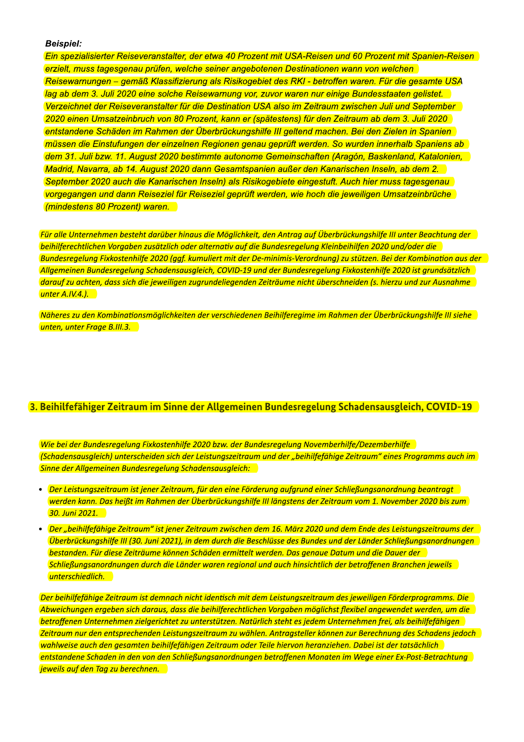#### **Beispiel:**

**Ein spezialisierter Reiseveranstalter, der etwa 40 Prozent mit USA-Reisen und 60 Prozent mit Spanien-Reisen** erzielt, muss tagesgenau prüfen, welche seiner angebotenen Destinationen wann von welchen Reisewarnungen – gemäß Klassifizierung als Risikogebiet des RKI - betroffen waren. Für die gesamte USA lag ab dem 3. Juli 2020 eine solche Reisewarnung vor, zuvor waren nur einige Bundesstaaten gelistet. Verzeichnet der Reiseveranstalter für die Destination USA also im Zeitraum zwischen Juli und September 2020 einen Umsatzeinbruch von 80 Prozent, kann er (spätestens) für den Zeitraum ab dem 3. Juli 2020 entstandene Schäden im Rahmen der Überbrückungshilfe III geltend machen. Bei den Zielen in Spanien müssen die Einstufungen der einzelnen Regionen genau geprüft werden. So wurden innerhalb Spaniens ab dem 31. Juli bzw. 11. August 2020 bestimmte autonome Gemeinschaften (Aragón, Baskenland, Katalonien, Madrid, Navarra, ab 14. August 2020 dann Gesamtspanien außer den Kanarischen Inseln, ab dem 2. September 2020 auch die Kanarischen Inseln) als Risikogebiete eingestuft. Auch hier muss tagesgenau vorgegangen und dann Reiseziel für Reiseziel geprüft werden, wie hoch die jeweiligen Umsatzeinbrüche (mindestens 80 Prozent) waren.

Für alle Unternehmen besteht darüber hinaus die Möglichkeit, den Antrag auf Überbrückungshilfe III unter Beachtung der beihilferechtlichen Vorgaben zusätzlich oder alternativ auf die Bundesregelung Kleinbeihilfen 2020 und/oder die Bundesregelung Fixkostenhilfe 2020 (ggf. kumuliert mit der De-minimis-Verordnung) zu stützen. Bei der Kombination aus der Allgemeinen Bundesregelung Schadensausgleich, COVID-19 und der Bundesregelung Fixkostenhilfe 2020 ist grundsätzlich darauf zu achten, dass sich die jeweiligen zugrundeliegenden Zeiträume nicht überschneiden (s. hierzu und zur Ausnahme unter A.IV.4.).

Näheres zu den Kombinationsmöglichkeiten der verschiedenen Beihilferegime im Rahmen der Überbrückungshilfe III siehe unten, unter Frage B.III.3.

#### 3. Beihilfefähiger Zeitraum im Sinne der Allgemeinen Bundesregelung Schadensausgleich, COVID-19

Wie bei der Bundesregelung Fixkostenhilfe 2020 bzw. der Bundesregelung Novemberhilfe/Dezemberhilfe (Schadensausgleich) unterscheiden sich der Leistungszeitraum und der "beihilfefähige Zeitraum" eines Programms auch im Sinne der Allgemeinen Bundesregelung Schadensausgleich:

- Der Leistungszeitraum ist jener Zeitraum, für den eine Förderung aufgrund einer Schließungsanordnung beantragt werden kann. Das heißt im Rahmen der Überbrückungshilfe III längstens der Zeitraum vom 1. November 2020 bis zum 30. Juni 2021.
- Der "beihilfefähige Zeitraum" ist jener Zeitraum zwischen dem 16. März 2020 und dem Ende des Leistungszeitraums der  $\bullet$ Uberbrückungshilfe III (30. Juni 2021), in dem durch die Beschlüsse des Bundes und der Länder Schließungsanordnungen bestanden. Für diese Zeiträume können Schäden ermittelt werden. Das genaue Datum und die Dauer der Schließungsanordnungen durch die Länder waren regional und auch hinsichtlich der betroffenen Branchen jeweils unterschiedlich.

Der beihilfefähige Zeitraum ist demnach nicht identisch mit dem Leistungszeitraum des jeweiligen Förderprogramms. Die Abweichungen ergeben sich daraus, dass die beihilferechtlichen Vorgaben möglichst flexibel angewendet werden, um die betroffenen Unternehmen zielgerichtet zu unterstützen. Natürlich steht es jedem Unternehmen frei, als beihilfefähigen Zeitraum nur den entsprechenden Leistungszeitraum zu wählen. Antragsteller können zur Berechnung des Schadens jedoch wahlweise auch den gesamten beihilfefähigen Zeitraum oder Teile hiervon heranziehen. Dabei ist der tatsächlich entstandene Schaden in den von den Schließungsanordnungen betroffenen Monaten im Wege einer Ex-Post-Betrachtung jeweils auf den Tag zu berechnen.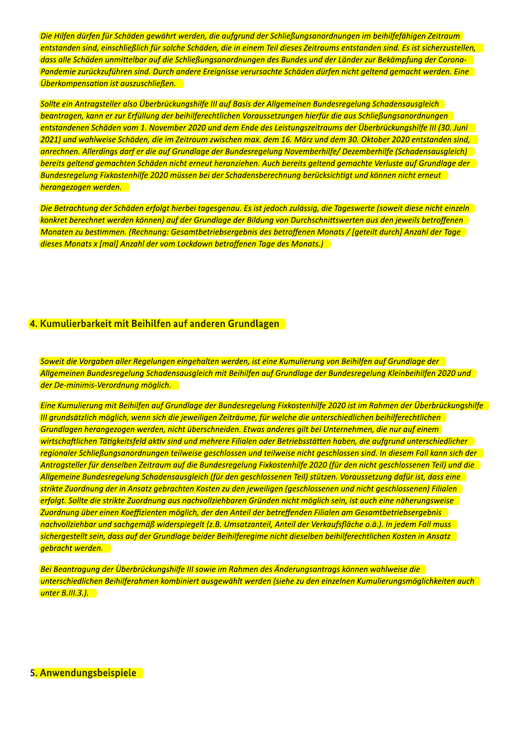Die Hilfen dürfen für Schäden gewährt werden, die aufgrund der Schließungsanordnungen im beihilfefähigen Zeitraum entstanden sind, einschließlich für solche Schäden, die in einem Teil dieses Zeitraums entstanden sind. Es ist sicherzustellen, dass alle Schäden unmittelbar auf die Schließungsanordnungen des Bundes und der Länder zur Bekämpfung der Corona-Pandemie zurückzuführen sind. Durch andere Ereignisse verursachte Schäden dürfen nicht geltend gemacht werden. Eine Überkompensation ist auszuschließen.

Sollte ein Antraasteller also Überbrückungshilfe III auf Basis der Allgemeinen Bundesregelung Schadensausgleich beantragen, kann er zur Erfüllung der beihilferechtlichen Voraussetzungen hierfür die aus Schließungsanordnungen entstandenen Schäden vom 1. November 2020 und dem Ende des Leistungszeitraums der Überbrückungshilfe III (30. Juni 2021) und wahlweise Schäden, die im Zeitraum zwischen max. dem 16. März und dem 30. Oktober 2020 entstanden sind, anrechnen. Allerdings darf er die auf Grundlage der Bundesregelung Novemberhilfe/Dezemberhilfe (Schadensausgleich) bereits geltend gemachten Schäden nicht erneut heranziehen. Auch bereits geltend gemachte Verluste auf Grundlage der Bundesregelung Fixkostenhilfe 2020 müssen bei der Schadensberechnung berücksichtigt und können nicht erneut herangezogen werden.

Die Betrachtung der Schäden erfolgt hierbei tagesgenau. Es ist jedoch zulässig, die Tageswerte (soweit diese nicht einzeln konkret berechnet werden können) auf der Grundlage der Bildung von Durchschnittswerten aus den jeweils betroffenen Monaten zu bestimmen. (Rechnung: Gesamtbetriebsergebnis des betroffenen Monats / [geteilt durch] Anzahl der Tage dieses Monats x [mal] Anzahl der vom Lockdown betroffenen Tage des Monats.)

#### 4. Kumulierbarkeit mit Beihilfen auf anderen Grundlagen

Soweit die Vorgaben aller Regelungen eingehalten werden, ist eine Kumulierung von Beihilfen auf Grundlage der Allgemeinen Bundesregelung Schadensausgleich mit Beihilfen auf Grundlage der Bundesregelung Kleinbeihilfen 2020 und der De-minimis-Verordnung möglich.

Eine Kumulierung mit Beihilfen auf Grundlage der Bundesregelung Fixkostenhilfe 2020 ist im Rahmen der Überbrückungshilfe III grundsätzlich möglich, wenn sich die jeweiligen Zeiträume, für welche die unterschiedlichen beihilferechtlichen Grundlagen herangezogen werden, nicht überschneiden. Etwas anderes gilt bei Unternehmen, die nur auf einem wirtschaftlichen Tätigkeitsfeld aktiv sind und mehrere Filialen oder Betriebsstätten haben, die aufgrund unterschiedlicher regionaler Schließungsanordnungen teilweise geschlossen und teilweise nicht geschlossen sind. In diesem Fall kann sich der Antragsteller für denselben Zeitraum auf die Bundesregelung Fixkostenhilfe 2020 (für den nicht geschlossenen Teil) und die Allgemeine Bundesregelung Schadensausgleich (für den geschlossenen Teil) stützen. Voraussetzung dafür ist, dass eine strikte Zuordnung der in Ansatz gebrachten Kosten zu den jeweiligen (geschlossenen und nicht geschlossenen) Filialen erfolgt. Sollte die strikte Zuordnung aus nachvollziehbaren Gründen nicht möglich sein, ist auch eine näherungsweise Zuordnung über einen Koeffizienten möglich, der den Anteil der betreffenden Filialen am Gesamtbetriebsergebnis nachvollziehbar und sachgemäß widerspiegelt (z.B. Umsatzanteil, Anteil der Verkaufsfläche o.ä.). In jedem Fall muss sichergestellt sein, dass auf der Grundlage beider Beihilferegime nicht dieselben beihilferechtlichen Kosten in Ansatz gebracht werden.

Bei Beantragung der Überbrückungshilfe III sowie im Rahmen des Änderungsantrags können wahlweise die unterschiedlichen Beihilferahmen kombiniert ausgewählt werden (siehe zu den einzelnen Kumulierungsmöglichkeiten auch unter B.III.3.).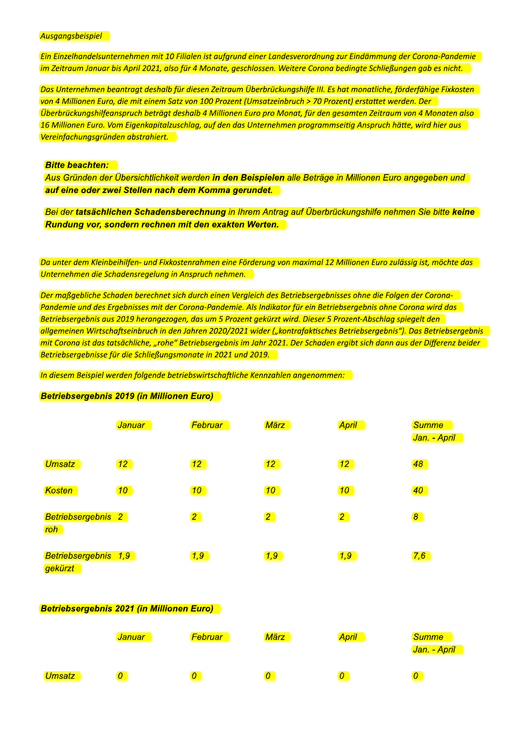Ausgangsbeispiel

Ein Einzelhandelsunternehmen mit 10 Filialen ist aufgrund einer Landesverordnung zur Eindämmung der Corona-Pandemie im Zeitraum Januar bis April 2021, also für 4 Monate, geschlossen. Weitere Corona bedingte Schließungen gab es nicht.

Das Unternehmen beantragt deshalb für diesen Zeitraum Überbrückungshilfe III. Es hat monatliche, förderfähige Fixkosten von 4 Millionen Euro, die mit einem Satz von 100 Prozent (Umsatzeinbruch > 70 Prozent) erstattet werden. Der Uberbrückungshilfeanspruch beträgt deshalb 4 Millionen Euro pro Monat, für den gesamten Zeitraum von 4 Monaten also 16 Millionen Euro. Vom Eigenkapitalzuschlag, auf den das Unternehmen programmseitig Anspruch hätte, wird hier aus Vereinfachungsgründen abstrahiert.

#### **Bitte beachten:**

Aus Gründen der Übersichtlichkeit werden in den Beispielen alle Beträge in Millionen Euro angegeben und auf eine oder zwei Stellen nach dem Komma gerundet.

Bei der tatsächlichen Schadensberechnung in Ihrem Antrag auf Überbrückungshilfe nehmen Sie bitte keine Rundung vor, sondern rechnen mit den exakten Werten.

Da unter dem Kleinbeihilfen- und Fixkostenrahmen eine Förderung von maximal 12 Millionen Euro zulässig ist, möchte das Unternehmen die Schadensregelung in Anspruch nehmen.

Der maßgebliche Schaden berechnet sich durch einen Vergleich des Betriebsergebnisses ohne die Folgen der Corona-Pandemie und des Ergebnisses mit der Corona-Pandemie. Als Indikator für ein Betriebsergebnis ohne Corona wird das Betriebsergebnis aus 2019 herangezogen, das um 5 Prozent gekürzt wird. Dieser 5 Prozent-Abschlag spiegelt den allgemeinen Wirtschaftseinbruch in den Jahren 2020/2021 wider ("kontrafaktisches Betriebsergebnis"). Das Betriebsergebnis mit Corona ist das tatsächliche, "rohe" Betriebsergebnis im Jahr 2021. Der Schaden ergibt sich dann aus der Differenz beider Betriebsergebnisse für die Schließungsmonate in 2021 und 2019.

In diesem Beispiel werden folgende betriebswirtschaftliche Kennzahlen angenommen:

#### Betriebsergebnis 2019 (in Millionen Euro)

|                                 | <b>Januar</b>   | Februar         | <b>März</b>     | <b>April</b>    | <b>Summe</b><br>Jan. - April |
|---------------------------------|-----------------|-----------------|-----------------|-----------------|------------------------------|
| <b>Umsatz</b>                   | 12 <sup>7</sup> | 12 <sup>7</sup> | 12 <sup>7</sup> | 12 <sup>7</sup> | 48                           |
| Kosten                          | 10 <sup>°</sup> | 10 <sup>°</sup> | 10 <sub>1</sub> | 10 <sub>1</sub> | 40 <sub>1</sub>              |
| Betriebsergebnis 2<br>roh       |                 | $\boxed{2}$     | $\boxed{2}$     | $\boxed{2}$     | $\boldsymbol{8}$             |
| Betriebsergebnis 1,9<br>gekürzt |                 | 1,9             | 1,9             | 1,9             | 7,6                          |

#### **Betriebsergebnis 2021 (in Millionen Euro)**

|               | <mark>Januar </mark> | <b>Februar</b> | März | <b>April</b> | <b>Summe</b><br><mark>Jan. - April</mark> |
|---------------|----------------------|----------------|------|--------------|-------------------------------------------|
| <b>Umsatz</b> | 0                    | 0              | 0    |              | 0                                         |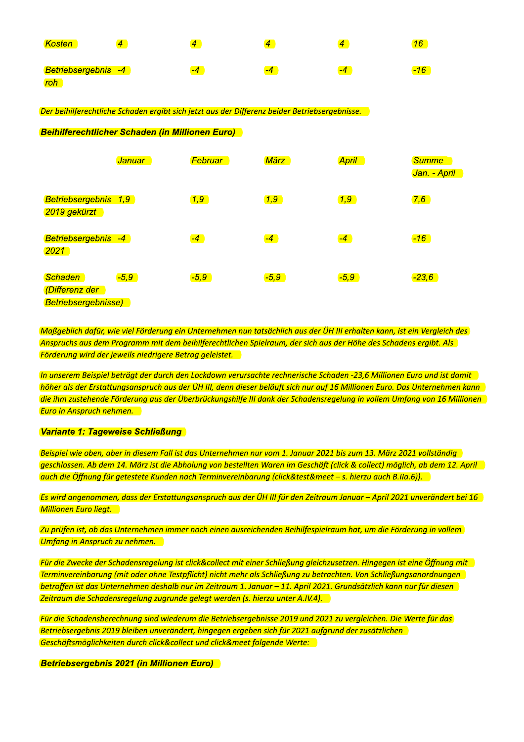| <b>Kosten</b>       |      | $\boldsymbol{a}$ |      |   |
|---------------------|------|------------------|------|---|
| Betriebsergebnis -4 | $-4$ | -4               | $-4$ | - |
| <b>roh</b>          |      |                  |      |   |

Der beihilferechtliche Schaden ergibt sich jetzt aus der Differenz beider Betriebsergebnisse.

**Beihilferechtlicher Schaden (in Millionen Euro)** 

|                                                                | <b>Januar</b> | <b>Februar</b> | <b>März</b> | <b>April</b>  | <b>Summe</b><br><mark>Jan. - April</mark> |
|----------------------------------------------------------------|---------------|----------------|-------------|---------------|-------------------------------------------|
| Betriebsergebnis 1,9<br>2019 gekürzt                           |               | 1,9            | 1,9         | $\boxed{1,9}$ | 7,6                                       |
| Betriebsergebnis -4<br>2021                                    |               | $-4$           | $-4$        | $-4$          | $-16$                                     |
| <b>Schaden</b><br>(Differenz der<br><b>Betriebsergebnisse)</b> | $-5,9$        | $-5,9$         | $-5,9$      | $-5,9$        | $-23,6$                                   |

Maßgeblich dafür, wie viel Förderung ein Unternehmen nun tatsächlich aus der ÜH III erhalten kann, ist ein Vergleich des Anspruchs aus dem Programm mit dem beihilferechtlichen Spielraum, der sich aus der Höhe des Schadens ergibt. Als Förderung wird der jeweils niedrigere Betrag geleistet.

In unserem Beispiel beträgt der durch den Lockdown verursachte rechnerische Schaden -23,6 Millionen Euro und ist damit höher als der Erstattungsanspruch aus der ÜH III, denn dieser beläuft sich nur auf 16 Millionen Euro. Das Unternehmen kann die ihm zustehende Förderung aus der Überbrückungshilfe III dank der Schadensregelung in vollem Umfang von 16 Millionen **Euro in Anspruch nehmen.** 

Variante 1: Tageweise Schließung

Beispiel wie oben, aber in diesem Fall ist das Unternehmen nur vom 1. Januar 2021 bis zum 13. März 2021 vollständig geschlossen. Ab dem 14. März ist die Abholung von bestellten Waren im Geschäft (click & collect) möglich, ab dem 12. April auch die Öffnung für getestete Kunden nach Terminvereinbarung (click&test&meet – s. hierzu auch B.IIa.6)).

Es wird angenommen, dass der Erstattungsanspruch aus der ÜH III für den Zeitraum Januar – April 2021 unverändert bei 16 Millionen Euro liegt.

Zu prüfen ist, ob das Unternehmen immer noch einen ausreichenden Beihilfespielraum hat, um die Förderung in vollem Umfang in Anspruch zu nehmen.

Für die Zwecke der Schadensregelung ist click&collect mit einer Schließung gleichzusetzen. Hingegen ist eine Öffnung mit Terminvereinbarung (mit oder ohne Testpflicht) nicht mehr als Schließung zu betrachten. Von Schließungsanordnungen betroffen ist das Unternehmen deshalb nur im Zeitraum 1. Januar – 11. April 2021. Grundsätzlich kann nur für diesen Zeitraum die Schadensregelung zugrunde gelegt werden (s. hierzu unter A.IV.4).

Für die Schadensberechnung sind wiederum die Betriebsergebnisse 2019 und 2021 zu vergleichen. Die Werte für das Betriebsergebnis 2019 bleiben unverändert, hingegen ergeben sich für 2021 aufgrund der zusätzlichen Geschäftsmöglichkeiten durch click&collect und click&meet folgende Werte:

**Betriebsergebnis 2021 (in Millionen Euro)**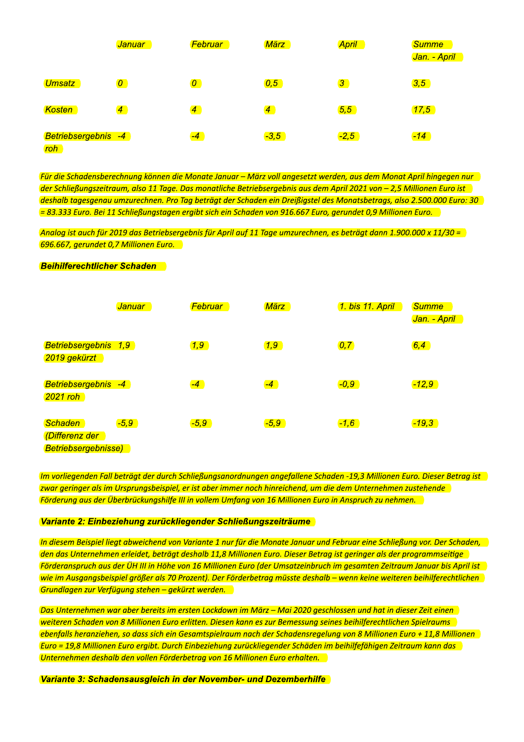|                            | <b>Januar</b>                         | Februar                                                                                                       | <b>März</b>      | <b>April</b>     | <b>Summe</b><br><mark>Jan. - April</mark>                                                                              |
|----------------------------|---------------------------------------|---------------------------------------------------------------------------------------------------------------|------------------|------------------|------------------------------------------------------------------------------------------------------------------------|
| <b>Umsatz</b>              | $\boxed{O}$                           | $\boxed{O}$                                                                                                   | $\overline{0,5}$ | $\boxed{3}$      | 3,5                                                                                                                    |
| Kosten                     | $\overline{4}$                        | $\overline{4}$                                                                                                | $\boxed{4}$      | $\overline{5,5}$ | (17,5)                                                                                                                 |
| Betriebsergebnis -4<br>roh |                                       | $-4$                                                                                                          | $-3,5$           | $-2,5$           | $-14$                                                                                                                  |
|                            |                                       |                                                                                                               |                  |                  |                                                                                                                        |
|                            |                                       |                                                                                                               |                  |                  | Für die Schadensberechnung können die Monate Januar - März voll angesetzt werden, aus dem Monat April hingegen nur     |
|                            |                                       |                                                                                                               |                  |                  | der Schließungszeitraum, also 11 Tage. Das monatliche Betriebsergebnis aus dem April 2021 von - 2,5 Millionen Euro ist |
|                            |                                       |                                                                                                               |                  |                  | deshalb tagesgenau umzurechnen. Pro Tag beträgt der Schaden ein Dreißigstel des Monatsbetrags, also 2.500.000 Euro: 30 |
|                            |                                       | = 83.333 Euro. Bei 11 Schließungstagen ergibt sich ein Schaden von 916.667 Euro, gerundet 0,9 Millionen Euro. |                  |                  |                                                                                                                        |
|                            |                                       |                                                                                                               |                  |                  | Analog ist auch für 2019 das Betriebsergebnis für April auf 11 Tage umzurechnen, es beträgt dann 1.900.000 x 11/30 =   |
|                            | 696.667, gerundet 0,7 Millionen Euro. |                                                                                                               |                  |                  |                                                                                                                        |
|                            | <b>Beihilferechtlicher Schaden</b>    |                                                                                                               |                  |                  |                                                                                                                        |

| Betriebsergebnis 1,9<br>$\boxed{1,9}$<br>$\overline{0,7}$<br>$\boxed{6,4}$<br>(1, 9)<br>2019 gekürzt<br>Betriebsergebnis -4<br>$-4$<br>$\boxed{-0, 9}$<br>$-12,9$<br>$-4$<br>$2021$ roh<br>Schaden<br>$-5,9$<br>$-5,9$<br>$-5,9$<br>$-1,6$<br>$-19,3$<br>(Differenz der<br><b>Betriebsergebnisse)</b><br>Im vorliegenden Fall beträgt der durch Schließungsanordnungen angefallene Schaden -19,3 Millionen Euro. Dieser Betrag ist<br>zwar geringer als im Ursprungsbeispiel, er ist aber immer noch hinreichend, um die dem Unternehmen zustehende<br>Förderung aus der Überbrückungshilfe III in vollem Umfang von 16 Millionen Euro in Anspruch zu nehmen.<br>Variante 2: Einbeziehung zurückliegender Schließungszeiträume<br>In diesem Beispiel liegt abweichend von Variante 1 nur für die Monate Januar und Februar eine Schließung vor. Der Schaden,<br>den das Unternehmen erleidet, beträgt deshalb 11,8 Millionen Euro. Dieser Betrag ist geringer als der programmseitige<br>Förderanspruch aus der UH III in Höhe von 16 Millionen Euro (der Umsatzeinbruch im gesamten Zeitraum Januar bis April ist<br>wie im Ausgangsbeispiel größer als 70 Prozent). Der Förderbetrag müsste deshalb – wenn keine weiteren beihilferechtlichen<br>Grundlagen zur Verfügung stehen - gekürzt werden.<br>Das Unternehmen war aber bereits im ersten Lockdown im März - Mai 2020 geschlossen und hat in dieser Zeit einen<br>weiteren Schaden von 8 Millionen Euro erlitten. Diesen kann es zur Bemessung seines beihilferechtlichen Spielraums<br>ebenfalls heranziehen, so dass sich ein Gesamtspielraum nach der Schadensregelung von 8 Millionen Euro + 11,8 Millionen<br>Euro = 19,8 Millionen Euro ergibt. Durch Einbeziehung zurückliegender Schäden im beihilfefähigen Zeitraum kann das<br>Unternehmen deshalb den vollen Förderbetrag von 16 Millionen Euro erhalten. | <mark>Januar</mark> | Februar | <b>März</b> | 1. bis 11. April | <b>Summe</b><br><mark>Jan. - April</mark> |
|-------------------------------------------------------------------------------------------------------------------------------------------------------------------------------------------------------------------------------------------------------------------------------------------------------------------------------------------------------------------------------------------------------------------------------------------------------------------------------------------------------------------------------------------------------------------------------------------------------------------------------------------------------------------------------------------------------------------------------------------------------------------------------------------------------------------------------------------------------------------------------------------------------------------------------------------------------------------------------------------------------------------------------------------------------------------------------------------------------------------------------------------------------------------------------------------------------------------------------------------------------------------------------------------------------------------------------------------------------------------------------------------------------------------------------------------------------------------------------------------------------------------------------------------------------------------------------------------------------------------------------------------------------------------------------------------------------------------------------------------------------------------------------------------------------------------------------------------------------------------------------|---------------------|---------|-------------|------------------|-------------------------------------------|
|                                                                                                                                                                                                                                                                                                                                                                                                                                                                                                                                                                                                                                                                                                                                                                                                                                                                                                                                                                                                                                                                                                                                                                                                                                                                                                                                                                                                                                                                                                                                                                                                                                                                                                                                                                                                                                                                               |                     |         |             |                  |                                           |
|                                                                                                                                                                                                                                                                                                                                                                                                                                                                                                                                                                                                                                                                                                                                                                                                                                                                                                                                                                                                                                                                                                                                                                                                                                                                                                                                                                                                                                                                                                                                                                                                                                                                                                                                                                                                                                                                               |                     |         |             |                  |                                           |
|                                                                                                                                                                                                                                                                                                                                                                                                                                                                                                                                                                                                                                                                                                                                                                                                                                                                                                                                                                                                                                                                                                                                                                                                                                                                                                                                                                                                                                                                                                                                                                                                                                                                                                                                                                                                                                                                               |                     |         |             |                  |                                           |
|                                                                                                                                                                                                                                                                                                                                                                                                                                                                                                                                                                                                                                                                                                                                                                                                                                                                                                                                                                                                                                                                                                                                                                                                                                                                                                                                                                                                                                                                                                                                                                                                                                                                                                                                                                                                                                                                               |                     |         |             |                  |                                           |
|                                                                                                                                                                                                                                                                                                                                                                                                                                                                                                                                                                                                                                                                                                                                                                                                                                                                                                                                                                                                                                                                                                                                                                                                                                                                                                                                                                                                                                                                                                                                                                                                                                                                                                                                                                                                                                                                               |                     |         |             |                  |                                           |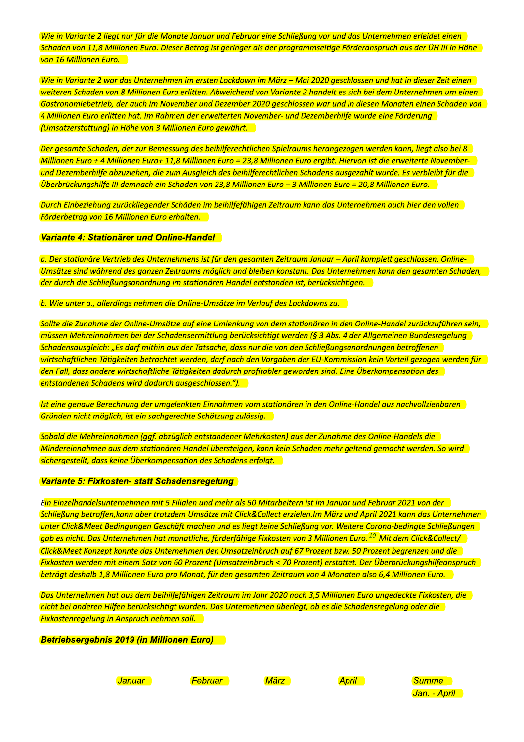Wie in Variante 2 liegt nur für die Monate Januar und Februar eine Schließung vor und das Unternehmen erleidet einen Schaden von 11,8 Millionen Euro. Dieser Betrag ist geringer als der programmseitige Förderanspruch aus der ÜH III in Höhe von 16 Millionen Euro.

Wie in Variante 2 war das Unternehmen im ersten Lockdown im März – Mai 2020 geschlossen und hat in dieser Zeit einen weiteren Schaden von 8 Millionen Euro erlitten. Abweichend von Variante 2 handelt es sich bei dem Unternehmen um einen Gastronomiebetrieb, der auch im November und Dezember 2020 geschlossen war und in diesen Monaten einen Schaden von 4 Millionen Euro erlitten hat. Im Rahmen der erweiterten November- und Dezemberhilfe wurde eine Förderung (Umsatzerstattung) in Höhe von 3 Millionen Euro gewährt.

Der gesamte Schaden, der zur Bemessung des beihilferechtlichen Spielraums herangezogen werden kann, liegt also bei 8 Millionen Euro + 4 Millionen Euro+ 11.8 Millionen Euro = 23.8 Millionen Euro ergibt. Hiervon ist die erweiterte Novemberund Dezemberhilfe abzuziehen, die zum Ausgleich des beihilferechtlichen Schadens ausgezahlt wurde. Es verbleibt für die Überbrückungshilfe III demnach ein Schaden von 23,8 Millionen Euro - 3 Millionen Euro = 20,8 Millionen Euro.

Durch Einbeziehung zurückliegender Schäden im beihilfefähigen Zeitraum kann das Unternehmen auch hier den vollen Förderbetrag von 16 Millionen Euro erhalten.

#### Variante 4: Stationärer und Online-Handel

a. Der stationäre Vertrieb des Unternehmens ist für den gesamten Zeitraum Januar – April komplett geschlossen. Online-Umsätze sind während des ganzen Zeitraums möglich und bleiben konstant. Das Unternehmen kann den gesamten Schaden, der durch die Schließungsanordnung im stationären Handel entstanden ist, berücksichtigen.

b. Wie unter a., allerdings nehmen die Online-Umsätze im Verlauf des Lockdowns zu.

Sollte die Zunahme der Online-Umsätze auf eine Umlenkung von dem stationären in den Online-Handel zurückzuführen sein, müssen Mehreinnahmen bei der Schadensermittlung berücksichtigt werden (§ 3 Abs. 4 der Allgemeinen Bundesregelung Schadensausgleich: "Es darf mithin aus der Tatsache, dass nur die von den Schließungsanordnungen betroffenen wirtschaftlichen Tätigkeiten betrachtet werden, darf nach den Vorgaben der EU-Kommission kein Vorteil gezogen werden für den Fall, dass andere wirtschaftliche Tätigkeiten dadurch profitabler geworden sind. Eine Überkompensation des entstandenen Schadens wird dadurch ausgeschlossen.").

Ist eine genaue Berechnung der umgelenkten Einnahmen vom stationären in den Online-Handel aus nachvollziehbaren Gründen nicht möglich, ist ein sachgerechte Schätzung zulässig.

Sobald die Mehreinnahmen (ggf. abzüglich entstandener Mehrkosten) aus der Zunahme des Online-Handels die Mindereinnahmen aus dem stationären Handel übersteigen, kann kein Schaden mehr geltend gemacht werden. So wird sichergestellt, dass keine Überkompensation des Schadens erfolgt.

#### Variante 5: Fixkosten- statt Schadensregelung

Ein Einzelhandelsunternehmen mit 5 Filialen und mehr als 50 Mitarbeitern ist im Januar und Februar 2021 von der Schließung betroffen, kann aber trotzdem Umsätze mit Click&Collect erzielen. Im März und April 2021 kann das Unternehmen unter Click&Meet Bedingungen Geschäft machen und es liegt keine Schließung vor. Weitere Corona-bedingte Schließungen gab es nicht. Das Unternehmen hat monatliche, förderfähige Fixkosten von 3 Millionen Euro. <sup>10</sup> Mit dem Click&Collect/ Click&Meet Konzept konnte das Unternehmen den Umsatzeinbruch auf 67 Prozent bzw. 50 Prozent begrenzen und die Fixkosten werden mit einem Satz von 60 Prozent (Umsatzeinbruch < 70 Prozent) erstattet. Der Überbrückungshilfeanspruch beträgt deshalb 1,8 Millionen Euro pro Monat, für den gesamten Zeitraum von 4 Monaten also 6,4 Millionen Euro.

Das Unternehmen hat aus dem beihilfefähigen Zeitraum im Jahr 2020 noch 3,5 Millionen Euro ungedeckte Fixkosten, die nicht bei anderen Hilfen berücksichtigt wurden. Das Unternehmen überlegt, ob es die Schadensregelung oder die **Fixkostenregelung in Anspruch nehmen soll.** 

**Betriebsergebnis 2019 (in Millionen Euro)** 

**Januar** 

**Februar** 

**März** 

**April** 

**Summe** Jan. - April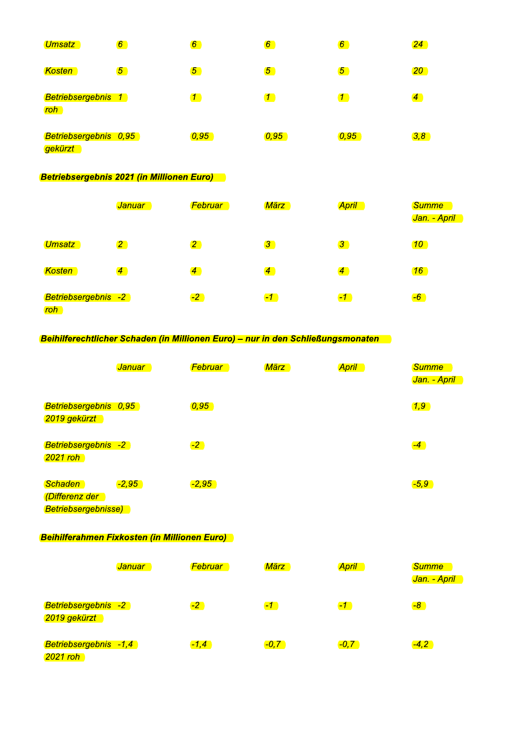| Umsatz                                 | $\boldsymbol{6}$ | $\boldsymbol{6}$ | $\boldsymbol{6}$ | $\boldsymbol{6}$  | 24             |
|----------------------------------------|------------------|------------------|------------------|-------------------|----------------|
| <b>Kosten</b>                          | $\overline{5}$   | $\overline{5}$   | $\overline{5}$   | $\overline{5}$    | $20\,$         |
| Betriebsergebnis 1<br><mark>roh</mark> |                  | $\mathcal{I}$    | $\mathbf{T}$     | $\mathcal{I}$     | $\overline{4}$ |
| Betriebsergebnis 0,95<br>gekürzt       |                  | [0, 95]          | [0, 95]          | $\overline{0,95}$ | 3,8            |

### **Betriebsergebnis 2021 (in Millionen Euro)**

|                                         | <mark>Januar</mark> | <b>Februar</b> | März           | <b>April</b>   | <b>Summe</b><br><mark>Jan. - April</mark> |
|-----------------------------------------|---------------------|----------------|----------------|----------------|-------------------------------------------|
| <b>Umsatz</b>                           | $\mathbf{2}$        | $\mathbf{2}$   | $\mathbf{3}$   | $\mathbf{3}$   | 10                                        |
| <b>Kosten</b>                           | $\sqrt{4}$          | $\overline{4}$ | $\overline{4}$ | $\overline{4}$ | 16                                        |
| Betriebsergebnis -2<br><mark>roh</mark> |                     | $-2$           | $\bullet$      | $\bullet$      | $-6$                                      |

## Beihilferechtlicher Schaden (in Millionen Euro) - nur in den Schließungsmonaten

|                                                         | <b>Januar</b> | <b>Februar</b>    | März | <mark>April</mark> | <b>Summe</b><br><mark>Jan. - April</mark> |
|---------------------------------------------------------|---------------|-------------------|------|--------------------|-------------------------------------------|
| Betriebsergebnis 0,95<br>2019 gekürzt                   |               | $\overline{0,95}$ |      |                    | $\boxed{1,9}$                             |
| Betriebsergebnis -2<br>2021 roh                         |               | $-2$              |      |                    | $-4$                                      |
| <b>Schaden</b><br>(Differenz der<br>Betriebsergebnisse) | $-2,95$       | $-2,95$           |      |                    | $-5,9$                                    |

### **Beihilferahmen Fixkosten (in Millionen Euro)**

|                                     | <u>Januar</u> | <b>Februar</b> | März         | <b>April</b> | <b>Summe</b><br><mark>Jan. - April</mark> |
|-------------------------------------|---------------|----------------|--------------|--------------|-------------------------------------------|
| Betriebsergebnis -2<br>2019 gekürzt |               | $-2$           | $\mathbf{C}$ | $\mathbf{F}$ | $-8$                                      |
| Betriebsergebnis -1,4<br>2021 roh   |               | $-1,4$         | $-0, 7$      | $-0, 7$      | $-4,2$                                    |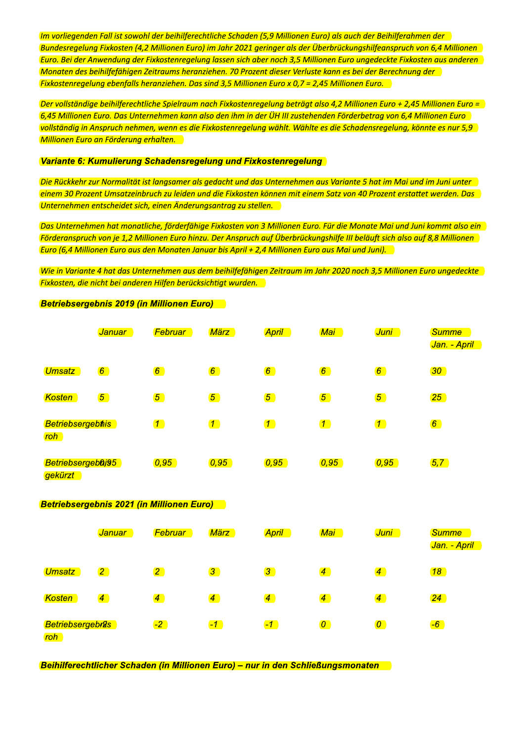Im vorliegenden Fall ist sowohl der beihilferechtliche Schaden (5,9 Millionen Euro) als auch der Beihilferahmen der Bundesregelung Fixkosten (4,2 Millionen Euro) im Jahr 2021 geringer als der Überbrückungshilfeanspruch von 6,4 Millionen Euro. Bei der Anwendung der Fixkostenregelung lassen sich aber noch 3,5 Millionen Euro ungedeckte Fixkosten aus anderen Monaten des beihilfefähigen Zeitraums heranziehen. 70 Prozent dieser Verluste kann es bei der Berechnung der Fixkostenregelung ebenfalls heranziehen. Das sind 3,5 Millionen Euro x 0,7 = 2,45 Millionen Euro.

Der vollständige beihilferechtliche Spielraum nach Fixkostenregelung beträgt also 4.2 Millionen Euro + 2.45 Millionen Euro = 6,45 Millionen Euro. Das Unternehmen kann also den ihm in der ÜH III zustehenden Förderbetrag von 6,4 Millionen Euro vollständig in Anspruch nehmen, wenn es die Fixkostenregelung wählt. Wählte es die Schadensregelung, könnte es nur 5,9 Millionen Euro an Förderung erhalten.

#### Variante 6: Kumulierung Schadensregelung und Fixkostenregelung

Die Rückkehr zur Normalität ist langsamer als gedacht und das Unternehmen aus Variante 5 hat im Mai und im Juni unter einem 30 Prozent Umsatzeinbruch zu leiden und die Fixkosten können mit einem Satz von 40 Prozent erstattet werden. Das Unternehmen entscheidet sich, einen Änderungsantrag zu stellen.

Das Unternehmen hat monatliche, förderfähige Fixkosten von 3 Millionen Euro. Für die Monate Mai und Juni kommt also ein Förderanspruch von je 1,2 Millionen Euro hinzu. Der Anspruch auf Überbrückungshilfe III beläuft sich also auf 8,8 Millionen Euro (6,4 Millionen Euro aus den Monaten Januar bis April + 2,4 Millionen Euro aus Mai und Juni).

Wie in Variante 4 hat das Unternehmen aus dem beihilfefähigen Zeitraum im Jahr 2020 noch 3,5 Millionen Euro ungedeckte Fixkosten, die nicht bei anderen Hilfen berücksichtigt wurden.

#### **Januar Februar März April Mai** <mark>Juni</mark> **Summe** <mark>Jan. - April</mark> Umsatz  $6<sup>o</sup>$  $6 \n$  $6$  $6$  $\boxed{6}$  $\boxed{6}$  $30<sup>°</sup>$ Kosten  $\boxed{5}$  $\sqrt{5}$  $\sqrt{5}$  $\sqrt{5}$  $\boxed{25}$  $\sqrt{5}$  $\boxed{5}$ Betriebsergebfils  $\boxed{1}$  $\boxed{1}$  $\boxed{1}$  $\boxed{1}$  $\boxed{1}$  $6$  $roh$ **Betriebsergebûj95**  $\overline{0.95}$  $0.95$  $\overline{0.95}$  $\overline{0.95}$  $\overline{0.95}$  $5.7$ gekürzt<sup>1</sup>

#### **Betriebsergebnis 2019 (in Millionen Euro)**

#### **Betriebsergebnis 2021 (in Millionen Euro)**

|                                 | <mark>Januar</mark> | Februar                  | März                     | <b>April</b>   | Mai            | Juni           | <b>Summe</b><br>Jan. - April |
|---------------------------------|---------------------|--------------------------|--------------------------|----------------|----------------|----------------|------------------------------|
| Umsatz                          | $\overline{2}$      | $\overline{2}$           | $\mathbf{3}$             | $\sqrt{3}$     | $\overline{4}$ | $\overline{4}$ | 18                           |
| Kosten                          | $\overline{4}$      | $\overline{\mathcal{A}}$ | $\overline{\mathcal{A}}$ | $\overline{4}$ | $\overline{4}$ | $\overline{4}$ | $\overline{24}$              |
| <b>Betriebsergebrils</b><br>roh |                     | $-2$                     | $-1$                     | $-1$           | $\boxed{0}$    | $\overline{0}$ | $-6$                         |

Beihilferechtlicher Schaden (in Millionen Euro) - nur in den Schließungsmonaten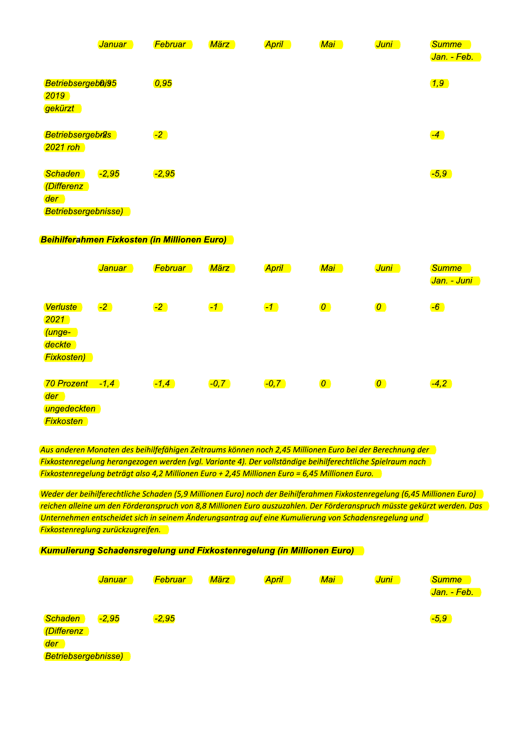|                                                                   | <b>Januar</b> | <b>Februar</b> | <b>März</b> | April 1 | <mark>Mai</mark> | <mark>Juni</mark> | <b>Summe</b><br>Jan. - Feb. |
|-------------------------------------------------------------------|---------------|----------------|-------------|---------|------------------|-------------------|-----------------------------|
| Betriebsergebûj95<br>2019<br>gekürzt                              |               | 0,95           |             |         |                  |                   | $\boxed{1,9}$               |
| <b>Betriebsergebrûs</b><br>$2021$ roh                             |               | $-2$           |             |         |                  |                   | $-4$                        |
| <b>Schaden</b><br>(Differenz<br>der<br><b>Betriebsergebnisse)</b> | $-2,95$       | $-2,95$        |             |         |                  |                   | $-5,9$                      |

#### **Beihilferahmen Fixkosten (in Millionen Euro)**

|                                                                     | <b>Januar</b> | <b>Februar</b> | März    | <b>April</b> | Mai         | <mark>Juni</mark> | <b>Summe</b><br>Jan. - Juni |
|---------------------------------------------------------------------|---------------|----------------|---------|--------------|-------------|-------------------|-----------------------------|
| Verluste<br>$ 2021\rangle$<br>(unge-<br>deckte<br><b>Fixkosten)</b> | $-2$          | $-2$           | $-1$    | $-1$         | $\boxed{O}$ | $\boldsymbol{0}$  | $-6$                        |
| 70 Prozent<br>der<br>ungedeckten<br><b>Fixkosten</b>                | $-1,4$        | $-1,4$         | $-0, 7$ | $-0, 7$      | $\boxed{O}$ | $\overline{0}$    | $-4,2$                      |

Aus anderen Monaten des beihilfefähigen Zeitraums können noch 2,45 Millionen Euro bei der Berechnung der Fixkostenregelung herangezogen werden (vgl. Variante 4). Der vollständige beihilferechtliche Spielraum nach Fixkostenregelung beträgt also 4,2 Millionen Euro + 2,45 Millionen Euro = 6,45 Millionen Euro.

Weder der beihilferechtliche Schaden (5,9 Millionen Euro) noch der Beihilferahmen Fixkostenregelung (6,45 Millionen Euro) reichen alleine um den Förderanspruch von 8,8 Millionen Euro auszuzahlen. Der Förderanspruch müsste gekürzt werden. Das Unternehmen entscheidet sich in seinem Änderungsantrag auf eine Kumulierung von Schadensregelung und **Fixkostenreglung zurückzugreifen.** 

#### **Kumulierung Schadensregelung und Fixkostenregelung (in Millionen Euro)**

|                            | <mark>Januar</mark> | <b>Februar</b> | März | <b>April</b> | Mai | Juni | <b>Summe</b> |
|----------------------------|---------------------|----------------|------|--------------|-----|------|--------------|
|                            |                     |                |      |              |     |      | Jan. - Feb.  |
| Schaden                    | $-2,95$             | $-2,95$        |      |              |     |      | $-5,9$       |
| (Differenz                 |                     |                |      |              |     |      |              |
| der                        |                     |                |      |              |     |      |              |
| <b>Betriebsergebnisse)</b> |                     |                |      |              |     |      |              |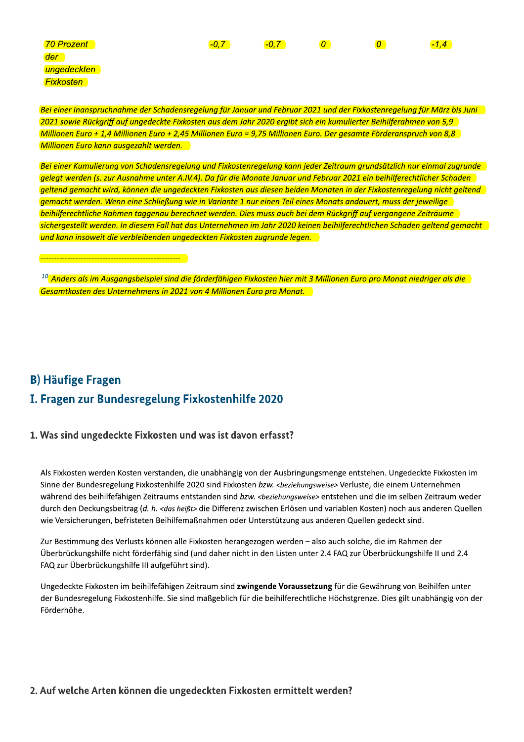| <b>70 Prozent</b> | $-0.$ | $-0, 7$ | 0 | $-1.4$ |
|-------------------|-------|---------|---|--------|
| der               |       |         |   |        |
| ungedeckten       |       |         |   |        |

Bei einer Inanspruchnahme der Schadensregelung für Januar und Februar 2021 und der Fixkostenregelung für März bis Juni 2021 sowie Rückariff auf ungedeckte Fixkosten aus dem Jahr 2020 ergibt sich ein kumulierter Beihilferghmen von 5.9 Millionen Euro + 1,4 Millionen Euro + 2,45 Millionen Euro = 9,75 Millionen Euro. Der gesamte Förderanspruch von 8,8 Millionen Euro kann ausgezahlt werden.

Bei einer Kumulierung von Schadensregelung und Fixkostenregelung kann jeder Zeitraum grundsätzlich nur einmal zugrunde gelegt werden (s. zur Ausnahme unter A.IV.4). Da für die Monate Januar und Februar 2021 ein beihilferechtlicher Schaden geltend gemacht wird, können die ungedeckten Fixkosten aus diesen beiden Monaten in der Fixkostenregelung nicht geltend gemacht werden. Wenn eine Schließung wie in Variante 1 nur einen Teil eines Monats andauert, muss der jeweilige beihilferechtliche Rahmen taggenau berechnet werden. Dies muss auch bei dem Rückgriff auf vergangene Zeiträume sichergestellt werden. In diesem Fall hat das Unternehmen im Jahr 2020 keinen beihilferechtlichen Schaden geltend gemacht und kann insoweit die verbleibenden ungedeckten Fixkosten zugrunde legen.

 $^{10}$  Anders als im Ausgangsbeispiel sind die förderfähigen Fixkosten hier mit 3 Millionen Euro pro Monat niedriger als die  $\,$ Gesamtkosten des Unternehmens in 2021 von 4 Millionen Euro pro Monat.

# **B) Häufige Fragen** I. Fragen zur Bundesregelung Fixkostenhilfe 2020

**Fixkosten** 

#### 1. Was sind ungedeckte Fixkosten und was ist davon erfasst?

Als Fixkosten werden Kosten verstanden, die unabhängig von der Ausbringungsmenge entstehen. Ungedeckte Fixkosten im Sinne der Bundesregelung Fixkostenhilfe 2020 sind Fixkosten bzw. <beziehungsweise> Verluste, die einem Unternehmen während des beihilfefähigen Zeitraums entstanden sind bzw. <beziehungsweise> entstehen und die im selben Zeitraum weder durch den Deckungsbeitrag (d. h. <das heißt> die Differenz zwischen Erlösen und variablen Kosten) noch aus anderen Quellen wie Versicherungen, befristeten Beihilfemaßnahmen oder Unterstützung aus anderen Quellen gedeckt sind.

Zur Bestimmung des Verlusts können alle Fixkosten herangezogen werden – also auch solche, die im Rahmen der Überbrückungshilfe nicht förderfähig sind (und daher nicht in den Listen unter 2.4 FAQ zur Überbrückungshilfe II und 2.4 FAQ zur Überbrückungshilfe III aufgeführt sind).

Ungedeckte Fixkosten im beihilfefähigen Zeitraum sind zwingende Voraussetzung für die Gewährung von Beihilfen unter der Bundesregelung Fixkostenhilfe. Sie sind maßgeblich für die beihilferechtliche Höchstgrenze. Dies gilt unabhängig von der Förderhöhe.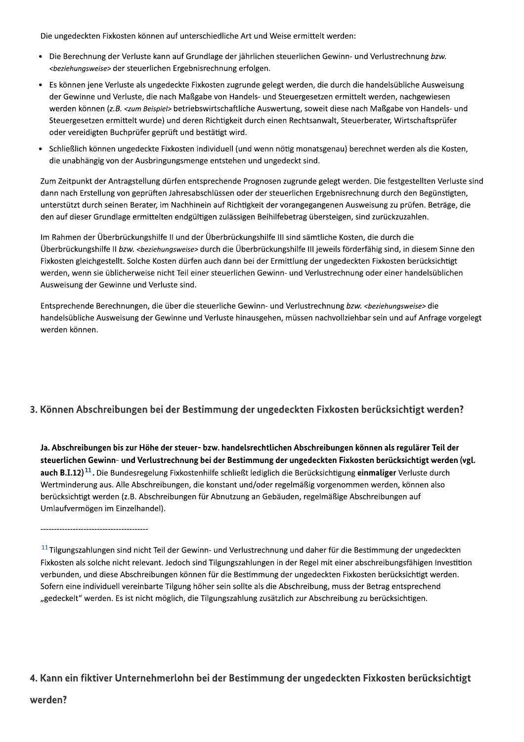Die ungedeckten Fixkosten konnen auf unterschiedliche Art und Weise ermittelt werden:

- Die Berechnung der Verluste kann auf Grundlage der jahrlichen steuerlichen Gewinn- und Verlustrec r steuerlichen Ergebnisrechnung erfolgen.
- Die ungedeckten Fixkosten können auf unterschiedliche Art und Weise ermittelt werden:<br>
 Die Berechnung der Verluste kann auf Grundlage der jährlichen steuerlichen Gewinn- und Verlustrechnung *bzw.*<br>
 *Es können jene Ver* Es konnen jene Verluste als ungedeckte Fixkosten zugrunde gelegt werden, die durch die handelsubliche Ausweisung der Gewinne und Verluste, die nach Maßgabe von Handels- und Steuergesetzen ermittelt werden, nachgewiesen werden konnen (z.*B. <zum Beispiel>* betriebswirtschaftliche Auswertung, soweit diese nach Maßgabe von Handels- und deckten Fixkosten können auf unterschiedliche<br>rechnung der Verluste kann auf Grundlage der<br>*ungsweise>* der steuerlichen Ergebnisrechnung<br>nen jene Verluste als ungedeckte Fixkosten zug<br>winne und Verluste, die nach Maßgabe Steuergesetzen ermittelt wurde) und deren Richtigkeit durch einen Rechtsanwalt, Steuerberater, Wirtschaftsprufer oder vereidigten Buchprufer gepruft und bestatigt wird.
	- Schließlich konnen ungedeckte Fixkosten individuell (und wenn notig monatsgenau) berechnet werden als die Kosten, die unabhängig von der Ausbringungsmenge entstehen und ungedeckt sind.

Zum Zeitpunkt der Antragstellung durfen entsprechende Prognosen zugrunde gelegt werden. Die festgestellten Verluste sind dann nach Erstellung von geprüften Jahresabschlussen oder der steuerlichen Ergebnisrechnung durch den Begunstigten, unterstutzt durch seinen Berater, im Nachhinein auf Richtigkeit der vorangegangenen Ausweisung zu prufen. Betrage, die  $\,$ den auf dieser Grundlage ermittelten endgultigen zulassigen Beihilfebetrag übersteigen, sind zurückzuzahlen.

lm Rahmen der Überbrückungshilfe II und der Überbrückungshilfe III sind samtliche Kösten, die durch die Uberbruckungshilfe II *bzw. <beziehungsweise>* durch die Überbruckungshilfe III jeweils forderfahig sind, in diesem Sinne den punkt der Antragstellung dürfen entsprechende Progn<br>h Erstellung von geprüften Jahresabschlüssen oder de<br>tzt durch seinen Berater, im Nachhinein auf Richtigkeit<br>dieser Grundlage ermittelten endgültigen zulässigen Be<br>en der Fixkosten gleichgestellt. Solche Kosten durfen auch dann bei der Ermittlung der ungedeckten Fixkosten berücksichtigt werden, wenn sie üblicherweise nicht Teil einer steuerlichen Gewinn- und Verlüstrechnung oder einer handelsüblichen Ausweisung der Gewinne und Verluste sind. l sämtliche Kosten, die durch die<br>fe III jeweils förderfähig sind, in diesem Sinne den<br>ng der ungedeckten Fixkosten berücksichtigt<br>d Verlustrechnung oder einer handelsüblichen<br>ustrechnung *bzw. <beziehungsweise>* die<br>sen n

Entsprechende Berechnungen, die über die steuerliche Gewinn- und Verlüstrec handelsubliche Ausweisung der Gewinne und Verluste hinausgehen, mussen nachvollziehbar sein und auf Anfrage vorgelegt werden konnen.

#### 3. Können Abschreibungen bei der Bestimmung der ungedeckten Fixkosten berücksichtigt werden?

Ja. Abschreibungen bis zur Höhe der steuer- bzw. handelsrechtlichen Abschreibungen können als regulärer Teil der steuerlichen Gewinn- und Verlustrechnung bei der Bestimmung der ungedeckten Fixkosten berücksichtigt werden (vgl.  $\mathsf{auch\,B.I.12})^{11}.$  Die Bundesregelung Fixkostenhilfe schließt lediglich die Berücksichtigung **einmaliger** Verluste durch Wertminderung aus. Alle Abschreibungen, die konstant und/oder regelmalsig vorgenommen werden, konnen also berucksichtigt werden (z.B. Abschreibungen für Abnutzung an Gebauden, regelmaßige Abschreibungen auf Umlaufvermogen im Einzelhandel)

@1 K2- K--- - --4--B--- - {{ Fixkosten als solche nicht relevant. Jedoch sind Tilgungszahlungen in der Regel mit einer abschreibungsfahigen Investition verbunden, und diese Abschreibungen konnen für die Bestimmung der ungedeckten Fixkosten berücksichtigt werden. Sofern eine individuell vereinbarte Tilgung höher sein sollte als die Abschreibung, muss der Betrag entsprechend "gedeckelt" werden. Es ist nicht moglich, die Tilgungszahlung zusatzlich zur Abschreibung zu berücksichtigen.

## 4. Kann ein fiktiver Unternehmerlohn bei der Bestimmung der ungedeckten Fixkosten berücksichtigt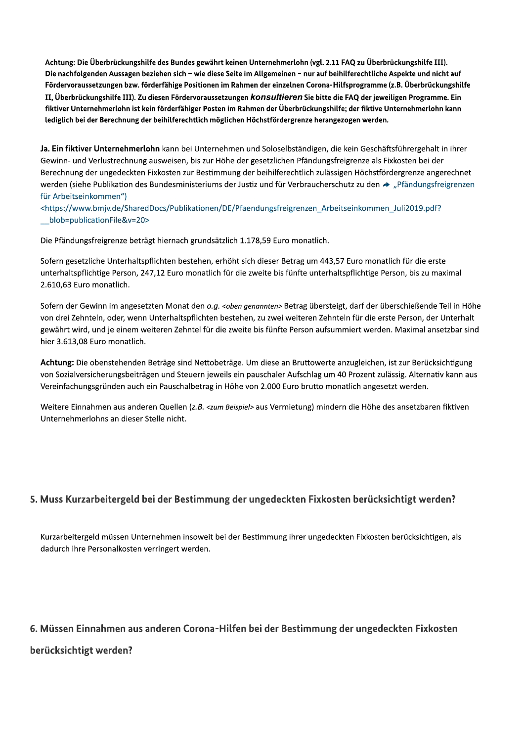Achtung: Die Überbrückungshilfe des Bundes gewährt keinen Unternehmerlohn (vgl. 2.11 FAQ zu Überbrückungshilfe III). Die nachfolgenden Aussagen beziehen sich - wie diese Seite im Allgemeinen - nur auf beihilferechtliche Aspekte und nicht auf Fördervoraussetzungen bzw. förderfähige Positionen im Rahmen der einzelnen Corona-Hilfsprogramme (z.B. Überbrückungshilfe II, Überbrückungshilfe III). Zu diesen Fördervoraussetzungen konsultieren Sie bitte die FAQ der jeweiligen Programme. Ein fiktiver Unternehmerlohn ist kein förderfähiger Posten im Rahmen der Überbrückungshilfe; der fiktive Unternehmerlohn kann lediglich bei der Berechnung der beihilferechtlich möglichen Höchstfördergrenze herangezogen werden.

Ja. Ein fiktiver Unternehmerlohn kann bei Unternehmen und Soloselbständigen, die kein Geschäftsführergehalt in ihrer Gewinn- und Verlustrechnung ausweisen, bis zur Höhe der gesetzlichen Pfändungsfreigrenze als Fixkosten bei der Berechnung der ungedeckten Fixkosten zur Bestimmung der beihilferechtlich zulässigen Höchstfördergrenze angerechnet werden (siehe Publikation des Bundesministeriums der Justiz und für Verbraucherschutz zu den → "Pfändungsfreigrenzen für Arbeitseinkommen")

<https://www.bmjv.de/SharedDocs/Publikationen/DE/Pfaendungsfreigrenzen Arbeitseinkommen Juli2019.pdf? blob=publicationFile&v=20>

Die Pfändungsfreigrenze beträgt hiernach grundsätzlich 1.178,59 Euro monatlich.

Sofern gesetzliche Unterhaltspflichten bestehen, erhöht sich dieser Betrag um 443,57 Euro monatlich für die erste unterhaltspflichtige Person, 247,12 Euro monatlich für die zweite bis fünfte unterhaltspflichtige Person, bis zu maximal 2.610,63 Euro monatlich.

Sofern der Gewinn im angesetzten Monat den o.g. < oben genannten> Betrag übersteigt, darf der überschießende Teil in Höhe von drei Zehnteln, oder, wenn Unterhaltspflichten bestehen, zu zwei weiteren Zehnteln für die erste Person, der Unterhalt gewährt wird, und je einem weiteren Zehntel für die zweite bis fünfte Person aufsummiert werden. Maximal ansetzbar sind hier 3.613,08 Euro monatlich.

Achtung: Die obenstehenden Beträge sind Nettobeträge. Um diese an Bruttowerte anzugleichen, ist zur Berücksichtigung von Sozialversicherungsbeiträgen und Steuern jeweils ein pauschaler Aufschlag um 40 Prozent zulässig. Alternativ kann aus Vereinfachungsgründen auch ein Pauschalbetrag in Höhe von 2.000 Euro brutto monatlich angesetzt werden.

Weitere Einnahmen aus anderen Quellen (z.B. <zum Beispiel> aus Vermietung) mindern die Höhe des ansetzbaren fiktiven Unternehmerlohns an dieser Stelle nicht.

#### 5. Muss Kurzarbeitergeld bei der Bestimmung der ungedeckten Fixkosten berücksichtigt werden?

Kurzarbeitergeld müssen Unternehmen insoweit bei der Bestimmung ihrer ungedeckten Fixkosten berücksichtigen, als dadurch ihre Personalkosten verringert werden.

#### 6. Müssen Einnahmen aus anderen Corona-Hilfen bei der Bestimmung der ungedeckten Fixkosten

berücksichtigt werden?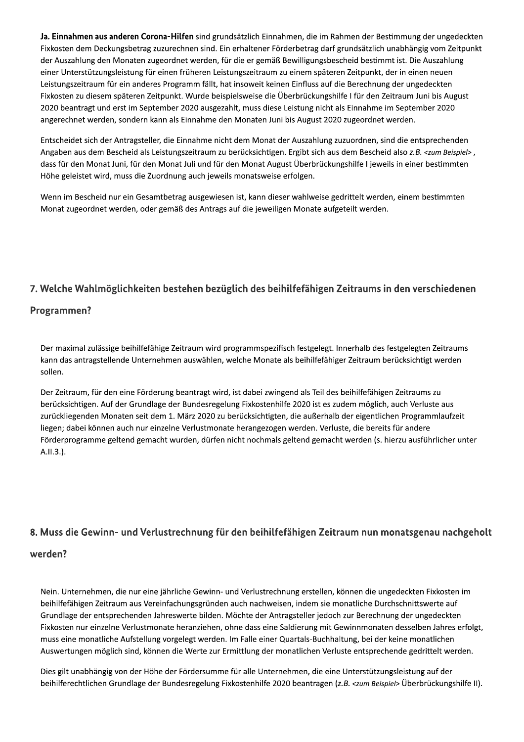Ja. Einnahmen aus anderen Corona-Hilfen sind grundsätzlich Einnahmen, die im Rahmen der Bestimmung der ungedeckten Fixkosten dem Deckungsbetrag zuzurechnen sind. Ein erhaltener Förderbetrag darf grundsätzlich unabhängig vom Zeitpunkt der Auszahlung den Monaten zugeordnet werden, für die er gemäß Bewilligungsbescheid bestimmt ist. Die Auszahlung einer Unterstützungsleistung für einen früheren Leistungszeitraum zu einem späteren Zeitpunkt, der in einen neuen Leistungszeitraum für ein anderes Programm fällt, hat insoweit keinen Einfluss auf die Berechnung der ungedeckten Fixkosten zu diesem späteren Zeitpunkt. Wurde beispielsweise die Überbrückungshilfe I für den Zeitraum Juni bis August 2020 beantragt und erst im September 2020 ausgezahlt, muss diese Leistung nicht als Einnahme im September 2020 angerechnet werden, sondern kann als Einnahme den Monaten Juni bis August 2020 zugeordnet werden.

Entscheidet sich der Antragsteller, die Einnahme nicht dem Monat der Auszahlung zuzuordnen, sind die entsprechenden Angaben aus dem Bescheid als Leistungszeitraum zu berücksichtigen. Ergibt sich aus dem Bescheid also z.B. <zum Beispiel>, dass für den Monat Juni, für den Monat Juli und für den Monat August Überbrückungshilfe I jeweils in einer bestimmten Höhe geleistet wird, muss die Zuordnung auch jeweils monatsweise erfolgen.

Wenn im Bescheid nur ein Gesamtbetrag ausgewiesen ist, kann dieser wahlweise gedrittelt werden, einem bestimmten Monat zugeordnet werden, oder gemäß des Antrags auf die jeweiligen Monate aufgeteilt werden.

#### 7. Welche Wahlmöglichkeiten bestehen bezüglich des beihilfefähigen Zeitraums in den verschiedenen

#### Programmen?

Der maximal zulässige beihilfefähige Zeitraum wird programmspezifisch festgelegt. Innerhalb des festgelegten Zeitraums kann das antragstellende Unternehmen auswählen, welche Monate als beihilfefähiger Zeitraum berücksichtigt werden sollen.

Der Zeitraum, für den eine Förderung beantragt wird, ist dabei zwingend als Teil des beihilfefähigen Zeitraums zu berücksichtigen. Auf der Grundlage der Bundesregelung Fixkostenhilfe 2020 ist es zudem möglich, auch Verluste aus zurückliegenden Monaten seit dem 1. März 2020 zu berücksichtigten, die außerhalb der eigentlichen Programmlaufzeit liegen; dabei können auch nur einzelne Verlustmonate herangezogen werden. Verluste, die bereits für andere Förderprogramme geltend gemacht wurden, dürfen nicht nochmals geltend gemacht werden (s. hierzu ausführlicher unter A.II.3.).

#### 8. Muss die Gewinn- und Verlustrechnung für den beihilfefähigen Zeitraum nun monatsgenau nachgeholt

#### werden?

Nein. Unternehmen, die nur eine jährliche Gewinn- und Verlustrechnung erstellen, können die ungedeckten Fixkosten im beihilfefähigen Zeitraum aus Vereinfachungsgründen auch nachweisen, indem sie monatliche Durchschnittswerte auf Grundlage der entsprechenden Jahreswerte bilden. Möchte der Antragsteller jedoch zur Berechnung der ungedeckten Fixkosten nur einzelne Verlustmonate heranziehen, ohne dass eine Saldierung mit Gewinnmonaten desselben Jahres erfolgt, muss eine monatliche Aufstellung vorgelegt werden. Im Falle einer Quartals-Buchhaltung, bei der keine monatlichen Auswertungen möglich sind, können die Werte zur Ermittlung der monatlichen Verluste entsprechende gedrittelt werden.

Dies gilt unabhängig von der Höhe der Fördersumme für alle Unternehmen, die eine Unterstützungsleistung auf der beihilferechtlichen Grundlage der Bundesregelung Fixkostenhilfe 2020 beantragen (z.B. <zum Beispiel> Überbrückungshilfe II).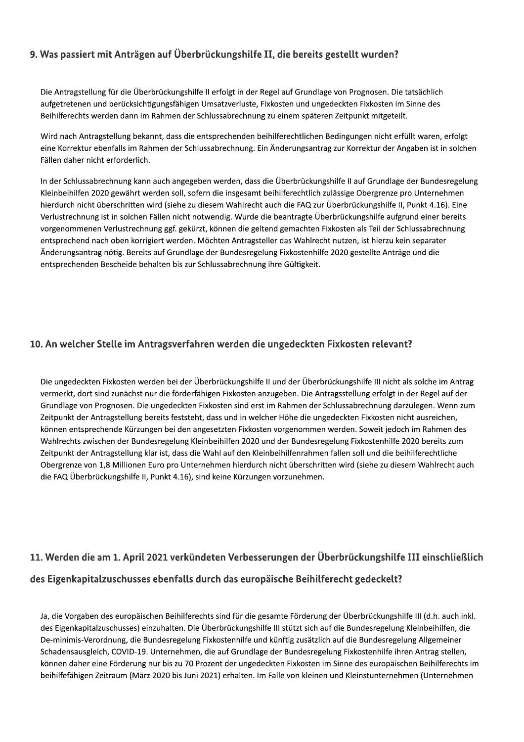#### 9. Was passiert mit Anträgen auf Überbrückungshilfe II, die bereits gestellt wurden?

Die Antragstellung für die Überbrückungshilfe II erfolgt in der Regel auf Grundlage von Prognosen. Die tatsächlich aufgetretenen und berücksichtigungsfähigen Umsatzverluste. Fixkosten und ungedeckten Fixkosten im Sinne des Beihilferechts werden dann im Rahmen der Schlussabrechnung zu einem späteren Zeitpunkt mitgeteilt.

Wird nach Antragstellung bekannt, dass die entsprechenden beihilferechtlichen Bedingungen nicht erfüllt waren, erfolgt eine Korrektur ebenfalls im Rahmen der Schlussabrechnung. Ein Änderungsantrag zur Korrektur der Angaben ist in solchen Fällen daher nicht erforderlich.

In der Schlussabrechnung kann auch angegeben werden, dass die Überbrückungshilfe II auf Grundlage der Bundesregelung Kleinbeihilfen 2020 gewährt werden soll, sofern die insgesamt beihilferechtlich zulässige Obergrenze pro Unternehmen hierdurch nicht überschritten wird (siehe zu diesem Wahlrecht auch die FAQ zur Überbrückungshilfe II, Punkt 4.16). Eine Verlustrechnung ist in solchen Fällen nicht notwendig. Wurde die beantragte Überbrückungshilfe aufgrund einer bereits vorgenommenen Verlustrechnung ggf. gekürzt, können die geltend gemachten Fixkosten als Teil der Schlussabrechnung entsprechend nach oben korrigiert werden. Möchten Antragsteller das Wahlrecht nutzen, ist hierzu kein separater Änderungsantrag nötig. Bereits auf Grundlage der Bundesregelung Fixkostenhilfe 2020 gestellte Anträge und die entsprechenden Bescheide behalten bis zur Schlussabrechnung ihre Gültigkeit.

#### 10. An welcher Stelle im Antragsverfahren werden die ungedeckten Fixkosten relevant?

Die ungedeckten Fixkosten werden bei der Überbrückungshilfe II und der Überbrückungshilfe III nicht als solche im Antrag vermerkt, dort sind zunächst nur die förderfähigen Fixkosten anzugeben. Die Antragsstellung erfolgt in der Regel auf der Grundlage von Prognosen. Die ungedeckten Fixkosten sind erst im Rahmen der Schlussabrechnung darzulegen. Wenn zum Zeitpunkt der Antragstellung bereits feststeht, dass und in welcher Höhe die ungedeckten Fixkosten nicht ausreichen, können entsprechende Kürzungen bei den angesetzten Fixkosten vorgenommen werden. Soweit jedoch im Rahmen des Wahlrechts zwischen der Bundesregelung Kleinbeihilfen 2020 und der Bundesregelung Fixkostenhilfe 2020 bereits zum Zeitpunkt der Antragstellung klar ist, dass die Wahl auf den Kleinbeihilfenrahmen fallen soll und die beihilferechtliche Obergrenze von 1,8 Millionen Euro pro Unternehmen hierdurch nicht überschritten wird (siehe zu diesem Wahlrecht auch die FAQ Überbrückungshilfe II, Punkt 4.16), sind keine Kürzungen vorzunehmen.

# 11. Werden die am 1. April 2021 verkündeten Verbesserungen der Überbrückungshilfe III einschließlich des Eigenkapitalzuschusses ebenfalls durch das europäische Beihilferecht gedeckelt?

Ja, die Vorgaben des europäischen Beihilferechts sind für die gesamte Förderung der Überbrückungshilfe III (d.h. auch inkl. des Eigenkapitalzuschusses) einzuhalten. Die Überbrückungshilfe III stützt sich auf die Bundesregelung Kleinbeihilfen, die De-minimis-Verordnung, die Bundesregelung Fixkostenhilfe und künftig zusätzlich auf die Bundesregelung Allgemeiner Schadensausgleich, COVID-19. Unternehmen, die auf Grundlage der Bundesregelung Fixkostenhilfe ihren Antrag stellen, können daher eine Förderung nur bis zu 70 Prozent der ungedeckten Fixkosten im Sinne des europäischen Beihilferechts im beihilfefähigen Zeitraum (März 2020 bis Juni 2021) erhalten. Im Falle von kleinen und Kleinstunternehmen (Unternehmen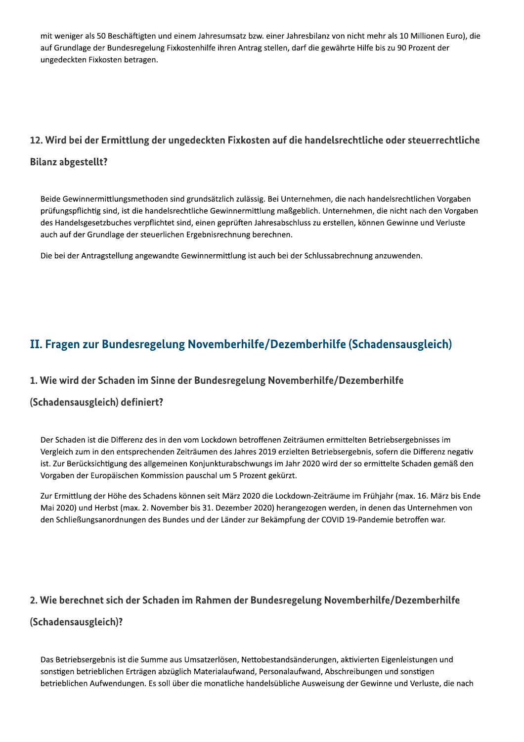mit weniger als 50 Beschäftigten und einem Jahresumsatz bzw. einer Jahresbilanz von nicht mehr als 10 Millionen Euro), die auf Grundlage der Bundesregelung Fixkostenhilfe ihren Antrag stellen, darf die gewährte Hilfe bis zu 90 Prozent der ungedeckten Fixkosten betragen.

#### 12. Wird bei der Ermittlung der ungedeckten Fixkosten auf die handelsrechtliche oder steuerrechtliche

#### **Bilanz abgestellt?**

Beide Gewinnermittlungsmethoden sind grundsätzlich zulässig. Bei Unternehmen, die nach handelsrechtlichen Vorgaben prüfungspflichtig sind, ist die handelsrechtliche Gewinnermittlung maßgeblich. Unternehmen, die nicht nach den Vorgaben des Handelsgesetzbuches verpflichtet sind, einen geprüften Jahresabschluss zu erstellen, können Gewinne und Verluste auch auf der Grundlage der steuerlichen Ergebnisrechnung berechnen.

Die bei der Antragstellung angewandte Gewinnermittlung ist auch bei der Schlussabrechnung anzuwenden.

# II. Fragen zur Bundesregelung Novemberhilfe/Dezemberhilfe (Schadensausgleich)

#### 1. Wie wird der Schaden im Sinne der Bundesregelung Novemberhilfe/Dezemberhilfe

#### (Schadensausgleich) definiert?

Der Schaden ist die Differenz des in den vom Lockdown betroffenen Zeiträumen ermittelten Betriebsergebnisses im Vergleich zum in den entsprechenden Zeiträumen des Jahres 2019 erzielten Betriebsergebnis, sofern die Differenz negativ ist. Zur Berücksichtigung des allgemeinen Konjunkturabschwungs im Jahr 2020 wird der so ermittelte Schaden gemäß den Vorgaben der Europäischen Kommission pauschal um 5 Prozent gekürzt.

Zur Ermittlung der Höhe des Schadens können seit März 2020 die Lockdown-Zeiträume im Frühjahr (max. 16. März bis Ende Mai 2020) und Herbst (max. 2. November bis 31. Dezember 2020) herangezogen werden, in denen das Unternehmen von den Schließungsanordnungen des Bundes und der Länder zur Bekämpfung der COVID 19-Pandemie betroffen war.

#### 2. Wie berechnet sich der Schaden im Rahmen der Bundesregelung Novemberhilfe/Dezemberhilfe

#### (Schadensausgleich)?

Das Betriebsergebnis ist die Summe aus Umsatzerlösen, Nettobestandsänderungen, aktivierten Eigenleistungen und sonstigen betrieblichen Erträgen abzüglich Materialaufwand, Personalaufwand, Abschreibungen und sonstigen betrieblichen Aufwendungen. Es soll über die monatliche handelsübliche Ausweisung der Gewinne und Verluste, die nach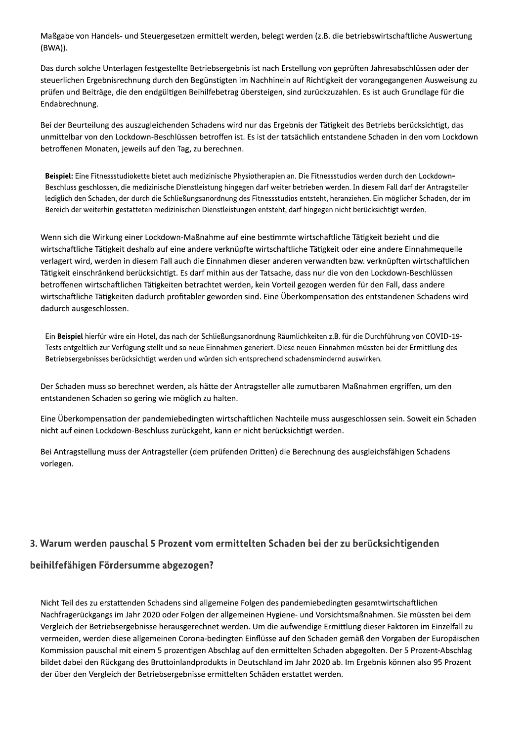Maßgabe von Handels- und Steuergesetzen ermittelt werden, belegt werden (z.B. die betriebswirtschaftliche Auswertung (BWA)).

Das durch solche Unterlagen festgestellte Betriebsergebnis ist nach Erstellung von geprüften Jahresabschlüssen oder der steuerlichen Ergebnisrechnung durch den Begünstigten im Nachhinein auf Richtigkeit der vorangegangenen Ausweisung zu prüfen und Beiträge, die den endgültigen Beihilfebetrag übersteigen, sind zurückzuzahlen. Es ist auch Grundlage für die Endabrechnung.

Bei der Beurteilung des auszugleichenden Schadens wird nur das Ergebnis der Tätigkeit des Betriebs berücksichtigt, das unmittelbar von den Lockdown-Beschlüssen betroffen ist. Es ist der tatsächlich entstandene Schaden in den vom Lockdown betroffenen Monaten, jeweils auf den Tag, zu berechnen.

Beispiel: Eine Fitnessstudiokette bietet auch medizinische Physiotherapien an. Die Fitnessstudios werden durch den Lockdown-Beschluss geschlossen, die medizinische Dienstleistung hingegen darf weiter betrieben werden. In diesem Fall darf der Antragsteller lediglich den Schaden, der durch die Schließungsanordnung des Fitnessstudios entsteht, heranziehen. Ein möglicher Schaden, der im Bereich der weiterhin gestatteten medizinischen Dienstleistungen entsteht, darf hingegen nicht berücksichtigt werden.

Wenn sich die Wirkung einer Lockdown-Maßnahme auf eine bestimmte wirtschaftliche Tätigkeit bezieht und die wirtschaftliche Tätigkeit deshalb auf eine andere verknüpfte wirtschaftliche Tätigkeit oder eine andere Einnahmequelle verlagert wird, werden in diesem Fall auch die Einnahmen dieser anderen verwandten bzw. verknüpften wirtschaftlichen Tätigkeit einschränkend berücksichtigt. Es darf mithin aus der Tatsache, dass nur die von den Lockdown-Beschlüssen betroffenen wirtschaftlichen Tätigkeiten betrachtet werden, kein Vorteil gezogen werden für den Fall, dass andere wirtschaftliche Tätigkeiten dadurch profitabler geworden sind. Eine Überkompensation des entstandenen Schadens wird dadurch ausgeschlossen.

Ein Beispiel hierfür wäre ein Hotel, das nach der Schließungsanordnung Räumlichkeiten z.B. für die Durchführung von COVID-19-Tests entgeltlich zur Verfügung stellt und so neue Einnahmen generiert. Diese neuen Einnahmen müssten bei der Ermittlung des Betriebsergebnisses berücksichtigt werden und würden sich entsprechend schadensmindernd auswirken.

Der Schaden muss so berechnet werden, als hätte der Antragsteller alle zumutbaren Maßnahmen ergriffen, um den entstandenen Schaden so gering wie möglich zu halten.

Eine Überkompensation der pandemiebedingten wirtschaftlichen Nachteile muss ausgeschlossen sein. Soweit ein Schaden nicht auf einen Lockdown-Beschluss zurückgeht, kann er nicht berücksichtigt werden.

Bei Antragstellung muss der Antragsteller (dem prüfenden Dritten) die Berechnung des ausgleichsfähigen Schadens vorlegen.

#### 3. Warum werden pauschal 5 Prozent vom ermittelten Schaden bei der zu berücksichtigenden

#### beihilfefähigen Fördersumme abgezogen?

Nicht Teil des zu erstattenden Schadens sind allgemeine Folgen des pandemiebedingten gesamtwirtschaftlichen Nachfragerückgangs im Jahr 2020 oder Folgen der allgemeinen Hygiene- und Vorsichtsmaßnahmen. Sie müssten bei dem Vergleich der Betriebsergebnisse herausgerechnet werden. Um die aufwendige Ermittlung dieser Faktoren im Einzelfall zu vermeiden, werden diese allgemeinen Corona-bedingten Einflüsse auf den Schaden gemäß den Vorgaben der Europäischen Kommission pauschal mit einem 5 prozentigen Abschlag auf den ermittelten Schaden abgegolten. Der 5 Prozent-Abschlag bildet dabei den Rückgang des Bruttoinlandprodukts in Deutschland im Jahr 2020 ab. Im Ergebnis können also 95 Prozent der über den Vergleich der Betriebsergebnisse ermittelten Schäden erstattet werden.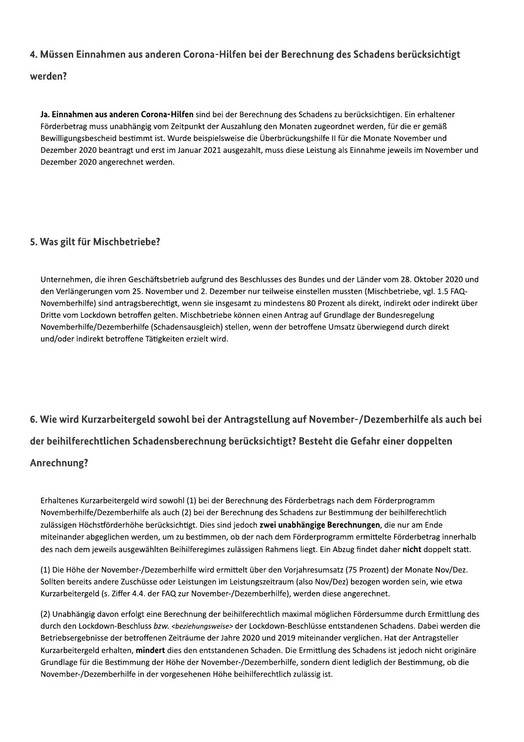#### 4. Müssen Einnahmen aus anderen Corona-Hilfen bei der Berechnung des Schadens berücksichtigt

#### werden?

Ja. Einnahmen aus anderen Corona-Hilfen sind bei der Berechnung des Schadens zu berücksichtigen. Ein erhaltener Förderbetrag muss unabhängig vom Zeitpunkt der Auszahlung den Monaten zugeordnet werden, für die er gemäß Bewilligungsbescheid bestimmt ist. Wurde beispielsweise die Überbrückungshilfe II für die Monate November und Dezember 2020 beantragt und erst im Januar 2021 ausgezahlt, muss diese Leistung als Einnahme jeweils im November und Dezember 2020 angerechnet werden.

#### 5. Was gilt für Mischbetriebe?

Unternehmen, die ihren Geschäftsbetrieb aufgrund des Beschlusses des Bundes und der Länder vom 28. Oktober 2020 und den Verlängerungen vom 25. November und 2. Dezember nur teilweise einstellen mussten (Mischbetriebe, vgl. 1.5 FAQ-Novemberhilfe) sind antragsberechtigt, wenn sie insgesamt zu mindestens 80 Prozent als direkt, indirekt oder indirekt über Dritte vom Lockdown betroffen gelten. Mischbetriebe können einen Antrag auf Grundlage der Bundesregelung Novemberhilfe/Dezemberhilfe (Schadensausgleich) stellen, wenn der betroffene Umsatz überwiegend durch direkt und/oder indirekt betroffene Tätigkeiten erzielt wird.

# 6. Wie wird Kurzarbeitergeld sowohl bei der Antragstellung auf November-/Dezemberhilfe als auch bei der beihilferechtlichen Schadensberechnung berücksichtigt? Besteht die Gefahr einer doppelten

#### Anrechnung?

Erhaltenes Kurzarbeitergeld wird sowohl (1) bei der Berechnung des Förderbetrags nach dem Förderprogramm Novemberhilfe/Dezemberhilfe als auch (2) bei der Berechnung des Schadens zur Bestimmung der beihilferechtlich zulässigen Höchstförderhöhe berücksichtigt. Dies sind jedoch zwei unabhängige Berechnungen, die nur am Ende miteinander abgeglichen werden, um zu bestimmen, ob der nach dem Förderprogramm ermittelte Förderbetrag innerhalb des nach dem jeweils ausgewählten Beihilferegimes zulässigen Rahmens liegt. Ein Abzug findet daher nicht doppelt statt.

(1) Die Höhe der November-/Dezemberhilfe wird ermittelt über den Vorjahresumsatz (75 Prozent) der Monate Nov/Dez. Sollten bereits andere Zuschüsse oder Leistungen im Leistungszeitraum (also Nov/Dez) bezogen worden sein, wie etwa Kurzarbeitergeld (s. Ziffer 4.4. der FAQ zur November-/Dezemberhilfe), werden diese angerechnet.

(2) Unabhängig davon erfolgt eine Berechnung der beihilferechtlich maximal möglichen Fördersumme durch Ermittlung des durch den Lockdown-Beschluss bzw. <beziehungsweise> der Lockdown-Beschlüsse entstandenen Schadens. Dabei werden die Betriebsergebnisse der betroffenen Zeiträume der Jahre 2020 und 2019 miteinander verglichen. Hat der Antragsteller Kurzarbeitergeld erhalten, mindert dies den entstandenen Schaden. Die Ermittlung des Schadens ist jedoch nicht originäre Grundlage für die Bestimmung der Höhe der November-/Dezemberhilfe, sondern dient lediglich der Bestimmung, ob die November-/Dezemberhilfe in der vorgesehenen Höhe beihilferechtlich zulässig ist.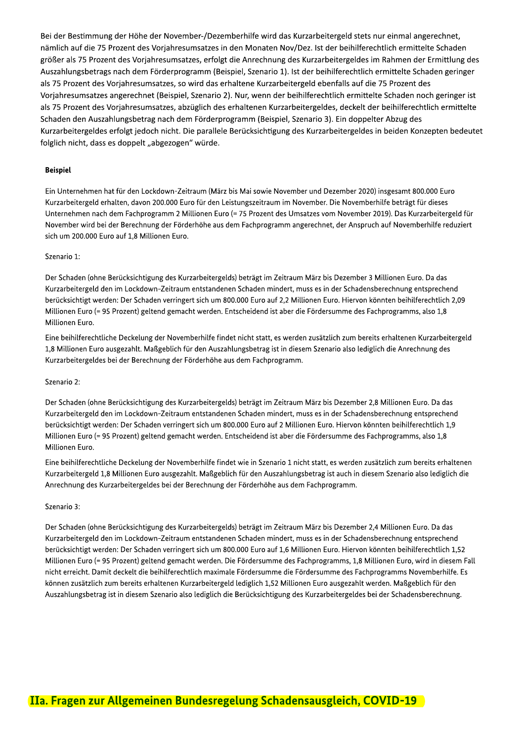Bei der Bestimmung der Hohe der November-/Dezemberhilfe wird das Kurzarbeitergeld stets nur einmal angerechnet, namlich auf die 75 Prozent des Vorjahresumsatzes in den Monaten Nov/Dez. Ist der beihilferechtlich ermittelte Schaden mberhilfe wird das Kurzarbeitergeld stets nur einn<br>den Monaten Nov/Dez. Ist der beihilferechtlich e<br>die Anrechnung des Kurzarbeitergeldes im Rahm<br>spiel, Szenario 1). Ist der beihilferechtlich ermittel<br>haltene Kurzarbeiterg großer als 75 Prozent des Vorjahresumsatzes, erfolgt die Anrechnung des Kurzarbeitergeldes im Rahmen der Ermittlung des Auszahlungsbetrags nach dem Forderprogramm (Beispiel, Szenario 1). Ist der beihilferechtlich ermittelte Schaden geringer /Dezemberhilfe wird das Kurzarbeitergeld stets nutzes in den Monaten Nov/Dez. Ist der beihilferechterfolgt die Anrechnung des Kurzarbeitergeldes im m<br>(Beispiel, Szenario 1). Ist der beihilferechtlich e das erhaltene Kurzar als 75 Prozent des Vorjahresumsatzes, so wird das erhaltene Kurzarbeitergeld ebenfalls auf die 75 Prozent des Vorjahresumsatzes angerechnet (Beispiel, Szenario 2). Nur, wenn der beihilferechtlich ermittelte Schaden noch geringer ist als 75 Prozent des Vorjahresumsatzes, abzuglich des erhaltenen Kurzarbeitergeldes, deckelt der beihilferechtlich ermittelte Schaden den Auszahlungsbetrag nach dem Forderprogramm (Beispiel, Szenario 3). Ein doppelter Abzug des Kurzarbeitergeldes erfolgt jedoch nicht. Die parallele Berucksichtigung des Kurzarbeitergeldes in beiden Konzepten bedeutet folglich nicht, dass es doppelt "abgezogen" wurde.

#### **Beispiel**

Ein Unternehmen hat für den Lockdown-Zeitraum (März bis Mai sowie November und Dezember 2020) insgesamt 800.000 Euro Kurzarbeitergeld erhalten, davon 200.000 Euro für den Leistungszeitraum im November. Die Novemberhilfe beträgt für dieses Unternehmen nach dem Fachprogramm 2 Millionen Euro (= 75 Prozent des Umsatzes vom November 2019). Das Kurzarbeitergeld für November wird bei der Berechnung der Förderhöhe aus dem Fachprogramm angerechnet, der Anspruch auf Novemberhilfe reduziert sich um 200.000 Euro auf 1,8 Millionen Euro.

#### Szenario 1:

Der Schaden (ohne Berücksichtigung des Kurzarbeitergelds) beträgt im Zeitraum März bis Dezember 3 Millionen Euro. Da das Kurzarbeitergeld den im Lockdown-Zeitraum entstandenen Schaden mindert, muss es in der Schadensberechnung entsprechend berücksichtigt werden: Der Schaden verringert sich um 800.000 Euro auf 2,2 Millionen Euro. Hiervon könnten beihilferechtlich 2,09 Millionen Euro (= 95 Prozent) geltend gemacht werden. Entscheidend ist aber die Fördersumme des Fachprogramms, also 1,8 Millionen Euro.

Eine beihilferechtliche Deckelung der Novemberhilfe findet nicht statt, es werden zusätzlich zum bereits erhaltenen Kurzarbeitergeld 1,8 Millionen Euro ausgezahlt. Maßgeblich für den Auszahlungsbetrag ist in diesem Szenario also lediglich die Anrechnung des Kurzarbeitergeldes bei der Berechnung der Förderhöhe aus dem Fachprogramm.

#### Szenario 2:

Der Schaden (ohne Berücksichtigung des Kurzarbeitergelds) beträgt im Zeitraum März bis Dezember 2,8 Millionen Euro. Da das Kurzarbeitergeld den im Lockdown-Zeitraum entstandenen Schaden mindert, muss es in der Schadensberechnung entsprechend berücksichtigt werden: Der Schaden verringert sich um 800.000 Euro auf 2 Millionen Euro. Hiervon könnten beihilferechtlich 1,9 Millionen Euro (= 95 Prozent) geltend gemacht werden. Entscheidend ist aber die Fördersumme des Fachprogramms, also 1,8 Millionen Euro.

Eine beihilferechtliche Deckelung der Novemberhilfe findet wie in Szenario 1 nicht statt, es werden zusätzlich zum bereits erhaltenen Kurzarbeitergeld 1,8 Millionen Euro ausgezahlt. Maßgeblich für den Auszahlungsbetrag ist auch in diesem Szenario also lediglich die Anrechnung des Kurzarbeitergeldes bei der Berechnung der Förderhöhe aus dem Fachprogramm.

#### Szenario 3:

Der Schaden (ohne Berücksichtigung des Kurzarbeitergelds) beträgt im Zeitraum März bis Dezember 2,4 Millionen Euro. Da das Kurzarbeitergeld den im Lockdown-Zeitraum entstandenen Schaden mindert, muss es in der Schadensberechnung entsprechend berücksichtigt werden: Der Schaden verringert sich um 800.000 Euro auf 1,6 Millionen Euro. Hiervon könnten beihilferechtlich 1,52 Millionen Euro (= 95 Prozent) geltend gemacht werden. Die Fördersumme des Fachprogramms, 1,8 Millionen Euro, wird in diesem Fall nicht erreicht. Damit deckelt die beihilferechtlich maximale Fördersumme die Fördersumme des Fachprogramms Novemberhilfe. Es können zusätzlich zum bereits erhaltenen Kurzarbeitergeld lediglich 1,52 Millionen Euro ausgezahlt werden. Maßgeblich für den Auszahlungsbetrag ist in diesem Szenario also lediglich die Berücksichtigung des Kurzarbeitergeldes bei der Schadensberechnung.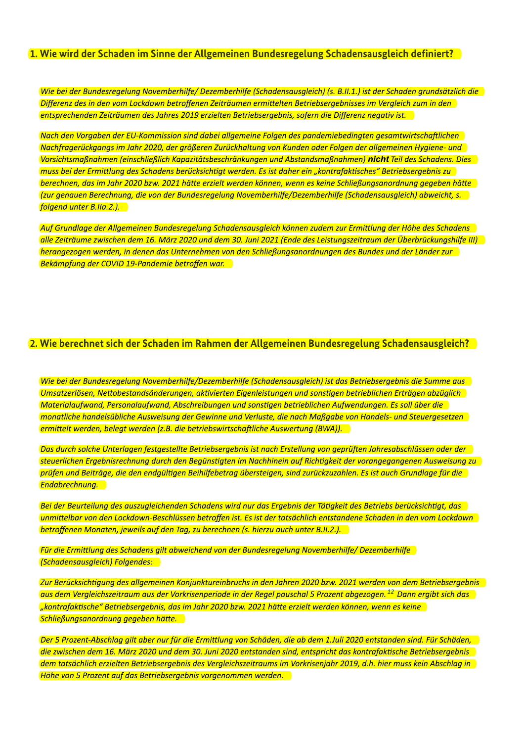#### 1. Wie wird der Schaden im Sinne der Allgemeinen Bundesregelung Schadensausgleich definiert?

Wie bei der Bundesregelung Novemberhilfe/Dezemberhilfe (Schadensausgleich) (s. B.II.1.) ist der Schaden grundsätzlich die Differenz des in den vom Lockdown betroffenen Zeiträumen ermittelten Betriebsergebnisses im Vergleich zum in den entsprechenden Zeiträumen des Jahres 2019 erzielten Betriebsergebnis, sofern die Differenz negativ ist.

Nach den Vorgaben der EU-Kommission sind dabei allgemeine Folgen des pandemiebedingten gesamtwirtschaftlichen Nachfragerückgangs im Jahr 2020, der größeren Zurückhaltung von Kunden oder Folgen der allgemeinen Hygiene- und Vorsichtsmaßnahmen (einschließlich Kapazitätsbeschränkungen und Abstandsmaßnahmen) nicht Teil des Schadens. Dies muss bei der Ermittlung des Schadens berücksichtigt werden. Es ist daher ein "kontrafaktisches" Betriebsergebnis zu berechnen, das im Jahr 2020 bzw. 2021 hätte erzielt werden können, wenn es keine Schließungsanordnung gegeben hätte (zur genauen Berechnung, die von der Bundesregelung Novemberhilfe/Dezemberhilfe (Schadensausgleich) abweicht, s. folgend unter B.IIa.2.).

Auf Grundlage der Allgemeinen Bundesregelung Schadensausgleich können zudem zur Ermittlung der Höhe des Schadens alle Zeiträume zwischen dem 16. März 2020 und dem 30. Juni 2021 (Ende des Leistungszeitraum der Überbrückungshilfe III) herangezogen werden, in denen das Unternehmen von den Schließungsanordnungen des Bundes und der Länder zur Bekämpfung der COVID 19-Pandemie betroffen war.

#### 2. Wie berechnet sich der Schaden im Rahmen der Allgemeinen Bundesregelung Schadensausgleich?

Ulie bei der Bundesregelung Novemberhilfe/Dezemberhilfe (Schadensausgleich) ist das Betriebsergebnis die Summe aus Umsatzerlösen, Nettobestandsänderungen, aktivierten Eigenleistungen und sonstigen betrieblichen Erträgen abzüglich Materialaufwand, Personalaufwand, Abschreibungen und sonstigen betrieblichen Aufwendungen. Es soll über die monatliche handelsübliche Ausweisung der Gewinne und Verluste, die nach Maßgabe von Handels- und Steuergesetzen ermittelt werden, belegt werden (z.B. die betriebswirtschaftliche Auswertung (BWA)).

Das durch solche Unterlagen festgestellte Betriebsergebnis ist nach Erstellung von geprüften Jahresabschlüssen oder der steuerlichen Ergebnisrechnung durch den Begünstigten im Nachhinein auf Richtigkeit der vorangegangenen Ausweisung zu prüfen und Beiträge, die den endgültigen Beihilfebetrag übersteigen, sind zurückzuzahlen. Es ist auch Grundlage für die Endabrechnung.

Bei der Beurteilung des auszugleichenden Schadens wird nur das Ergebnis der Tätigkeit des Betriebs berücksichtigt, das unmittelbar von den Lockdown-Beschlüssen betroffen ist. Es ist der tatsächlich entstandene Schaden in den vom Lockdown betroffenen Monaten, jeweils auf den Tag, zu berechnen (s. hierzu auch unter B.II.2.).

Für die Ermittlung des Schadens gilt abweichend von der Bundesregelung Novemberhilfe/ Dezemberhilfe (Schadensausgleich) Folgendes:

Zur Berücksichtigung des allgemeinen Konjunktureinbruchs in den Jahren 2020 bzw. 2021 werden von dem Betriebsergebnis aus dem Vergleichszeitraum aus der Vorkrisenperiode in der Regel pauschal 5 Prozent abgezogen.<sup>12</sup> Dann ergibt sich das "kontrafaktische" Betriebsergebnis, das im Jahr 2020 bzw. 2021 hätte erzielt werden können, wenn es keine Schließungsanordnung gegeben hätte.

Der 5 Prozent-Abschlag gilt aber nur für die Ermittlung von Schäden, die ab dem 1.Juli 2020 entstanden sind. Für Schäden, die zwischen dem 16. März 2020 und dem 30. Juni 2020 entstanden sind, entspricht das kontrafaktische Betriebsergebnis dem tatsächlich erzielten Betriebsergebnis des Vergleichszeitraums im Vorkrisenjahr 2019, d.h. hier muss kein Abschlag in Höhe von 5 Prozent auf das Betriebsergebnis vorgenommen werden.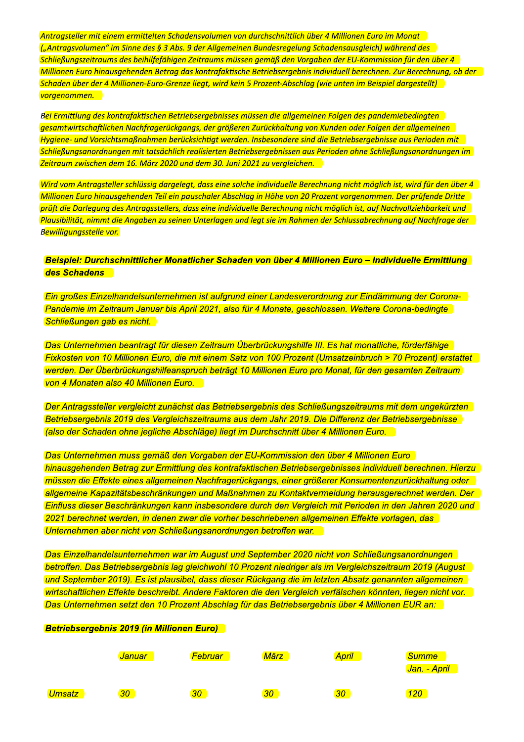Antragsteller mit einem ermittelten Schadensvolumen von durchschnittlich über 4 Millionen Euro im Monat ("Antragsvolumen" im Sinne des § 3 Abs. 9 der Allgemeinen Bundesregelung Schadensausgleich) wahrend des ligter Schließungszeitraums des beihlifefahigen Zeitraums mussen gemäß den Vorgaben der EU-Kommission für den über 4einem ermittelten Schadensvolumen von durchsc<br>n" im Sinne des § 3 Abs. 9 der Allgemeinen Bunde<br>aums des beihilfefähigen Zeitraums müssen gemä<br>inausgehenden Betrag das kontrafaktische Betrieb<br>r 4 Millionen-Euro-Grenze liegt <u>Millionen Euro hinausgehenden Betrag das kontrafaktische Betri</u> Antragsteller mit einem ermittelten Schadensvolumen von durchschnittlich über 4 Millionen Euro im Monat<br>"("Antragsvolumen" im Sinne des § 3 Abs. 9 der Allgemeinen Bundesregelung Schadensausgleich) während des<br>"Millionen Eu <mark>, wird kein 5 Prozent-Abschlag (wie unten im Beispiel dargestellt) –</mark> <mark>vorgenomm</mark> nlumen" im Sinne des § 3 Abs. 9 der Allgemeinen Bundesregelung Schader<br>izeitraums des beihilfefähigen Zeitraums müssen gemäß den Vorgaben d<br>iro hinausgehenden Betrag das kontrafaktische Betriebsergebnis individu<br>er der 4

vorgenommen.<br>B<mark>ei Ermittlung des kontrafaktischen Betriebsergebnisses müssen die allgemeinen Folgen des pandemiebedingten -</mark> gesamtwirtschaftlichen Nachfrägeruckgangs, der größeren Zuruckhaltung von Kunden oder Folgen der allgemeinen i<br>. Hygiene- und Vorsichtsmajsnahmen berücksichtigt werden. Insbesondere sind die Betriebsergebnisse aus Perioden mit Schließungsanordnungen mit tatsachlich realisierten Betriebsergebnissen aus Perioden ohne Schließungsanordnungen im<br>. <u>raum zwischen dem 16. Marz 2020 und dem 30. Juni 2021 zu vergleichen.  $\;$ </u>

Schaden über der 4 Millionen-Euro-Grenze liegt, wird kein 5 Prozent-Abschlag (wie unten im Beispiel dargestellt)<br>Vorgenommen.<br>Bei Ermittlung des kontrafaktischen Betriebsergebnisses müssen die allgemeinen Folgen des pandem Wird vom Antragsteller schlussig dargelegt, dass eine solche individuelle Berechnung nicht moglich ist, wird für den über 4 Millionen Euro hinausgehenden Teil ein pauschaler Abschlag in Hohe von 20 Prozent vorgenommen. Der prufende Dritte pruft die Darlegung des Antragsstellers, dass eine individuelle Berechnung nicht moglich ist, auf Nachvollziehbarkeit und Plausibilitat, nimmt die Angaben zu seinen Unterlagen und legt sie im Rahmen der Schlussabrechnung auf Nachfrage der<br>B<mark>ewilligungsstelle vor.</mark> Bewilligungsstelle vor.

#### Beispiel: Durchschnittlicher Monatlicher Schaden von über 4 Millionen Euro – Individuelle Ermittlung **des Schadens**

Ein großes Einzelhandelsunternehmen ist aufgrund einer Landesverordnung zur Eindämmung der Corona-Pandemie im Zeitraum Januar bis April 2021, also für 4 Monate, geschlossen. Weitere Corona-bedingte Schließungen gab es nicht.

Das Unternehmen beantragt für diesen Zeitraum Überbrückungshilfe III. Es hat monatliche, förderfähige Fixkosten von 10 Millionen Euro, die mit einem Satz von 100 Prozent (Umsatzeinbruch > 70 Prozent) erstattet werden. Der Überbrückungshilfeanspruch beträgt 10 Millionen Euro pro Monat, für den gesamten Zeitraum von 4 Monaten also 40 Millionen Euro.

Der Antragssteller vergleicht zunächst das Betriebsergebnis des Schließungszeitraums mit dem ungekürzten Betriebsergebnis 2019 des Vergleichszeitraums aus dem Jahr 2019. Die Differenz der Betriebsergebnisse (also der Schaden ohne jegliche Abschläge) liegt im Durchschnitt über 4 Millionen Euro.

Das Unternehmen muss gemäß den Vorgaben der EU-Kommission den über 4 Millionen Euro hinausgehenden Betrag zur Ermittlung des kontrafaktischen Betriebsergebnisses individuell berechnen. Hierzu müssen die Effekte eines allgemeinen Nachfragerückgangs, einer größerer Konsumentenzurückhaltung oder allgemeine Kapazitätsbeschränkungen und Maßnahmen zu Kontaktvermeidung herausgerechnet werden. Der Einfluss dieser Beschränkungen kann insbesondere durch den Vergleich mit Perioden in den Jahren 2020 und 2021 berechnet werden, in denen zwar die vorher beschriebenen allgemeinen Effekte vorlagen, das Unternehmen aber nicht von Schließungsanordnungen betroffen war.

Das Einzelhandelsunternehmen war im August und September 2020 nicht von Schließungsanordnungen betroffen. Das Betriebsergebnis lag gleichwohl 10 Prozent niedriger als im Vergleichszeitraum 2019 (August und September 2019). Es ist plausibel, dass dieser Rückgang die im letzten Absatz genannten allgemeinen wirtschaftlichen Effekte beschreibt. Andere Faktoren die den Vergleich verfälschen könnten, liegen nicht vor. Das Unternehmen setzt den 10 Prozent Abschlag für das Betriebsergebnis über 4 Millionen EUR an:

#### Betriebsergebnis 2019 (in Millionen Euro)

|               | 'Januar         | <b>Februar</b>  | März            | April | <b>Summe</b><br><mark>Jan. - April</mark> |
|---------------|-----------------|-----------------|-----------------|-------|-------------------------------------------|
| <b>Umsatz</b> | 30 <sub>1</sub> | 30 <sub>2</sub> | 30 <sub>2</sub> | 30    | 120                                       |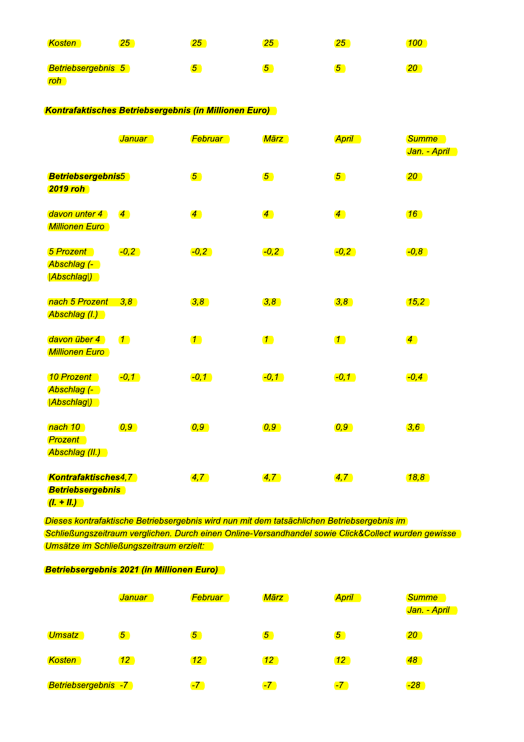| Kosten                    | 25 | 25 | $25\,$         | 25 | 100 |
|---------------------------|----|----|----------------|----|-----|
| <b>Betriebsergebnis 5</b> |    | 5  | $\overline{5}$ | O  | 20  |
| roh                       |    |    |                |    |     |

| Betriebsergebnis 5<br>roh                                             |                                                       | $\sqrt{5}$            | $\sqrt{5}$            | $\sqrt{5}$            | 20                           |  |  |  |  |
|-----------------------------------------------------------------------|-------------------------------------------------------|-----------------------|-----------------------|-----------------------|------------------------------|--|--|--|--|
|                                                                       | Kontrafaktisches Betriebsergebnis (in Millionen Euro) |                       |                       |                       |                              |  |  |  |  |
|                                                                       | <b>Januar</b>                                         | <b>Februar</b>        | <mark>März i</mark>   | <b>April</b>          | <b>Summe</b><br>Jan. - April |  |  |  |  |
| <b>Betriebsergebnis5</b><br><b>2019 roh</b>                           |                                                       | $\sqrt{5}$            | $\sqrt{5}$            | $\boxed{5}$           | $\overline{20}$              |  |  |  |  |
| davon unter 4<br><b>Millionen Euro</b>                                | $\overline{4}$                                        | $\overline{4}$        | $\overline{4}$        | $\overline{4}$        | $\boxed{16}$                 |  |  |  |  |
| <b>5 Prozent</b><br>Abschlag (- 1<br>Abschlag )                       | $-0,2$                                                | $-0,2$                | $-0,2$                | $-0,2$                | $-0,8$                       |  |  |  |  |
| nach 5 Prozent 3,8<br>Abschlag (I.)                                   |                                                       | $\overline{(3,8)}$    | 3,8                   | 3,8                   | (15,2)                       |  |  |  |  |
| davon über 4<br><b>Millionen Euro</b>                                 | $\boxed{\phantom{0}}$                                 | $\boxed{\phantom{0}}$ | $\boxed{\phantom{0}}$ | $\boxed{\phantom{0}}$ | $\sqrt{4}$                   |  |  |  |  |
| 10 Prozent<br>Abschlag (-<br>(Abschlag )                              | $\left[-0,1\right]$                                   | $-0, 1$               | $-0, 1$               | $\left(-0,1\right)$   | $-0,4$                       |  |  |  |  |
| nach 10<br><b>Prozent</b><br>Abschlag (II.)                           | $\overline{0,9}$                                      | $\overline{0,9}$      | $\overline{0,9}$      | $\overline{0,9}$      | 3,6                          |  |  |  |  |
| <b>Kontrafaktisches4,7</b><br><b>Betriebsergebnis</b><br>$(l. + ll.)$ |                                                       | $\overline{4,7}$      | $\overline{4,7}$      | $\overline{4,7}$      | (18, 8)                      |  |  |  |  |

| Dieses kontrafaktische Betriebsergebnis wird nun mit dem tatsächlichen Betriebsergebnis im<br>Schließungszeitraum verglichen. Durch einen Online-Versandhandel sowie Click&Collect wurden gewisse<br>Umsätze im Schließungszeitraum erzielt:<br><b>Betriebsergebnis 2021 (in Millionen Euro)</b> |                 |                 |                |                 |                                           |  |  |
|--------------------------------------------------------------------------------------------------------------------------------------------------------------------------------------------------------------------------------------------------------------------------------------------------|-----------------|-----------------|----------------|-----------------|-------------------------------------------|--|--|
|                                                                                                                                                                                                                                                                                                  |                 |                 |                |                 |                                           |  |  |
|                                                                                                                                                                                                                                                                                                  | 'Januar         | 'Februar        | März           | <b>April</b>    | <b>Summe</b><br><mark>Jan. - April</mark> |  |  |
| Umsatz l                                                                                                                                                                                                                                                                                         | $\overline{5}$  | $\sqrt{5}$      | 5 <sup>1</sup> | $\sqrt{5}$      | 20 <sup>1</sup>                           |  |  |
| <b>Kosten</b>                                                                                                                                                                                                                                                                                    | 12 <sup>7</sup> | 12 <sup>7</sup> | $ 12\rangle$   | 12 <sup>1</sup> | $ 48\rangle$                              |  |  |
| <b>Betriebsergebnis -7</b>                                                                                                                                                                                                                                                                       |                 | $-7$            | $-7$           | $-7$            | $-28$                                     |  |  |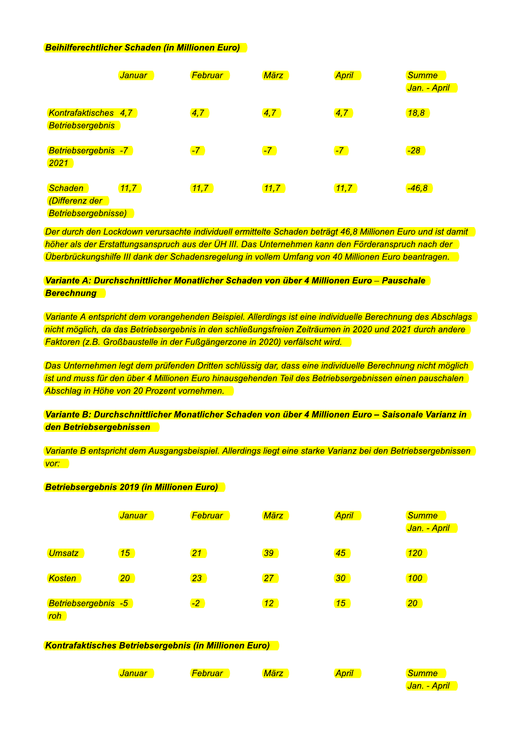#### **Beihilferechtlicher Schaden (in Millionen Euro)**

|                                                         | <b>Januar</b> | Februar | <b>März</b>  | <b>April</b> | <b>Summe</b><br>Jan. - April |
|---------------------------------------------------------|---------------|---------|--------------|--------------|------------------------------|
| Kontrafaktisches 4,7<br><b>Betriebsergebnis</b>         |               | 4,7     | $\sqrt{4,7}$ | 4,7          | 18,8                         |
| Betriebsergebnis -7<br>2021                             |               | $-7$    | $-7$         | $-7$         | $-28$                        |
| Schaden<br>(Differenz der<br><b>Betriebsergebnisse)</b> | 11,7          | 11,7    | 11,7         | 11,7         | $-46,8$                      |

Der durch den Lockdown verursachte individuell ermittelte Schaden beträgt 46,8 Millionen Euro und ist damit höher als der Erstattungsanspruch aus der ÜH III. Das Unternehmen kann den Förderanspruch nach der Überbrückungshilfe III dank der Schadensregelung in vollem Umfang von 40 Millionen Euro beantragen.

Variante A: Durchschnittlicher Monatlicher Schaden von über 4 Millionen Euro – Pauschale **Berechnung** 

Variante A entspricht dem vorangehenden Beispiel. Allerdings ist eine individuelle Berechnung des Abschlags nicht möglich, da das Betriebsergebnis in den schließungsfreien Zeiträumen in 2020 und 2021 durch andere Faktoren (z.B. Großbaustelle in der Fußgängerzone in 2020) verfälscht wird.

Das Unternehmen legt dem prüfenden Dritten schlüssig dar, dass eine individuelle Berechnung nicht möglich ist und muss für den über 4 Millionen Euro hinausgehenden Teil des Betriebsergebnissen einen pauschalen Abschlag in Höhe von 20 Prozent vornehmen.

Variante B: Durchschnittlicher Monatlicher Schaden von über 4 Millionen Euro – Saisonale Varianz in den Betriebsergebnissen

Variante B entspricht dem Ausgangsbeispiel. Allerdings liegt eine starke Varianz bei den Betriebsergebnissen  $V$ or:

#### **Betriebsergebnis 2019 (in Millionen Euro)**

|                                    | <mark>Januar</mark> | Februar         | März            | <b>April</b>    | <b>Summe</b><br><mark>Jan. - April</mark> |
|------------------------------------|---------------------|-----------------|-----------------|-----------------|-------------------------------------------|
| Umsatz                             | 15                  | <u> 21 </u>     | 39              | 45              | 120                                       |
| Kosten                             | 20 <sub>2</sub>     | 23 <sub>2</sub> | 27              | 30 <sub>2</sub> | 100                                       |
| Betriebsergebnis -5<br>$r \circ h$ |                     | $-2$            | 12 <sub>2</sub> | 15              | 20 <sub>2</sub>                           |

#### Kontrafaktisches Betriebsergebnis (in Millionen Euro)

Jan. - April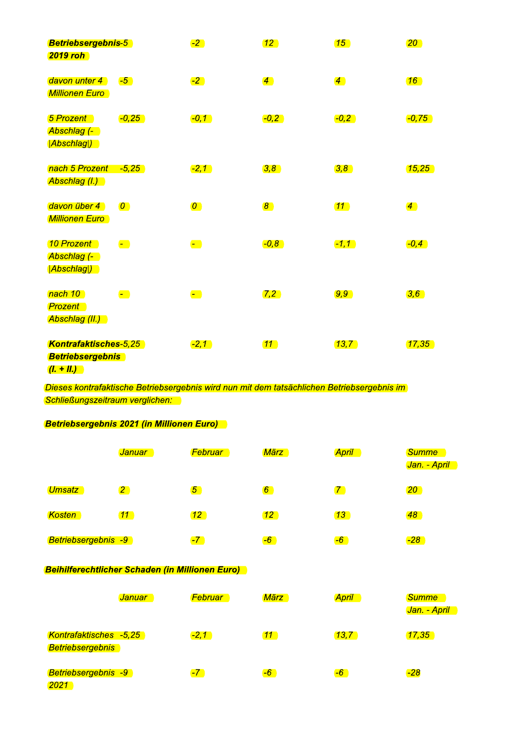| <b>Betriebsergebnis-5</b><br><b>2019 roh</b>                            |                                                                       | $-2$                                                                | $\boxed{12}$     | $\boxed{15}$     | 20                    |
|-------------------------------------------------------------------------|-----------------------------------------------------------------------|---------------------------------------------------------------------|------------------|------------------|-----------------------|
| davon unter 4<br><b>Millionen Euro</b>                                  | $-5$                                                                  | $-2$                                                                | $\overline{4}$   | $\overline{4}$   | $\boxed{16}$          |
| <b>5 Prozent</b><br>Abschlag (-<br><b>Abschlag</b>                      | $-0,25$                                                               | $\left[-0,1\right]$                                                 | $-0,2$           | $-0,2$           | $\left[-0, 75\right]$ |
| nach 5 Prozent<br>Abschlag (I.)                                         | $-5,25$                                                               | $-2, 1$                                                             | $\overline{3,8}$ | $\overline{3,8}$ | (15, 25)              |
| davon über 4<br><b>Millionen Euro</b>                                   | $\overline{O}$                                                        | $\boldsymbol{O}$                                                    | $\boxed{8}$      | 11               | $\overline{4}$        |
| 10 Prozent<br>Abschlag (- )<br><mark> Abschlag )</mark>                 | $\begin{array}{ c c } \hline \hline \hline \hline \hline \end{array}$ | $\begin{array}{ c } \hline \hline \hline \hline \hline \end{array}$ | $-0,8$           | $-1, 1$          | $-0,4$                |
| nach 10<br><b>Prozent</b><br>Abschlag (II.)                             | $\overline{\phantom{a}}$                                              | $\begin{array}{c} \hline \end{array}$                               | (7,2)            | $\overline{9,9}$ | 3,6                   |
| <b>Kontrafaktisches-5,25</b><br><b>Betriebsergebnis</b><br>$(l. + ll.)$ |                                                                       | $-2, 1$                                                             | $\boxed{11}$     | (13,7)           | (17, 35)              |

Dieses kontrafaktische Betriebsergebnis wird nun mit dem tatsächlichen Betriebsergebnis im **Schließungszeitraum verglichen:** 

#### **Betriebsergebnis 2021 (in Millionen Euro)**

|                     | <mark>Januar</mark> | <b>Februar</b> | <b>März</b>     | <b>April</b> | <b>Summe</b><br><mark>Jan. - April</mark> |
|---------------------|---------------------|----------------|-----------------|--------------|-------------------------------------------|
| <b>Umsatz</b>       | $\overline{2}$      | $\sqrt{5}$     | $6 \n$          |              | 20                                        |
| <b>Kosten</b>       | 11                  | $12-$          | 12 <sup>7</sup> | 13           | <b>48</b>                                 |
| Betriebsergebnis -9 |                     | $-7$           | $-6$            | $-6$         | $-28$                                     |

#### **Beihilferechtlicher Schaden (in Millionen Euro)**

|                                                          | 'Januar | Februar | <b>März</b> | <b>April</b> | <b>Summe</b><br><mark>Jan. - April</mark> |
|----------------------------------------------------------|---------|---------|-------------|--------------|-------------------------------------------|
| <b>Kontrafaktisches -5,25</b><br><b>Betriebsergebnis</b> |         | $-2, 1$ | 11          | 13,7         | 17,35                                     |
| Betriebsergebnis -9<br>2021                              |         | $-7$    | $-6$        | $-6$         | $-28$                                     |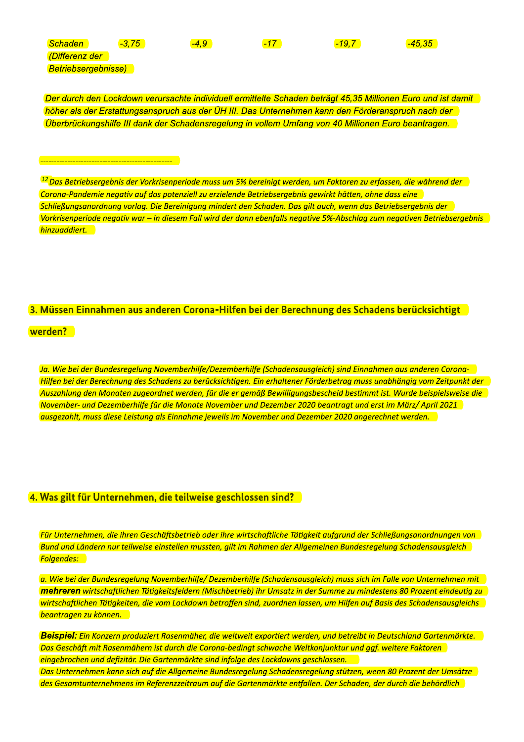| Schaden                    | $-3,75$ | $-4,9$ | $-17$ | $-19,7$                                                                                                                   | $-45,35$ |
|----------------------------|---------|--------|-------|---------------------------------------------------------------------------------------------------------------------------|----------|
| (Differenz der             |         |        |       |                                                                                                                           |          |
| <b>Betriebsergebnisse)</b> |         |        |       |                                                                                                                           |          |
|                            |         |        |       |                                                                                                                           |          |
|                            |         |        |       |                                                                                                                           |          |
|                            |         |        |       | Der durch den Lockdown verursachte individuell ermittelte Schaden beträgt 45,35 Millionen Euro und is                     |          |
|                            |         |        |       | höher als der Erstattungsanspruch aus der ÜH III. Das Unternehmen kann den Förderanspruch nach de                         |          |
|                            |         |        |       | Überbrückungshilfe III dank der Schadensregelung in vollem Umfang von 40 Millionen Euro beantragen                        |          |
|                            |         |        |       |                                                                                                                           |          |
|                            |         |        |       |                                                                                                                           |          |
|                            |         |        |       |                                                                                                                           |          |
|                            |         |        |       |                                                                                                                           |          |
|                            |         |        |       |                                                                                                                           |          |
|                            |         |        |       | <sup>12</sup> Das Betriebsergebnis der Vorkrisenperiode muss um 5% bereinigt werden, um Faktoren zu erfassen, die während |          |
|                            |         |        |       | Corona-Pandemie negativ auf das potenziell zu erzielende Betriebsergebnis gewirkt hätten, ohne dass eine                  |          |

<u>Der durch den Lockdown Verursachte individuell ermittelte Schaden betragt 45,35 Millionen Euro und ist damit I</u> noner als der Erstattungsanspruch aus der UH III. Das Unternehmen kann den Forderanspruch hach der l <u>Uberbruckungsniife III dank der Schadensregelung in vollem Umfang von 40 Millionen Euro beantragen. I</u>

 $^{12}$ Das Betriebsergebnis der Vorkrisenperiode muss um 5% bereinigt werden, um Faktoren zu erfassen, die während der Corona-Pandemie negativ auf das potenziell zu erzielende Betriebsergebnis gewirkt hätten, ohne dass eine Schließungsanordnung vorlag. Die Bereinigung mindert den Schaden. Das gilt auch, wenn das Betriebsergebnis der Vorkrisenperiode negativ war – in diesem Fall wird der dann ebenfalls negative 5%-Abschlag zum negativen Betriebsergebnis hinzuaddiert.

#### 3. Müssen Einnahmen aus anderen Corona-Hilfen bei der Berechnung des Schadens berücksichtigt

werden?

Ja. Wie bei der Bundesregelung Novemberhilfe/Dezemberhilfe (Schadensausgleich) sind Einnahmen aus anderen Corona-Hilfen bei der Berechnung des Schadens zu berücksichtigen. Ein erhaltener Förderbetrag muss unabhängig vom Zeitpunkt der Auszahlung den Monaten zugeordnet werden, für die er gemäß Bewilligungsbescheid bestimmt ist. Wurde beispielsweise die November- und Dezemberhilfe für die Monate November und Dezember 2020 beantragt und erst im März/ April 2021 ausgezahlt, muss diese Leistung als Einnahme jeweils im November und Dezember 2020 angerechnet werden.

#### 4. Was gilt für Unternehmen, die teilweise geschlossen sind?

Für Unternehmen, die ihren Geschäftsbetrieb oder ihre wirtschaftliche Tätigkeit aufgrund der Schließungsanordnungen von Bund und Ländern nur teilweise einstellen mussten, gilt im Rahmen der Allgemeinen Bundesregelung Schadensausgleich **Folgendes:** 

a. Wie bei der Bundesregelung Novemberhilfe/ Dezemberhilfe (Schadensausgleich) muss sich im Falle von Unternehmen mit mehreren wirtschaftlichen Tätigkeitsfeldern (Mischbetrieb) ihr Umsatz in der Summe zu mindestens 80 Prozent eindeutig zu wirtschaftlichen Tätigkeiten, die vom Lockdown betroffen sind, zuordnen lassen, um Hilfen auf Basis des Schadensausgleichs **beantragen zu können.** 

Beispiel: Ein Konzern produziert Rasenmäher, die weltweit exportiert werden, und betreibt in Deutschland Gartenmärkte. Das Geschäft mit Rasenmähern ist durch die Corona-bedingt schwache Weltkonjunktur und ggf. weitere Faktoren eingebrochen und defizitär. Die Gartenmärkte sind infolge des Lockdowns geschlossen. Das Unternehmen kann sich auf die Allgemeine Bundesregelung Schadensregelung stützen, wenn 80 Prozent der Umsätze des Gesamtunternehmens im Referenzzeitraum auf die Gartenmärkte entfallen. Der Schaden, der durch die behördlich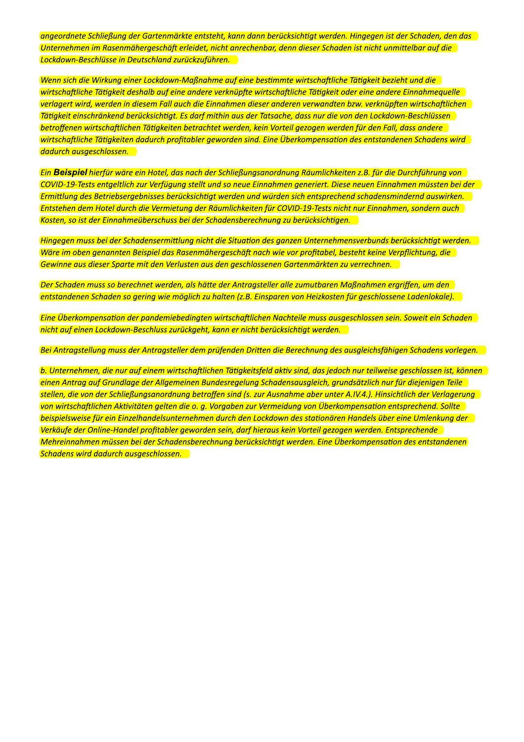angeordnete Schließung der Gartenmärkte entsteht, kann dann berücksichtigt werden. Hingegen ist der Schaden, den das Unternehmen im Rasenmähergeschäft erleidet, nicht anrechenbar, denn dieser Schaden ist nicht unmittelbar auf die Lockdown-Beschlüsse in Deutschland zurückzuführen.

Uvenn sich die Wirkung einer Lockdown-Maßnahme auf eine bestimmte wirtschaftliche Tätigkeit bezieht und die wirtschaftliche Tätigkeit deshalb auf eine andere verknüpfte wirtschaftliche Tätigkeit oder eine andere Einnahmequelle verlagert wird, werden in diesem Fall auch die Einnahmen dieser anderen verwandten bzw. verknüpften wirtschaftlichen Tätigkeit einschränkend berücksichtigt. Es darf mithin aus der Tatsache, dass nur die von den Lockdown-Beschlüssen betroffenen wirtschaftlichen Tätigkeiten betrachtet werden, kein Vorteil gezogen werden für den Fall, dass andere wirtschaftliche Tätigkeiten dadurch profitabler geworden sind. Eine Überkompensation des entstandenen Schadens wird dadurch ausgeschlossen.

Ein Beispiel hierfür wäre ein Hotel, das nach der Schließungsanordnung Räumlichkeiten z.B. für die Durchführung von COVID-19-Tests entgeltlich zur Verfügung stellt und so neue Einnahmen generiert. Diese neuen Einnahmen müssten bei der Ermittlung des Betriebsergebnisses berücksichtigt werden und würden sich entsprechend schadensmindernd auswirken. Entstehen dem Hotel durch die Vermietung der Räumlichkeiten für COVID-19-Tests nicht nur Einnahmen, sondern auch Kosten, so ist der Einnahmeüberschuss bei der Schadensberechnung zu berücksichtigen.

Hingegen muss bei der Schadensermittlung nicht die Situation des ganzen Unternehmensverbunds berücksichtigt werden. Wäre im oben genannten Beispiel das Rasenmähergeschäft nach wie vor profitabel, besteht keine Verpflichtung, die Gewinne aus dieser Sparte mit den Verlusten aus den geschlossenen Gartenmärkten zu verrechnen.

Der Schaden muss so berechnet werden, als hätte der Antragsteller alle zumutbaren Maßnahmen ergriffen, um den entstandenen Schaden so gering wie möglich zu halten (z.B. Einsparen von Heizkosten für geschlossene Ladenlokale).

Eine Überkompensation der pandemiebedingten wirtschaftlichen Nachteile muss ausgeschlossen sein. Soweit ein Schaden nicht auf einen Lockdown-Beschluss zurückgeht, kann er nicht berücksichtigt werden.

Bei Antragstellung muss der Antragsteller dem prüfenden Dritten die Berechnung des ausgleichsfähigen Schadens vorlegen.

b. Unternehmen, die nur auf einem wirtschaftlichen Tätigkeitsfeld aktiv sind, das jedoch nur teilweise geschlossen ist, können einen Antrag auf Grundlage der Allgemeinen Bundesregelung Schadensausgleich, grundsätzlich nur für diejenigen Teile stellen, die von der Schließungsanordnung betroffen sind (s. zur Ausnahme aber unter A.IV.4.). Hinsichtlich der Verlagerung von wirtschaftlichen Aktivitäten gelten die o. g. Vorgaben zur Vermeidung von Überkompensation entsprechend. Sollte beispielsweise für ein Einzelhandelsunternehmen durch den Lockdown des stationären Handels über eine Umlenkung der Verkäufe der Online-Handel profitabler geworden sein, darf hieraus kein Vorteil gezogen werden. Entsprechende Mehreinnahmen müssen bei der Schadensberechnung berücksichtigt werden. Eine Überkompensation des entstandenen Schadens wird dadurch ausgeschlossen.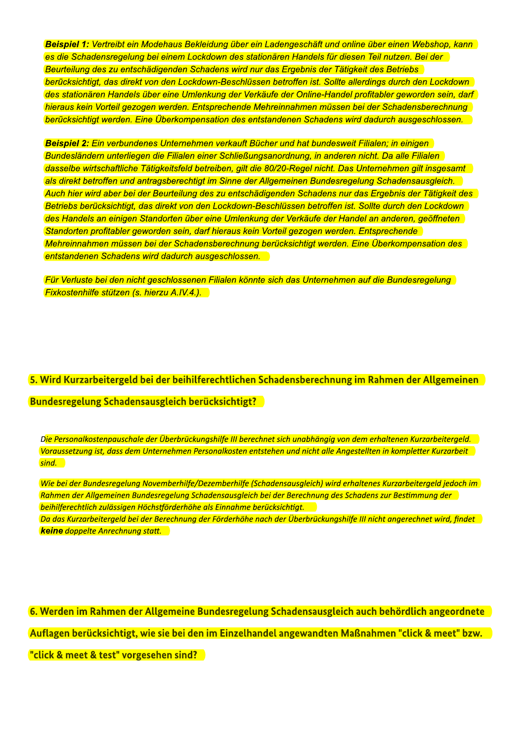Beispiel 1: Vertreibt ein Modehaus Bekleidung über ein Ladengeschäft und online über einen Webshop, kann es die Schadensregelung bei einem Lockdown des stationären Handels für diesen Teil nutzen. Bei der Beurteilung des zu entschädigenden Schadens wird nur das Ergebnis der Tätigkeit des Betriebs berücksichtigt, das direkt von den Lockdown-Beschlüssen betroffen ist. Sollte allerdings durch den Lockdown des stationären Handels über eine Umlenkung der Verkäufe der Online-Handel profitabler geworden sein, darf hieraus kein Vorteil gezogen werden. Entsprechende Mehreinnahmen müssen bei der Schadensberechnung berücksichtigt werden. Eine Überkompensation des entstandenen Schadens wird dadurch ausgeschlossen.

Beispiel 2: Ein verbundenes Unternehmen verkauft Bücher und hat bundesweit Filialen: in einigen Bundesländern unterliegen die Filialen einer Schließungsanordnung, in anderen nicht. Da alle Filialen dasselbe wirtschaftliche Tätigkeitsfeld betreiben, gilt die 80/20-Regel nicht. Das Unternehmen gilt insgesamt als direkt betroffen und antragsberechtigt im Sinne der Allgemeinen Bundesregelung Schadensausgleich. Auch hier wird aber bei der Beurteilung des zu entschädigenden Schadens nur das Ergebnis der Tätigkeit des Betriebs berücksichtigt, das direkt von den Lockdown-Beschlüssen betroffen ist. Sollte durch den Lockdown des Handels an einigen Standorten über eine Umlenkung der Verkäufe der Handel an anderen, geöffneten Standorten profitabler geworden sein, darf hieraus kein Vorteil gezogen werden. Entsprechende Mehreinnahmen müssen bei der Schadensberechnung berücksichtigt werden. Eine Überkompensation des entstandenen Schadens wird dadurch ausgeschlossen.

Für Verluste bei den nicht geschlossenen Filialen könnte sich das Unternehmen auf die Bundesregelung **Fixkostenhilfe stützen (s. hierzu A.IV.4.).** 

# 5. Wird Kurzarbeitergeld bei der beihilferechtlichen Schadensberechnung im Rahmen der Allgemeinen **Bundesregelung Schadensausgleich berücksichtigt?**

Die Personalkostenpauschale der Überbrückungshilfe III berechnet sich unabhängig von dem erhaltenen Kurzarbeitergeld. Voraussetzung ist, dass dem Unternehmen Personalkosten entstehen und nicht alle Angestellten in kompletter Kurzarbeit <mark>sind.</mark>

Wie bei der Bundesregelung Novemberhilfe/Dezemberhilfe (Schadensausgleich) wird erhaltenes Kurzarbeitergeld jedoch im Rahmen der Allgemeinen Bundesregelung Schadensausgleich bei der Berechnung des Schadens zur Bestimmung der beihilferechtlich zulässigen Höchstförderhöhe als Einnahme berücksichtigt.

Da das Kurzarbeitergeld bei der Berechnung der Förderhöhe nach der Überbrückungshilfe III nicht angerechnet wird, findet **keine** doppelte Anrechnung statt.

6. Werden im Rahmen der Allgemeine Bundesregelung Schadensausgleich auch behördlich angeordnete Auflagen berücksichtigt, wie sie bei den im Einzelhandel angewandten Maßnahmen "click & meet" bzw. "click & meet & test" vorgesehen sind?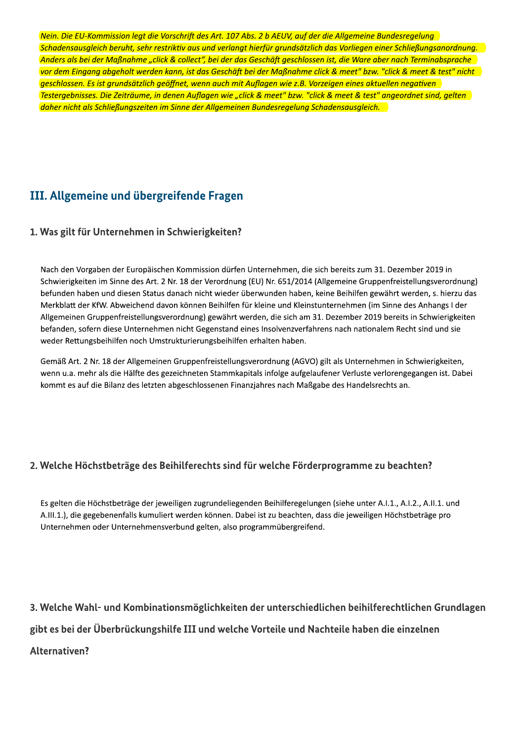Nein. Die EU-Kommission legt die Vorschrift des Art. 107 Abs. 2 b AEUV, auf der die Allgemeine Bundesregelung Schadensausgleich berüht, sehr restriktiv aus und verlängt hierfür gründsatzlich das Vorliegen einer Schließungsanordnung. Art. 107 Abs. 2 b AEUV, auf der die Allgemeine Bui<br>d verlangt hierfür grundsätzlich das Vorliegen eine<br>ei der das Geschäft geschlossen ist, die Ware abei<br>Geschäft bei der Maßnahme click & meet" bzw. "c<br>auch mit Auflagen wi Anders als bei der Maßnahme "click & collect", bei der das Geschaft geschlossen ist, die Ware aber nach Terminabspräche rrift des Art. 107 Abs. 2 b AEUV, auf der die Allgen<br>v aus und verlangt hierfür grundsätzlich das Vorlie<br>ollect", bei der das Geschäft geschlossen ist, die W<br>, ist das Geschäft bei der Maßnahme click & meet<br>et, wenn auch m vor dem Eingang abgeholt werden kann, ist das Geschaft bei der Majsnahme click & meet" bzw. "click & meet & test" nicht t die Vorschrift des Art. 107 Abs. 2 b AEUV, auf der<br>hr restriktiv aus und verlangt hierfür grundsätzlich<br>e "click & collect", bei der das Geschäft geschlosse<br>erden kann, ist das Geschäft bei der Maßnahme cl<br>ich geöffnet, geschlossen. Es ist grundsatzlich geoffnet, wenn auch mit Auflagen wie z.B. Vorzeigen eines aktuellen negativen lein. Die EU-Kommission legt die Vorschrift des Ar<br>chadensausgleich beruht, sehr restriktiv aus und v<br>Anders als bei der Maßnahme "click & collect", bei<br>or dem Eingang abgeholt werden kann, ist das Ge<br>reschlossen. Es ist g lestergebnisses. Die Zeitraume, in denen Auflagen wie "click & meet" bzw. "click & meet & test" angeordnet sind, gelten Nein. Die EU-Kommission legt die Vorschrift des Ar<br>Schadensausgleich beruht, sehr restriktiv aus und<br>Anders als bei der Maßnahme "click & collect", bei<br>vor dem Eingang abgeholt werden kann, ist das Gi<br>Testergebnisses. Die daher nicht als Schließungszeiten im Sinne der Allgemeinen Bundesregelung Schadensausgleich.

# III. Allgemeine und übergreifende Fragen

### 1. Was gilt für Unternehmen in Schwierigkeiten?

Nach den Vorgaben der Europäischen Kommission dürfen Unternehmen, die sich bereits zum 31. Dezember 2019 in Schwierigkeiten im Sinne des Art. 2 Nr. 18 der Verordnung (EU) Nr. 651/2014 (Allgemeine Gruppenfreistellungsverordnung) befunden haben und diesen Status danach nicht wieder überwunden haben, keine Beihilfen gewährt werden, s. hierzu das Merkblatt der KfW. Abweichend davon können Beihilfen für kleine und Kleinstunternehmen (im Sinne des Anhangs I der Allgemeinen Gruppenfreistellungsverordnung) gewährt werden, die sich am 31. Dezember 2019 bereits in Schwierigkeiten befanden, sofern diese Unternehmen nicht Gegenstand eines Insolvenzverfahrens nach nationalem Recht sind und sie weder Rettungsbeihilfen noch Umstrukturierungsbeihilfen erhalten haben.

Gemäß Art. 2 Nr. 18 der Allgemeinen Gruppenfreistellungsverordnung (AGVO) gilt als Unternehmen in Schwierigkeiten, wenn u.a. mehr als die Hälfte des gezeichneten Stammkapitals infolge aufgelaufener Verluste verlorengegangen ist. Dabei kommt es auf die Bilanz des letzten abgeschlossenen Finanzjahres nach Maßgabe des Handelsrechts an.

## 2. Welche Höchstbeträge des Beihilferechts sind für welche Förderprogramme zu beachten?

Es gelten die Höchstbeträge der jeweiligen zugrundeliegenden Beihilferegelungen (siehe unter A.I.1., A.I.2., A.II.1. und A.III.1.), die gegebenenfalls kumuliert werden können. Dabei ist zu beachten, dass die jeweiligen Höchstbeträge pro Unternehmen oder Unternehmensverbund gelten, also programmübergreifend.

3. Welche Wahl- und Kombinationsmöglichkeiten der unterschiedlichen beihilferechtlichen Grundlagen gibt es bei der Überbrückungshilfe III und welche Vorteile und Nachteile haben die einzelnen Alternativen?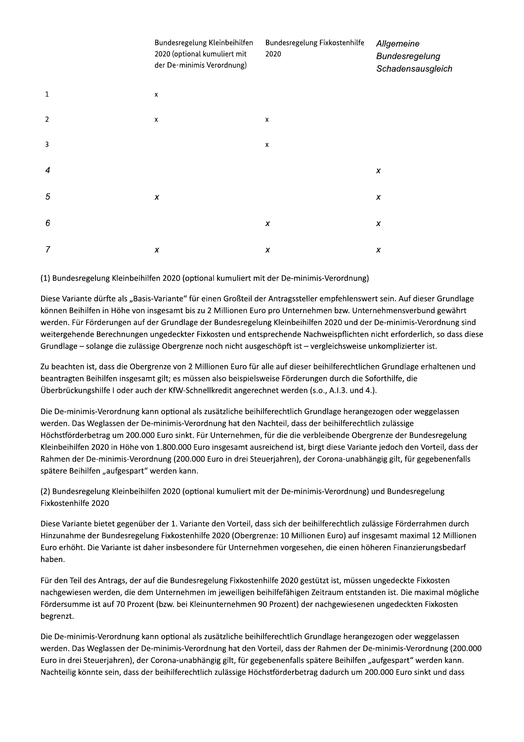|                | Bundesregelung Kleinbeihilfen<br>2020 (optional kumuliert mit<br>der De-minimis Verordnung) | Bundesregelung Fixkostenhilfe<br>2020 | Allgemeine<br>Bundesregelung<br>Schadensausgleich |
|----------------|---------------------------------------------------------------------------------------------|---------------------------------------|---------------------------------------------------|
| $\mathbf{1}$   | $\pmb{\mathsf{x}}$                                                                          |                                       |                                                   |
| $\overline{2}$ | x                                                                                           | $\pmb{\chi}$                          |                                                   |
| $\overline{3}$ |                                                                                             | $\pmb{\chi}$                          |                                                   |
| $\overline{4}$ |                                                                                             |                                       | x                                                 |
| $\sqrt{5}$     | $\pmb{\chi}$                                                                                |                                       | X                                                 |
| 6              |                                                                                             | X                                     | $\pmb{\chi}$                                      |
| $\overline{7}$ | X                                                                                           | X                                     | X                                                 |

(1) Bundesregelung Kleinbeihilfen 2020 (optional kumuliert mit der De-minimis-Verordnung)

Diese Variante dürfte als "Basis-Variante" für einen Großteil der Antragssteller empfehlenswert sein. Auf dieser Grundlage können Beihilfen in Höhe von insgesamt bis zu 2 Millionen Euro pro Unternehmen bzw. Unternehmensverbund gewährt werden. Für Förderungen auf der Grundlage der Bundesregelung Kleinbeihilfen 2020 und der De-minimis-Verordnung sind weitergehende Berechnungen ungedeckter Fixkosten und entsprechende Nachweispflichten nicht erforderlich, so dass diese Grundlage - solange die zulässige Obergrenze noch nicht ausgeschöpft ist - vergleichsweise unkomplizierter ist.

Zu beachten ist, dass die Obergrenze von 2 Millionen Euro für alle auf dieser beihilferechtlichen Grundlage erhaltenen und beantragten Beihilfen insgesamt gilt; es müssen also beispielsweise Förderungen durch die Soforthilfe, die Überbrückungshilfe I oder auch der KfW-Schnellkredit angerechnet werden (s.o., A.I.3. und 4.).

Die De-minimis-Verordnung kann optional als zusätzliche beihilferechtlich Grundlage herangezogen oder weggelassen werden. Das Weglassen der De-minimis-Verordnung hat den Nachteil, dass der beihilferechtlich zulässige Höchstförderbetrag um 200.000 Euro sinkt. Für Unternehmen, für die die verbleibende Obergrenze der Bundesregelung Kleinbeihilfen 2020 in Höhe von 1.800.000 Euro insgesamt ausreichend ist, birgt diese Variante jedoch den Vorteil, dass der Rahmen der De-minimis-Verordnung (200.000 Euro in drei Steuerjahren), der Corona-unabhängig gilt, für gegebenenfalls spätere Beihilfen "aufgespart" werden kann.

(2) Bundesregelung Kleinbeihilfen 2020 (optional kumuliert mit der De-minimis-Verordnung) und Bundesregelung Fixkostenhilfe 2020

Diese Variante bietet gegenüber der 1. Variante den Vorteil, dass sich der beihilferechtlich zulässige Förderrahmen durch Hinzunahme der Bundesregelung Fixkostenhilfe 2020 (Obergrenze: 10 Millionen Euro) auf insgesamt maximal 12 Millionen Euro erhöht. Die Variante ist daher insbesondere für Unternehmen vorgesehen, die einen höheren Finanzierungsbedarf haben.

Für den Teil des Antrags, der auf die Bundesregelung Fixkostenhilfe 2020 gestützt ist, müssen ungedeckte Fixkosten nachgewiesen werden, die dem Unternehmen im jeweiligen beihilfefähigen Zeitraum entstanden ist. Die maximal mögliche Fördersumme ist auf 70 Prozent (bzw. bei Kleinunternehmen 90 Prozent) der nachgewiesenen ungedeckten Fixkosten begrenzt.

Die De-minimis-Verordnung kann optional als zusätzliche beihilferechtlich Grundlage herangezogen oder weggelassen werden. Das Weglassen der De-minimis-Verordnung hat den Vorteil, dass der Rahmen der De-minimis-Verordnung (200.000 Euro in drei Steuerjahren), der Corona-unabhängig gilt, für gegebenenfalls spätere Beihilfen "aufgespart" werden kann. Nachteilig könnte sein, dass der beihilferechtlich zulässige Höchstförderbetrag dadurch um 200.000 Euro sinkt und dass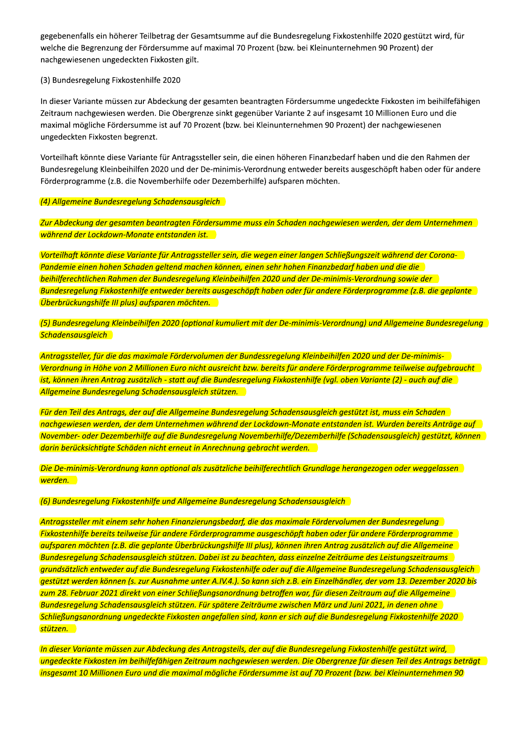gegebenenfalls ein höherer Teilbetrag der Gesamtsumme auf die Bundesregelung Fixkostenhilfe 2020 gestützt wird, für welche die Begrenzung der Fördersumme auf maximal 70 Prozent (bzw. bei Kleinunternehmen 90 Prozent) der nachgewiesenen ungedeckten Fixkosten gilt.

#### (3) Bundesregelung Fixkostenhilfe 2020

In dieser Variante müssen zur Abdeckung der gesamten beantragten Fördersumme ungedeckte Fixkosten im beihilfefähigen Zeitraum nachgewiesen werden. Die Obergrenze sinkt gegenüber Variante 2 auf insgesamt 10 Millionen Euro und die maximal mögliche Fördersumme ist auf 70 Prozent (bzw. bei Kleinunternehmen 90 Prozent) der nachgewiesenen ungedeckten Fixkosten begrenzt.

Vorteilhaft könnte diese Variante für Antragssteller sein, die einen höheren Finanzbedarf haben und die den Rahmen der Bundesregelung Kleinbeihilfen 2020 und der De-minimis-Verordnung entweder bereits ausgeschöpft haben oder für andere Förderprogramme (z.B. die Novemberhilfe oder Dezemberhilfe) aufsparen möchten.

(4) Allgemeine Bundesregelung Schadensausgleich

Zur Abdeckung der gesamten beantragten Fördersumme muss ein Schaden nachgewiesen werden, der dem Unternehmen während der Lockdown-Monate entstanden ist.

Vorteilhaft könnte diese Variante für Antragssteller sein, die wegen einer langen Schließungszeit während der Corona-Pandemie einen hohen Schaden geltend machen können, einen sehr hohen Finanzbedarf haben und die die beihilferechtlichen Rahmen der Bundesregelung Kleinbeihilfen 2020 und der De-minimis-Verordnung sowie der Bundesregelung Fixkostenhilfe entweder bereits ausgeschöpft haben oder für andere Förderprogramme (z.B. die geplante Überbrückungshilfe III plus) aufsparen möchten.

(5) Bundesregelung Kleinbeihilfen 2020 (optional kumuliert mit der De-minimis-Verordnung) und Allgemeine Bundesregelung Schadensausgleich

Antragssteller, für die das maximale Fördervolumen der Bundessregelung Kleinbeihilfen 2020 und der De-minimis-Verordnung in Höhe von 2 Millionen Euro nicht ausreicht bzw. bereits für andere Förderprogramme teilweise aufgebraucht ist, können ihren Antrag zusätzlich - statt auf die Bundesregelung Fixkostenhilfe (vgl. oben Variante (2) - auch auf die Allgemeine Bundesregelung Schadensausgleich stützen.

Für den Teil des Antrags, der auf die Allgemeine Bundesregelung Schadensausgleich gestützt ist, muss ein Schaden nachgewiesen werden, der dem Unternehmen während der Lockdown-Monate entstanden ist. Wurden bereits Anträge auf November- oder Dezemberhilfe auf die Bundesregelung Novemberhilfe/Dezemberhilfe (Schadensausgleich) gestützt, können darin berücksichtigte Schäden nicht erneut in Anrechnung gebracht werden.

Die De-minimis-Verordnung kann optional als zusätzliche beihilferechtlich Grundlage herangezogen oder weggelassen werden.

(6) Bundesregelung Fixkostenhilfe und Allgemeine Bundesregelung Schadensausgleich

Antragssteller mit einem sehr hohen Finanzierungsbedarf, die das maximale Fördervolumen der Bundesregelung Fixkostenhilfe bereits teilweise für andere Förderprogramme ausgeschöpft haben oder für andere Förderprogramme aufsparen möchten (z.B. die geplante Überbrückungshilfe III plus), können ihren Antrag zusätzlich auf die Allgemeine Bundesregelung Schadensausgleich stützen. Dabei ist zu beachten, dass einzelne Zeiträume des Leistungszeitraums grundsätzlich entweder auf die Bundesregelung Fixkostenhilfe oder auf die Allgemeine Bundesregelung Schadensausgleich gestützt werden können (s. zur Ausnahme unter A.IV.4.). So kann sich z.B. ein Einzelhändler, der vom 13. Dezember 2020 bis zum 28. Februar 2021 direkt von einer Schließungsanordnung betroffen war, für diesen Zeitraum auf die Allgemeine Bundesregelung Schadensausgleich stützen. Für spätere Zeiträume zwischen März und Juni 2021, in denen ohne Schließungsanordnung ungedeckte Fixkosten angefallen sind, kann er sich auf die Bundesregelung Fixkostenhilfe 2020 stützen.

In dieser Variante müssen zur Abdeckung des Antragsteils, der auf die Bundesregelung Fixkostenhilfe gestützt wird, ungedeckte Fixkosten im beihilfefähigen Zeitraum nachgewiesen werden. Die Obergrenze für diesen Teil des Antrags beträgt insgesamt 10 Millionen Euro und die maximal mögliche Fördersumme ist auf 70 Prozent (bzw. bei Kleinunternehmen 90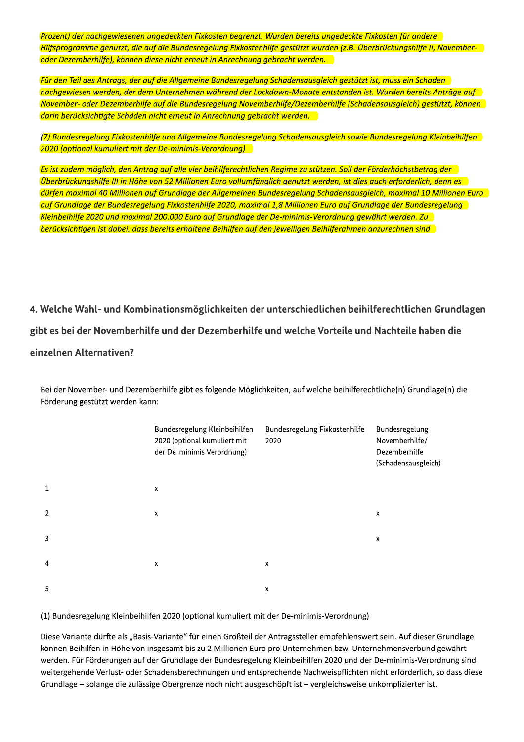Prozent) der nachgewiesenen ungedeckten Fixkosten begrenzt. Wurden bereits ungedeckte Fixkosten für andere Hilfsprogramme genutzt, die auf die Bundesregelung Fixkostenhilfe gestützt wurden (z.B. Überbrückungshilfe II, Novemberoder Dezemberhilfe), können diese nicht erneut in Anrechnung gebracht werden.

Für den Teil des Antrags, der auf die Allgemeine Bundesregelung Schadensausgleich gestützt ist, muss ein Schaden nachgewiesen werden, der dem Unternehmen während der Lockdown-Monate entstanden ist. Wurden bereits Anträge auf November- oder Dezemberhilfe auf die Bundesregelung Novemberhilfe/Dezemberhilfe (Schadensausgleich) gestützt, können darin berücksichtigte Schäden nicht erneut in Anrechnung gebracht werden.

(7) Bundesregelung Fixkostenhilfe und Allgemeine Bundesregelung Schadensausgleich sowie Bundesregelung Kleinbeihilfen 2020 (optional kumuliert mit der De-minimis-Verordnung)

Es ist zudem möglich, den Antrag auf alle vier beihilferechtlichen Regime zu stützen. Soll der Förderhöchstbetrag der Uberbrückungshilfe III in Höhe von 52 Millionen Euro vollumfänglich genutzt werden, ist dies auch erforderlich, denn es dürfen maximal 40 Millionen auf Grundlage der Allgemeinen Bundesregelung Schadensausgleich, maximal 10 Millionen Euro auf Grundlage der Bundesregelung Fixkostenhilfe 2020, maximal 1,8 Millionen Euro auf Grundlage der Bundesregelung Kleinbeihilfe 2020 und maximal 200.000 Euro auf Grundlage der De-minimis-Verordnung gewährt werden. Zu berücksichtigen ist dabei, dass bereits erhaltene Beihilfen auf den jeweiligen Beihilferahmen anzurechnen sind

4. Welche Wahl- und Kombinationsmöglichkeiten der unterschiedlichen beihilferechtlichen Grundlagen gibt es bei der Novemberhilfe und der Dezemberhilfe und welche Vorteile und Nachteile haben die einzelnen Alternativen?

Bundesregelung Kleinbeihilfen Bundesregelung Fixkostenhilfe Bundesregelung 2020 (optional kumuliert mit 2020 Novemberhilfe/ der De-minimis Verordnung) Dezemberhilfe (Schadensausgleich)  $\mathbf{1}$  $\boldsymbol{\mathsf{x}}$  $\overline{2}$  $\mathbf{x}$  $\pmb{\mathsf{x}}$  $\overline{3}$  $\mathbf{x}$  $\overline{4}$  $\mathsf{x}$  $\mathsf{x}$ 5  $\mathbf{x}$ 

Bei der November- und Dezemberhilfe gibt es folgende Möglichkeiten, auf welche beihilferechtliche(n) Grundlage(n) die Förderung gestützt werden kann:

(1) Bundesregelung Kleinbeihilfen 2020 (optional kumuliert mit der De-minimis-Verordnung)

Diese Variante dürfte als "Basis-Variante" für einen Großteil der Antragssteller empfehlenswert sein. Auf dieser Grundlage können Beihilfen in Höhe von insgesamt bis zu 2 Millionen Euro pro Unternehmen bzw. Unternehmensverbund gewährt werden. Für Förderungen auf der Grundlage der Bundesregelung Kleinbeihilfen 2020 und der De-minimis-Verordnung sind weitergehende Verlust- oder Schadensberechnungen und entsprechende Nachweispflichten nicht erforderlich, so dass diese Grundlage – solange die zulässige Obergrenze noch nicht ausgeschöpft ist – vergleichsweise unkomplizierter ist.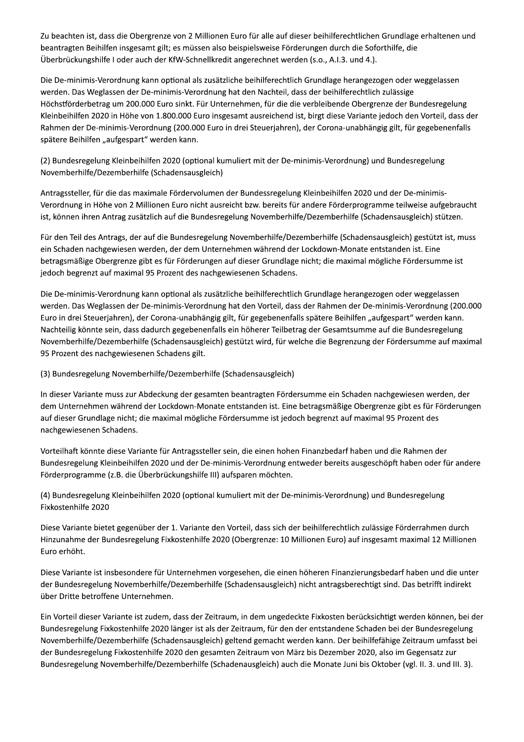Zu beachten ist, dass die Obergrenze von 2 Millionen Euro für alle auf dieser beihilferechtlichen Grundlage erhaltenen und beantragten Beihilfen insgesamt gilt; es müssen also beispielsweise Förderungen durch die Soforthilfe, die Überbrückungshilfe I oder auch der KfW-Schnellkredit angerechnet werden (s.o., A.I.3. und 4.).

Die De-minimis-Verordnung kann optional als zusätzliche beihilferechtlich Grundlage herangezogen oder weggelassen werden. Das Weglassen der De-minimis-Verordnung hat den Nachteil, dass der beihilferechtlich zulässige Höchstförderbetrag um 200.000 Euro sinkt. Für Unternehmen, für die die verbleibende Obergrenze der Bundesregelung Kleinbeihilfen 2020 in Höhe von 1.800.000 Euro insgesamt ausreichend ist, birgt diese Variante jedoch den Vorteil, dass der Rahmen der De-minimis-Verordnung (200.000 Euro in drei Steuerjahren), der Corona-unabhängig gilt, für gegebenenfalls spätere Beihilfen "aufgespart" werden kann.

(2) Bundesregelung Kleinbeihilfen 2020 (optional kumuliert mit der De-minimis-Verordnung) und Bundesregelung Novemberhilfe/Dezemberhilfe (Schadensausgleich)

Antragssteller, für die das maximale Fördervolumen der Bundessregelung Kleinbeihilfen 2020 und der De-minimis-Verordnung in Höhe von 2 Millionen Euro nicht ausreicht bzw. bereits für andere Förderprogramme teilweise aufgebraucht ist, können ihren Antrag zusätzlich auf die Bundesregelung Novemberhilfe/Dezemberhilfe (Schadensausgleich) stützen.

Für den Teil des Antrags, der auf die Bundesregelung Novemberhilfe/Dezemberhilfe (Schadensausgleich) gestützt ist, muss ein Schaden nachgewiesen werden, der dem Unternehmen während der Lockdown-Monate entstanden ist. Eine betragsmäßige Obergrenze gibt es für Förderungen auf dieser Grundlage nicht; die maximal mögliche Fördersumme ist jedoch begrenzt auf maximal 95 Prozent des nachgewiesenen Schadens.

Die De-minimis-Verordnung kann optional als zusätzliche beihilferechtlich Grundlage herangezogen oder weggelassen werden. Das Weglassen der De-minimis-Verordnung hat den Vorteil, dass der Rahmen der De-minimis-Verordnung (200.000 Euro in drei Steuerjahren), der Corona-unabhängig gilt, für gegebenenfalls spätere Beihilfen "aufgespart" werden kann. Nachteilig könnte sein, dass dadurch gegebenenfalls ein höherer Teilbetrag der Gesamtsumme auf die Bundesregelung Novemberhilfe/Dezemberhilfe (Schadensausgleich) gestützt wird, für welche die Begrenzung der Fördersumme auf maximal 95 Prozent des nachgewiesenen Schadens gilt.

(3) Bundesregelung Novemberhilfe/Dezemberhilfe (Schadensausgleich)

In dieser Variante muss zur Abdeckung der gesamten beantragten Fördersumme ein Schaden nachgewiesen werden, der dem Unternehmen während der Lockdown-Monate entstanden ist. Eine betragsmäßige Obergrenze gibt es für Förderungen auf dieser Grundlage nicht; die maximal mögliche Fördersumme ist jedoch begrenzt auf maximal 95 Prozent des nachgewiesenen Schadens.

Vorteilhaft könnte diese Variante für Antragssteller sein, die einen hohen Finanzbedarf haben und die Rahmen der Bundesregelung Kleinbeihilfen 2020 und der De-minimis-Verordnung entweder bereits ausgeschöpft haben oder für andere Förderprogramme (z.B. die Überbrückungshilfe III) aufsparen möchten.

(4) Bundesregelung Kleinbeihilfen 2020 (optional kumuliert mit der De-minimis-Verordnung) und Bundesregelung Fixkostenhilfe 2020

Diese Variante bietet gegenüber der 1. Variante den Vorteil, dass sich der beihilferechtlich zulässige Förderrahmen durch Hinzunahme der Bundesregelung Fixkostenhilfe 2020 (Obergrenze: 10 Millionen Euro) auf insgesamt maximal 12 Millionen Euro erhöht.

Diese Variante ist insbesondere für Unternehmen vorgesehen, die einen höheren Finanzierungsbedarf haben und die unter der Bundesregelung Novemberhilfe/Dezemberhilfe (Schadensausgleich) nicht antragsberechtigt sind. Das betrifft indirekt über Dritte betroffene Unternehmen.

Ein Vorteil dieser Variante ist zudem, dass der Zeitraum, in dem ungedeckte Fixkosten berücksichtigt werden können, bei der Bundesregelung Fixkostenhilfe 2020 länger ist als der Zeitraum, für den der entstandene Schaden bei der Bundesregelung Novemberhilfe/Dezemberhilfe (Schadensausgleich) geltend gemacht werden kann. Der beihilfefähige Zeitraum umfasst bei der Bundesregelung Fixkostenhilfe 2020 den gesamten Zeitraum von März bis Dezember 2020, also im Gegensatz zur Bundesregelung Novemberhilfe/Dezemberhilfe (Schadenausgleich) auch die Monate Juni bis Oktober (vgl. II. 3. und III. 3).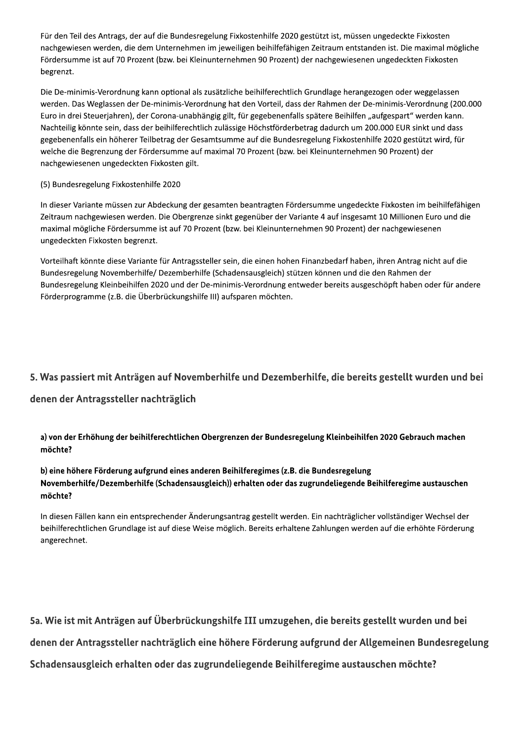Für den Teil des Antrags, der auf die Bundesregelung Fixkostenhilfe 2020 gestützt ist, müssen ungedeckte Fixkosten nachgewiesen werden, die dem Unternehmen im jeweiligen beihilfefähigen Zeitraum entstanden ist. Die maximal mögliche Fördersumme ist auf 70 Prozent (bzw. bei Kleinunternehmen 90 Prozent) der nachgewiesenen ungedeckten Fixkosten begrenzt.

Die De-minimis-Verordnung kann optional als zusätzliche beihilferechtlich Grundlage herangezogen oder weggelassen werden. Das Weglassen der De-minimis-Verordnung hat den Vorteil, dass der Rahmen der De-minimis-Verordnung (200.000 Euro in drei Steuerjahren), der Corona-unabhängig gilt, für gegebenenfalls spätere Beihilfen "aufgespart" werden kann. Nachteilig könnte sein, dass der beihilferechtlich zulässige Höchstförderbetrag dadurch um 200.000 EUR sinkt und dass gegebenenfalls ein höherer Teilbetrag der Gesamtsumme auf die Bundesregelung Fixkostenhilfe 2020 gestützt wird, für welche die Begrenzung der Fördersumme auf maximal 70 Prozent (bzw. bei Kleinunternehmen 90 Prozent) der nachgewiesenen ungedeckten Fixkosten gilt.

#### (5) Bundesregelung Fixkostenhilfe 2020

In dieser Variante müssen zur Abdeckung der gesamten beantragten Fördersumme ungedeckte Fixkosten im beihilfefähigen Zeitraum nachgewiesen werden. Die Obergrenze sinkt gegenüber der Variante 4 auf insgesamt 10 Millionen Euro und die maximal mögliche Fördersumme ist auf 70 Prozent (bzw. bei Kleinunternehmen 90 Prozent) der nachgewiesenen ungedeckten Fixkosten begrenzt.

Vorteilhaft könnte diese Variante für Antragssteller sein, die einen hohen Finanzbedarf haben, ihren Antrag nicht auf die Bundesregelung Novemberhilfe/ Dezemberhilfe (Schadensausgleich) stützen können und die den Rahmen der Bundesregelung Kleinbeihilfen 2020 und der De-minimis-Verordnung entweder bereits ausgeschöpft haben oder für andere Förderprogramme (z.B. die Überbrückungshilfe III) aufsparen möchten.

#### 5. Was passiert mit Anträgen auf Novemberhilfe und Dezemberhilfe, die bereits gestellt wurden und bei

#### denen der Antragssteller nachträglich

a) von der Erhöhung der beihilferechtlichen Obergrenzen der Bundesregelung Kleinbeihilfen 2020 Gebrauch machen möchte?

#### b) eine höhere Förderung aufgrund eines anderen Beihilferegimes (z.B. die Bundesregelung Novemberhilfe/Dezemberhilfe (Schadensausgleich)) erhalten oder das zugrundeliegende Beihilferegime austauschen möchte?

In diesen Fällen kann ein entsprechender Änderungsantrag gestellt werden. Ein nachträglicher vollständiger Wechsel der beihilferechtlichen Grundlage ist auf diese Weise möglich. Bereits erhaltene Zahlungen werden auf die erhöhte Förderung angerechnet.

5a. Wie ist mit Anträgen auf Überbrückungshilfe III umzugehen, die bereits gestellt wurden und bei denen der Antragssteller nachträglich eine höhere Förderung aufgrund der Allgemeinen Bundesregelung Schadensausgleich erhalten oder das zugrundeliegende Beihilferegime austauschen möchte?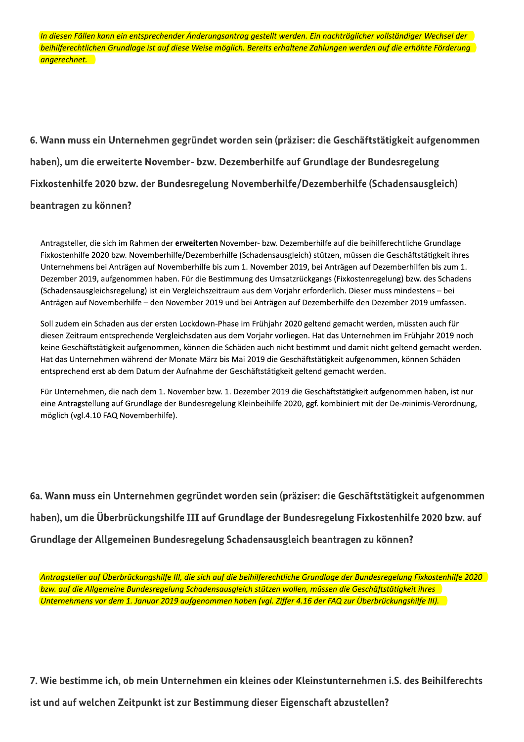in diesen Fallen kann ein entsprechender Anderungsantrag gestellt werden. Ein nachtraglicher vollstandiger Wechsel der beihilferechtlichen Grundlage ist auf diese Weise moglich. Bereits erhaltene Zahlungen werden auf die erhohte Forderung angerechnet.

6. Wann muss ein Unternehmen gegründet worden sein (präziser: die Geschäftstätigkeit aufgenommen haben), um die erweiterte November- bzw. Dezemberhilfe auf Grundlage der Bundesregelung Fixkostenhilfe 2020 bzw. der Bundesregelung Novemberhilfe/Dezemberhilfe (Schadensausgleich) beantragen zu können?

haben), um die erweiterte November- bzw. Dezemberhilfe auf Grundlage der Bundesregelung<br>
Fixkostenhilfe 2020 bzw. der Bundesregelung Novemberhilfe/Dezemberhilfe (Schadensausgleich)<br>
beantragen zu können?<br>
Antragsteller, di

6a. Wann muss ein Unternehmen gegründet worden sein (präziser: die Geschäftstätigkeit aufgenommen haben), um die Überbrückungshilfe III auf Grundlage der Bundesregelung Fixkostenhilfe 2020 bzw. auf Grundlage der Allgemeinen Bundesregelung Schadensausgleich beantragen zu können?

Antragsteller auf Überbruckungshilfe III, die sich auf die beihilferechtliche Grundlage der Bundesregelung Fixkostenhilfe 2020 in der Enterpreisien werden der Enterpreising († 1920).<br>. <u>bzw. auf die Allgemeine Bundesregelung Schadensausgleich stutzen wollen, mussen die Geschaftstatigkeit ihres I</u> Unternehmens vor dem 1. Januar 2019 aufgenommen haben (vgl. Ziffer 4.16 der FAQ zur Überbruckungshilfe III). I<br>.

7. Wie bestimme ich, ob mein Unternehmen ein kleines oder Kleinstunternehmen i.S. des Beihilferechts ist und auf welchen Zeitpunkt ist zur Bestimmung dieser Eigenschaft abzustellen?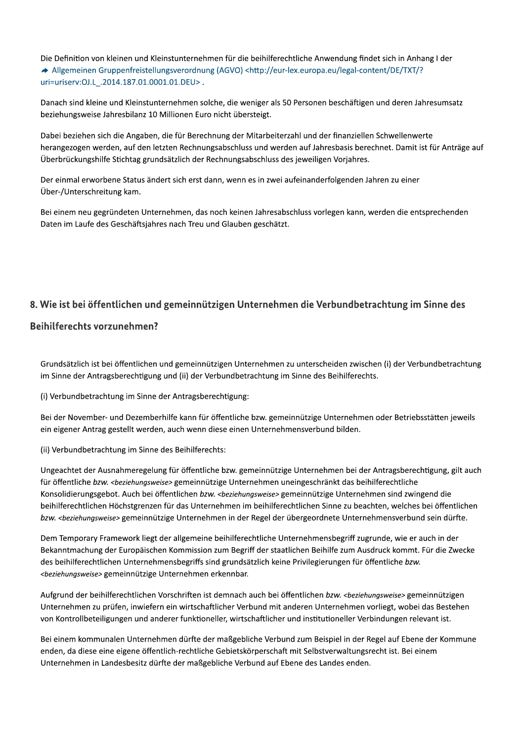Die Definition von kleinen und Kleinstunternehmen für die beihilferechtliche Anwendung findet sich in Anhang I der → Allgemeinen Gruppenfreistellungsverordnung (AGVO) <http://eur-lex.europa.eu/legal-content/DE/TXT/? uri=uriserv:OJ.L\_.2014.187.01.0001.01.DEU>.

Danach sind kleine und Kleinstunternehmen solche, die weniger als 50 Personen beschäftigen und deren Jahresumsatz beziehungsweise Jahresbilanz 10 Millionen Euro nicht übersteigt.

Dabei beziehen sich die Angaben, die für Berechnung der Mitarbeiterzahl und der finanziellen Schwellenwerte herangezogen werden, auf den letzten Rechnungsabschluss und werden auf Jahresbasis berechnet. Damit ist für Anträge auf Überbrückungshilfe Stichtag grundsätzlich der Rechnungsabschluss des jeweiligen Vorjahres.

Der einmal erworbene Status ändert sich erst dann, wenn es in zwei aufeinanderfolgenden Jahren zu einer Über-/Unterschreitung kam.

Bei einem neu gegründeten Unternehmen, das noch keinen Jahresabschluss vorlegen kann, werden die entsprechenden Daten im Laufe des Geschäftsjahres nach Treu und Glauben geschätzt.

### 8. Wie ist bei öffentlichen und gemeinnützigen Unternehmen die Verbundbetrachtung im Sinne des

#### **Beihilferechts vorzunehmen?**

Grundsätzlich ist bei öffentlichen und gemeinnützigen Unternehmen zu unterscheiden zwischen (i) der Verbundbetrachtung im Sinne der Antragsberechtigung und (ii) der Verbundbetrachtung im Sinne des Beihilferechts.

(i) Verbundbetrachtung im Sinne der Antragsberechtigung:

Bei der November- und Dezemberhilfe kann für öffentliche bzw. gemeinnützige Unternehmen oder Betriebsstätten jeweils ein eigener Antrag gestellt werden, auch wenn diese einen Unternehmensverbund bilden.

(ii) Verbundbetrachtung im Sinne des Beihilferechts:

Ungeachtet der Ausnahmeregelung für öffentliche bzw. gemeinnützige Unternehmen bei der Antragsberechtigung, gilt auch für öffentliche bzw. <beziehungsweise> gemeinnützige Unternehmen uneingeschränkt das beihilferechtliche Konsolidierungsgebot. Auch bei öffentlichen bzw. <beziehungsweise> gemeinnützige Unternehmen sind zwingend die beihilferechtlichen Höchstgrenzen für das Unternehmen im beihilferechtlichen Sinne zu beachten, welches bei öffentlichen bzw. <beziehungsweise> gemeinnützige Unternehmen in der Regel der übergeordnete Unternehmensverbund sein dürfte.

Dem Temporary Framework liegt der allgemeine beihilferechtliche Unternehmensbegriff zugrunde, wie er auch in der Bekanntmachung der Europäischen Kommission zum Begriff der staatlichen Beihilfe zum Ausdruck kommt. Für die Zwecke des beihilferechtlichen Unternehmensbegriffs sind grundsätzlich keine Privilegierungen für öffentliche bzw. <beziehungsweise> gemeinnützige Unternehmen erkennbar.

Aufgrund der beihilferechtlichen Vorschriften ist demnach auch bei öffentlichen bzw. <beziehungsweise> gemeinnützigen Unternehmen zu prüfen, inwiefern ein wirtschaftlicher Verbund mit anderen Unternehmen vorliegt, wobei das Bestehen von Kontrollbeteiligungen und anderer funktioneller, wirtschaftlicher und institutioneller Verbindungen relevant ist.

Bei einem kommunalen Unternehmen dürfte der maßgebliche Verbund zum Beispiel in der Regel auf Ebene der Kommune enden, da diese eine eigene öffentlich-rechtliche Gebietskörperschaft mit Selbstverwaltungsrecht ist. Bei einem Unternehmen in Landesbesitz dürfte der maßgebliche Verbund auf Ebene des Landes enden.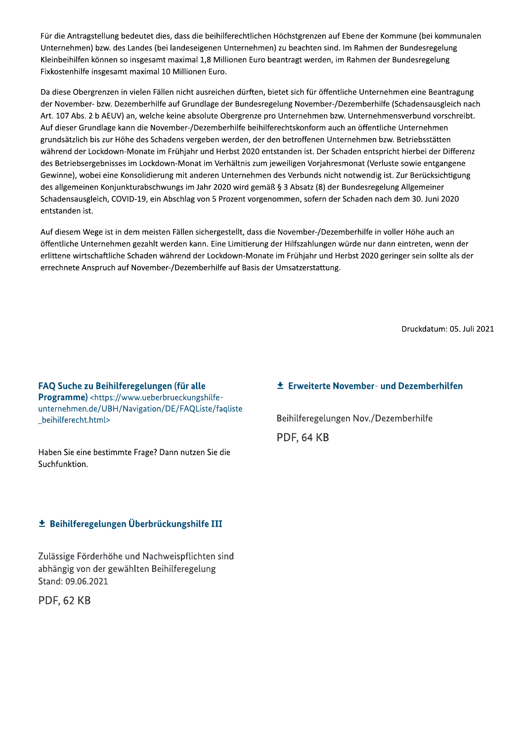Für die Antragstellung bedeutet dies, dass die beihilferechtlichen Höchstgrenzen auf Ebene der Kommune (bei kommunalen Unternehmen) bzw. des Landes (bei landeseigenen Unternehmen) zu beachten sind. Im Rahmen der Bundesregelung Kleinbeihilfen können so insgesamt maximal 1,8 Millionen Euro beantragt werden, im Rahmen der Bundesregelung Fixkostenhilfe insgesamt maximal 10 Millionen Euro.

Da diese Obergrenzen in vielen Fällen nicht ausreichen dürften, bietet sich für öffentliche Unternehmen eine Beantragung der November- bzw. Dezemberhilfe auf Grundlage der Bundesregelung November-/Dezemberhilfe (Schadensausgleich nach Art. 107 Abs. 2 b AEUV) an, welche keine absolute Obergrenze pro Unternehmen bzw. Unternehmensverbund vorschreibt. Auf dieser Grundlage kann die November-/Dezemberhilfe beihilferechtskonform auch an öffentliche Unternehmen grundsätzlich bis zur Höhe des Schadens vergeben werden, der den betroffenen Unternehmen bzw. Betriebsstätten während der Lockdown-Monate im Frühjahr und Herbst 2020 entstanden ist. Der Schaden entspricht hierbei der Differenz des Betriebsergebnisses im Lockdown-Monat im Verhältnis zum jeweiligen Vorjahresmonat (Verluste sowie entgangene Gewinne), wobei eine Konsolidierung mit anderen Unternehmen des Verbunds nicht notwendig ist. Zur Berücksichtigung des allgemeinen Konjunkturabschwungs im Jahr 2020 wird gemäß § 3 Absatz (8) der Bundesregelung Allgemeiner Schadensausgleich, COVID-19, ein Abschlag von 5 Prozent vorgenommen, sofern der Schaden nach dem 30. Juni 2020 entstanden ist.

Auf diesem Wege ist in dem meisten Fällen sichergestellt, dass die November-/Dezemberhilfe in voller Höhe auch an öffentliche Unternehmen gezahlt werden kann. Eine Limitierung der Hilfszahlungen würde nur dann eintreten, wenn der erlittene wirtschaftliche Schaden während der Lockdown-Monate im Frühjahr und Herbst 2020 geringer sein sollte als der errechnete Anspruch auf November-/Dezemberhilfe auf Basis der Umsatzerstattung.

Druckdatum: 05. Juli 2021

FAQ Suche zu Beihilferegelungen (für alle **Programme)** <https://www.ueberbrueckungshilfeunternehmen.de/UBH/Navigation/DE/FAQListe/faqliste beihilferecht.html>

Haben Sie eine bestimmte Frage? Dann nutzen Sie die Suchfunktion.

#### $\pm$  Beihilferegelungen Überbrückungshilfe III

Zulässige Förderhöhe und Nachweispflichten sind abhängig von der gewählten Beihilferegelung Stand: 09.06.2021

**PDF, 62 KB** 

#### **± Erweiterte November- und Dezemberhilfen**

Beihilferegelungen Nov./Dezemberhilfe **PDF, 64 KB**